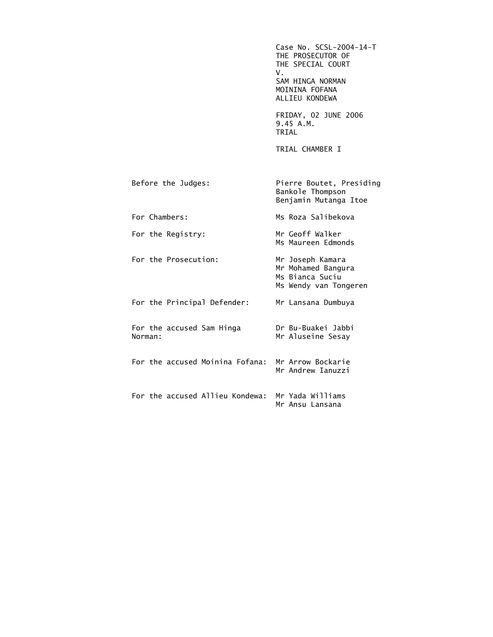Case No. SCSL-2004-14-T THE PROSECUTOR OF THE SPECIAL COURT V. SAM HINGA NORMAN MOININA FOFANA ALLIEU KONDEWA FRIDAY, 02 JUNE 2006 9.45 A.M. TRIAL TRIAL CHAMBER I Before the Judges: Pierre Boutet, Presiding Bankole Thompson Benjamin Mutanga Itoe For Chambers: Ms Roza Salibekova For the Registry: Mr Geoff Walker Ms Maureen Edmonds For the Prosecution: Mr Joseph Kamara Mr Mohamed Bangura Ms Bianca Suciu Ms Wendy van Tongeren For the Principal Defender: Mr Lansana Dumbuya For the accused Sam Hinga Dr Bu-Buakei Jabbi Norman: Mr Aluseine Sesay For the accused Moinina Fofana: Mr Arrow Bockarie Mr Andrew Ianuzzi For the accused Allieu Kondewa: Mr Yada Williams Mr Ansu Lansana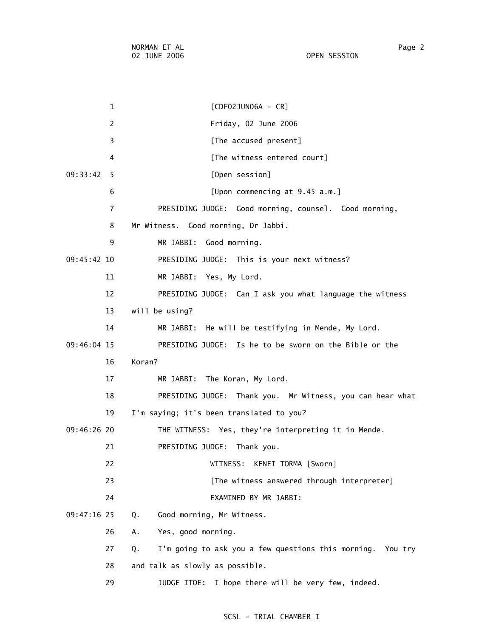1 [CDF02JUN06A - CR] 2 Friday, 02 June 2006 3 **Example 2 [The accused present]** 4 [The witness entered court] 09:33:42 5 [Open session] 6 [Upon commencing at 9.45 a.m.] 7 PRESIDING JUDGE: Good morning, counsel. Good morning, 8 Mr Witness. Good morning, Dr Jabbi. 9 MR JABBI: Good morning. 09:45:42 10 PRESIDING JUDGE: This is your next witness? 11 MR JABBI: Yes, My Lord. 12 PRESIDING JUDGE: Can I ask you what language the witness 13 will be using? 14 MR JABBI: He will be testifying in Mende, My Lord. 09:46:04 15 PRESIDING JUDGE: Is he to be sworn on the Bible or the 16 Koran? 17 MR JABBI: The Koran, My Lord. 18 PRESIDING JUDGE: Thank you. Mr Witness, you can hear what 19 I'm saying; it's been translated to you? 09:46:26 20 THE WITNESS: Yes, they're interpreting it in Mende. 21 PRESIDING JUDGE: Thank you. 22 WITNESS: KENEI TORMA [Sworn] 23 **Example 23** [The witness answered through interpreter] 24 EXAMINED BY MR JABBI: 09:47:16 25 Q. Good morning, Mr Witness. 26 A. Yes, good morning. 27 Q. I'm going to ask you a few questions this morning. You try

28 and talk as slowly as possible.

29 JUDGE ITOE: I hope there will be very few, indeed.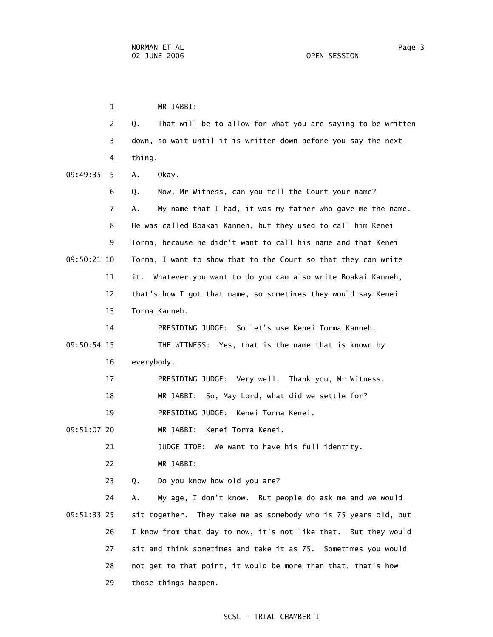1 MR JABBI: 2 Q. That will be to allow for what you are saying to be written 3 down, so wait until it is written down before you say the next 4 thing. 09:49:35 5 A. Okay. 6 Q. Now, Mr Witness, can you tell the Court your name? 7 A. My name that I had, it was my father who gave me the name. 8 He was called Boakai Kanneh, but they used to call him Kenei 9 Torma, because he didn't want to call his name and that Kenei 09:50:21 10 Torma, I want to show that to the Court so that they can write 11 it. Whatever you want to do you can also write Boakai Kanneh, 12 that's how I got that name, so sometimes they would say Kenei 13 Torma Kanneh. 14 PRESIDING JUDGE: So let's use Kenei Torma Kanneh. 09:50:54 15 THE WITNESS: Yes, that is the name that is known by 16 everybody. 17 PRESIDING JUDGE: Very well. Thank you, Mr Witness. 18 MR JABBI: So, May Lord, what did we settle for? 19 PRESIDING JUDGE: Kenei Torma Kenei. 09:51:07 20 MR JABBI: Kenei Torma Kenei. 21 JUDGE ITOE: We want to have his full identity. 22 MR JABBI: 23 Q. Do you know how old you are? 24 A. My age, I don't know. But people do ask me and we would 09:51:33 25 sit together. They take me as somebody who is 75 years old, but 26 I know from that day to now, it's not like that. But they would 27 sit and think sometimes and take it as 75. Sometimes you would 28 not get to that point, it would be more than that, that's how

29 those things happen.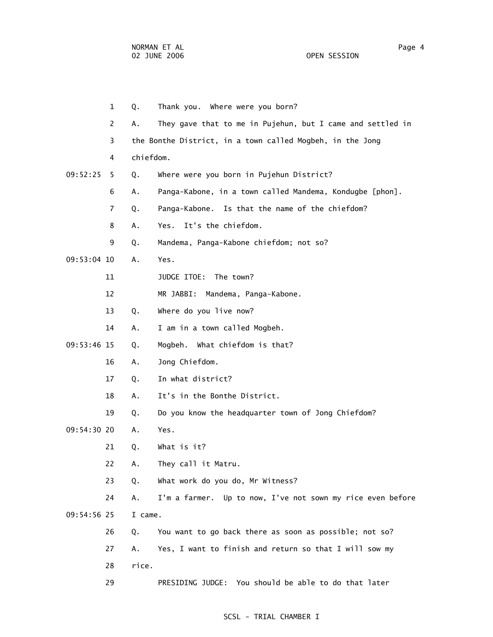1 Q. Thank you. Where were you born? 2 A. They gave that to me in Pujehun, but I came and settled in 3 the Bonthe District, in a town called Mogbeh, in the Jong 4 chiefdom. 09:52:25 5 Q. Where were you born in Pujehun District? 6 A. Panga-Kabone, in a town called Mandema, Kondugbe [phon]. 7 Q. Panga-Kabone. Is that the name of the chiefdom? 8 A. Yes. It's the chiefdom. 9 Q. Mandema, Panga-Kabone chiefdom; not so? 09:53:04 10 A. Yes. 11 JUDGE ITOE: The town? 12 MR JABBI: Mandema, Panga-Kabone. 13 Q. Where do you live now? 14 A. I am in a town called Mogbeh. 09:53:46 15 Q. Mogbeh. What chiefdom is that? 16 A. Jong Chiefdom. 17 Q. In what district? 18 A. It's in the Bonthe District. 19 Q. Do you know the headquarter town of Jong Chiefdom? 09:54:30 20 A. Yes. 21 Q. What is it? 22 A. They call it Matru. 23 Q. What work do you do, Mr Witness? 24 A. I'm a farmer. Up to now, I've not sown my rice even before 09:54:56 25 I came. 26 Q. You want to go back there as soon as possible; not so? 27 A. Yes, I want to finish and return so that I will sow my 28 rice. 29 PRESIDING JUDGE: You should be able to do that later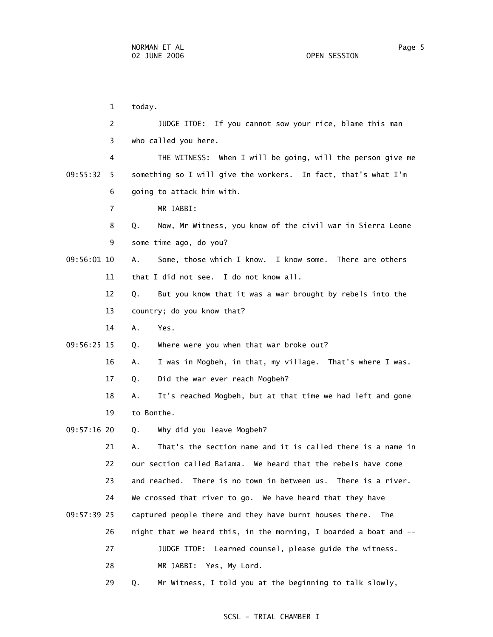1 today. 2 JUDGE ITOE: If you cannot sow your rice, blame this man 3 who called you here. 4 THE WITNESS: When I will be going, will the person give me 09:55:32 5 something so I will give the workers. In fact, that's what I'm 6 going to attack him with. 7 MR JABBI: 8 Q. Now, Mr Witness, you know of the civil war in Sierra Leone 9 some time ago, do you? 09:56:01 10 A. Some, those which I know. I know some. There are others 11 that I did not see. I do not know all. 12 Q. But you know that it was a war brought by rebels into the 13 country; do you know that? 14 A. Yes. 09:56:25 15 Q. Where were you when that war broke out? 16 A. I was in Mogbeh, in that, my village. That's where I was. 17 Q. Did the war ever reach Mogbeh? 18 A. It's reached Mogbeh, but at that time we had left and gone 19 to Bonthe. 09:57:16 20 Q. Why did you leave Mogbeh? 21 A. That's the section name and it is called there is a name in 22 our section called Baiama. We heard that the rebels have come 23 and reached. There is no town in between us. There is a river. 24 We crossed that river to go. We have heard that they have 09:57:39 25 captured people there and they have burnt houses there. The 26 night that we heard this, in the morning, I boarded a boat and -- 27 JUDGE ITOE: Learned counsel, please guide the witness. 28 MR JABBI: Yes, My Lord. 29 Q. Mr Witness, I told you at the beginning to talk slowly,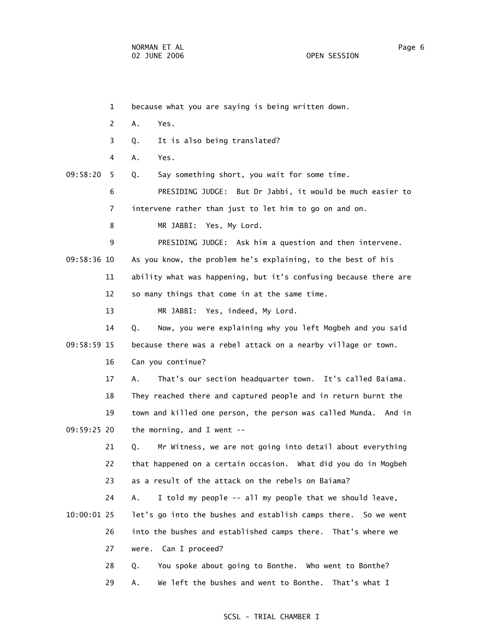|             | 1            | because what you are saying is being written down.                 |
|-------------|--------------|--------------------------------------------------------------------|
|             | $\mathbf{2}$ | Α.<br>Yes.                                                         |
|             | 3            | It is also being translated?<br>Q.                                 |
|             | 4            | Yes.<br>Α.                                                         |
| 09:58:20    | 5.           | Say something short, you wait for some time.<br>Q.                 |
|             | 6            | PRESIDING JUDGE: But Dr Jabbi, it would be much easier to          |
|             | 7            | intervene rather than just to let him to go on and on.             |
|             | 8            | MR JABBI: Yes, My Lord.                                            |
|             | 9            | PRESIDING JUDGE: Ask him a question and then intervene.            |
| 09:58:36 10 |              | As you know, the problem he's explaining, to the best of his       |
|             | 11           | ability what was happening, but it's confusing because there are   |
|             | 12           | so many things that come in at the same time.                      |
|             | 13           | MR JABBI: Yes, indeed, My Lord.                                    |
|             | 14           | Now, you were explaining why you left Mogbeh and you said<br>Q.    |
| 09:58:59 15 |              | because there was a rebel attack on a nearby village or town.      |
|             | 16           | Can you continue?                                                  |
|             | 17           | That's our section headquarter town. It's called Baiama.<br>Α.     |
|             | 18           | They reached there and captured people and in return burnt the     |
|             | 19           | town and killed one person, the person was called Munda.<br>And in |
| 09:59:25 20 |              | the morning, and I went $-$ -                                      |
|             | 21           | Mr Witness, we are not going into detail about everything<br>Q.    |
|             | 22           | that happened on a certain occasion. What did you do in Mogbeh     |
|             | 23           | as a result of the attack on the rebels on Baiama?                 |
|             | 24           | I told my people -- all my people that we should leave,<br>Α.      |
| 10:00:01 25 |              | let's go into the bushes and establish camps there. So we went     |
|             | 26           | into the bushes and established camps there. That's where we       |
|             | 27           | were. Can I proceed?                                               |
|             | 28           | You spoke about going to Bonthe. Who went to Bonthe?<br>Q.         |
|             | 29           | We left the bushes and went to Bonthe. That's what I<br>Α.         |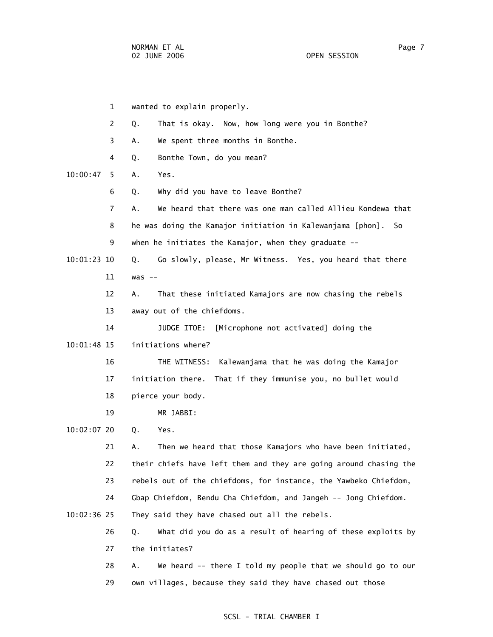|               | 1              | wanted to explain properly.                                       |
|---------------|----------------|-------------------------------------------------------------------|
|               | $\overline{2}$ | That is okay. Now, how long were you in Bonthe?<br>Q.             |
|               | 3              | We spent three months in Bonthe.<br>А.                            |
|               | 4              | Bonthe Town, do you mean?<br>Q.                                   |
| 10:00:47      | 5              | Yes.<br>Α.                                                        |
|               | 6              | Why did you have to leave Bonthe?<br>Q.                           |
|               | 7              | We heard that there was one man called Allieu Kondewa that<br>Α.  |
|               | 8              | he was doing the Kamajor initiation in Kalewanjama [phon].<br>So  |
|               | 9              | when he initiates the Kamajor, when they graduate --              |
| 10:01:23 10   |                | Go slowly, please, Mr Witness. Yes, you heard that there<br>Q.    |
|               | 11             | $was --$                                                          |
|               | 12             | That these initiated Kamajors are now chasing the rebels<br>Α.    |
|               | 13             | away out of the chiefdoms.                                        |
|               | 14             | JUDGE ITOE:<br>[Microphone not activated] doing the               |
| 10:01:48 15   |                | initiations where?                                                |
|               | 16             | Kalewanjama that he was doing the Kamajor<br>THE WITNESS:         |
|               | 17             | initiation there.<br>That if they immunise you, no bullet would   |
|               | 18             | pierce your body.                                                 |
|               | 19             | MR JABBI:                                                         |
| 10:02:07 20   |                | Q.<br>Yes.                                                        |
|               | 21             | Then we heard that those Kamajors who have been initiated,<br>Α.  |
|               | 22             | their chiefs have left them and they are going around chasing the |
|               | 23             | rebels out of the chiefdoms, for instance, the Yawbeko Chiefdom,  |
|               | 24             | Gbap Chiefdom, Bendu Cha Chiefdom, and Jangeh -- Jong Chiefdom.   |
| $10:02:36$ 25 |                | They said they have chased out all the rebels.                    |
|               | 26             | What did you do as a result of hearing of these exploits by<br>Q. |
|               | 27             | the initiates?                                                    |
|               | 28             | We heard -- there I told my people that we should go to our<br>Α. |
|               | 29             | own villages, because they said they have chased out those        |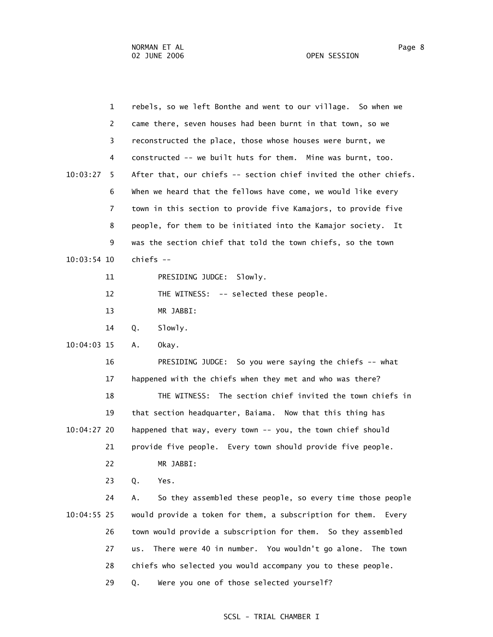1 rebels, so we left Bonthe and went to our village. So when we 2 came there, seven houses had been burnt in that town, so we 3 reconstructed the place, those whose houses were burnt, we 4 constructed -- we built huts for them. Mine was burnt, too. 10:03:27 5 After that, our chiefs -- section chief invited the other chiefs. 6 When we heard that the fellows have come, we would like every 7 town in this section to provide five Kamajors, to provide five 8 people, for them to be initiated into the Kamajor society. It 9 was the section chief that told the town chiefs, so the town 10:03:54 10 chiefs -- 11 PRESIDING JUDGE: Slowly. 12 THE WITNESS: -- selected these people. 13 MR JABBI: 14 Q. Slowly. 10:04:03 15 A. Okay. 16 PRESIDING JUDGE: So you were saying the chiefs -- what 17 happened with the chiefs when they met and who was there? 18 THE WITNESS: The section chief invited the town chiefs in 19 that section headquarter, Baiama. Now that this thing has 10:04:27 20 happened that way, every town -- you, the town chief should 21 provide five people. Every town should provide five people. 22 MR JABBI: 23 Q. Yes. 24 A. So they assembled these people, so every time those people 10:04:55 25 would provide a token for them, a subscription for them. Every 26 town would provide a subscription for them. So they assembled 27 us. There were 40 in number. You wouldn't go alone. The town 28 chiefs who selected you would accompany you to these people. 29 Q. Were you one of those selected yourself?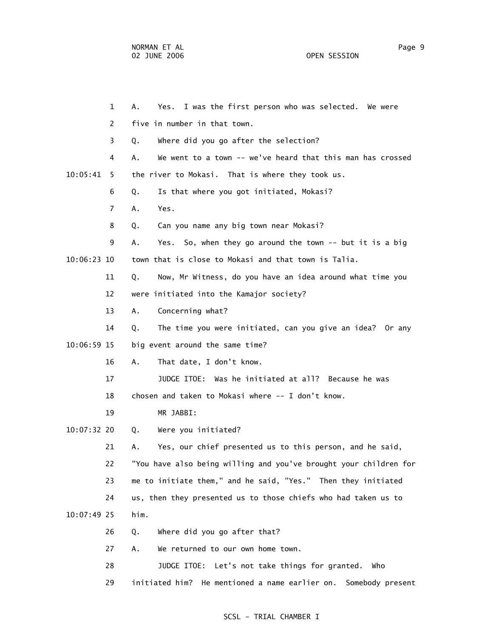1 A. Yes. I was the first person who was selected. We were 2 five in number in that town. 3 Q. Where did you go after the selection? 4 A. We went to a town -- we've heard that this man has crossed 10:05:41 5 the river to Mokasi. That is where they took us. 6 Q. Is that where you got initiated, Mokasi? 7 A. Yes. 8 Q. Can you name any big town near Mokasi? 9 A. Yes. So, when they go around the town -- but it is a big 10:06:23 10 town that is close to Mokasi and that town is Talia. 11 Q. Now, Mr Witness, do you have an idea around what time you 12 were initiated into the Kamajor society? 13 A. Concerning what? 14 Q. The time you were initiated, can you give an idea? Or any 10:06:59 15 big event around the same time? 16 A. That date, I don't know. 17 JUDGE ITOE: Was he initiated at all? Because he was 18 chosen and taken to Mokasi where -- I don't know. 19 MR JABBI: 10:07:32 20 Q. Were you initiated? 21 A. Yes, our chief presented us to this person, and he said, 22 "You have also being willing and you've brought your children for 23 me to initiate them," and he said, "Yes." Then they initiated 24 us, then they presented us to those chiefs who had taken us to 10:07:49 25 him. 26 Q. Where did you go after that? 27 A. We returned to our own home town. 28 JUDGE ITOE: Let's not take things for granted. Who

### SCSL - TRIAL CHAMBER I

29 initiated him? He mentioned a name earlier on. Somebody present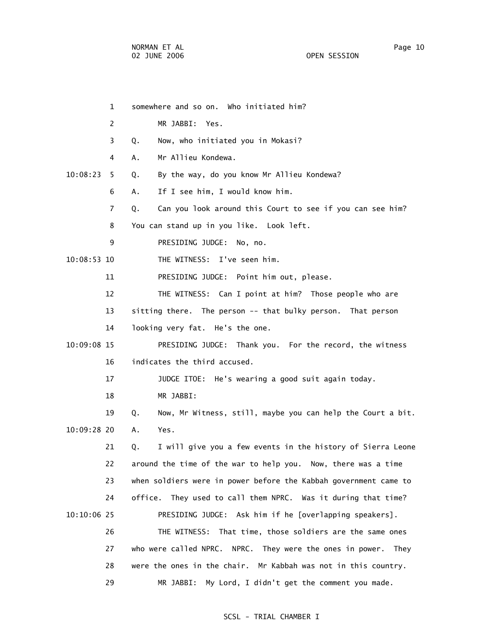|             | $\mathbf{1}$   | somewhere and so on. Who initiated him?                           |
|-------------|----------------|-------------------------------------------------------------------|
|             | 2              | MR JABBI: Yes.                                                    |
|             | 3              | Now, who initiated you in Mokasi?<br>Q.                           |
|             | 4              | Mr Allieu Kondewa.<br>Α.                                          |
| 10:08:23    | 5.             | By the way, do you know Mr Allieu Kondewa?<br>Q.                  |
|             | 6              | If I see him, I would know him.<br>А.                             |
|             | $\overline{7}$ | Can you look around this Court to see if you can see him?<br>Q.   |
|             | 8              | You can stand up in you like. Look left.                          |
|             | 9              | PRESIDING JUDGE: No, no.                                          |
| 10:08:53 10 |                | THE WITNESS: I've seen him.                                       |
|             | 11             | PRESIDING JUDGE: Point him out, please.                           |
|             | 12             | THE WITNESS: Can I point at him? Those people who are             |
|             | 13             | sitting there. The person -- that bulky person. That person       |
|             | 14             | looking very fat. He's the one.                                   |
| 10:09:08 15 |                | PRESIDING JUDGE: Thank you. For the record, the witness           |
|             | 16             | indicates the third accused.                                      |
|             | 17             | JUDGE ITOE: He's wearing a good suit again today.                 |
|             | 18             | MR JABBI:                                                         |
|             | 19             | Now, Mr Witness, still, maybe you can help the Court a bit.<br>Q. |
| 10:09:28 20 |                | Yes.<br>Α.                                                        |
|             | 21             | I will give you a few events in the history of Sierra Leone<br>Q. |
|             | 22             | around the time of the war to help you. Now, there was a time     |
|             | 23             | when soldiers were in power before the Kabbah government came to  |
|             | 24             | They used to call them NPRC. Was it during that time?<br>office.  |
| 10:10:06 25 |                | PRESIDING JUDGE: Ask him if he [overlapping speakers].            |
|             | 26             | That time, those soldiers are the same ones<br>THE WITNESS:       |
|             | 27             | who were called NPRC. NPRC. They were the ones in power.<br>They  |
|             | 28             | were the ones in the chair. Mr Kabbah was not in this country.    |
|             | 29             | My Lord, I didn't get the comment you made.<br>MR JABBI:          |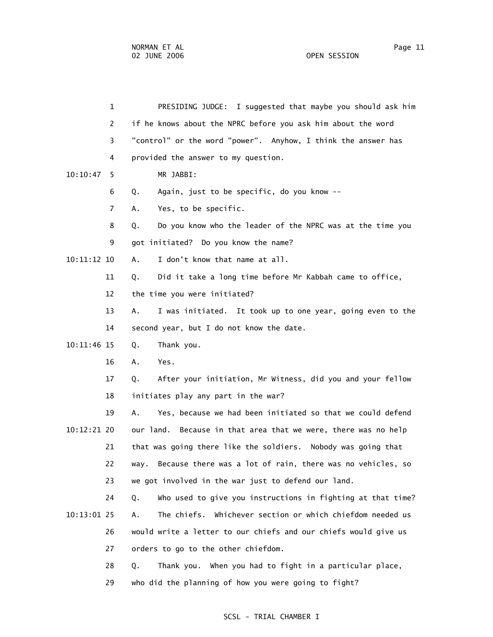| $\mathbf{1}$  | PRESIDING JUDGE: I suggested that maybe you should ask him         |
|---------------|--------------------------------------------------------------------|
| 2             | if he knows about the NPRC before you ask him about the word       |
| 3             | "control" or the word "power". Anyhow, I think the answer has      |
| 4             | provided the answer to my question.                                |
| 10:10:47<br>5 | MR JABBI:                                                          |
| 6             | Again, just to be specific, do you know --<br>Q.                   |
| 7             | Yes, to be specific.<br>Α.                                         |
| 8             | Do you know who the leader of the NPRC was at the time you<br>Q.   |
| 9             | got initiated? Do you know the name?                               |
| 10:11:12 10   | I don't know that name at all.<br>А.                               |
| 11            | Did it take a long time before Mr Kabbah came to office,<br>Q.     |
| 12            | the time you were initiated?                                       |
| 13            | I was initiated. It took up to one year, going even to the<br>Α.   |
| 14            | second year, but I do not know the date.                           |
| 10:11:46 15   | Thank you.<br>Q.                                                   |
| 16            | Α.<br>Yes.                                                         |
| 17            | After your initiation, Mr Witness, did you and your fellow<br>Q.   |
| 18            | initiates play any part in the war?                                |
| 19            | Yes, because we had been initiated so that we could defend<br>А.   |
| 10:12:21 20   | our land. Because in that area that we were, there was no help     |
| 21            | that was going there like the soldiers. Nobody was going that      |
| 22            | Because there was a lot of rain, there was no vehicles, so<br>way. |
| 23            | we got involved in the war just to defend our land.                |
| 24            | Who used to give you instructions in fighting at that time?<br>Q.  |
| 10:13:01 25   | Whichever section or which chiefdom needed us<br>The chiefs.<br>Α. |
| 26            | would write a letter to our chiefs and our chiefs would give us    |
| 27            | orders to go to the other chiefdom.                                |
| 28            | When you had to fight in a particular place,<br>Q.<br>Thank you.   |

29 who did the planning of how you were going to fight?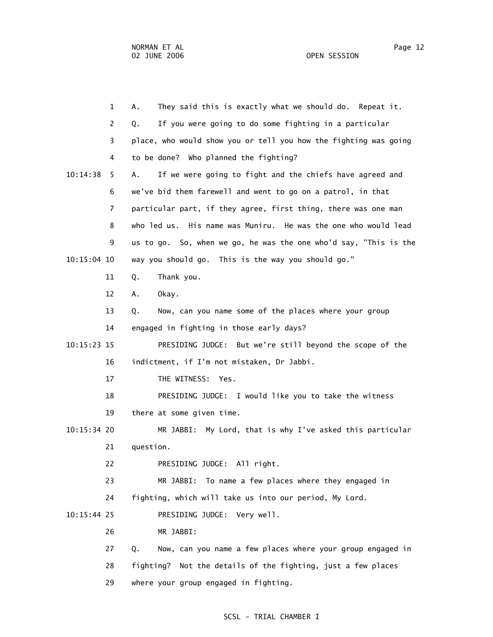1 A. They said this is exactly what we should do. Repeat it. 2 Q. If you were going to do some fighting in a particular 3 place, who would show you or tell you how the fighting was going 4 to be done? Who planned the fighting? 10:14:38 5 A. If we were going to fight and the chiefs have agreed and 6 we've bid them farewell and went to go on a patrol, in that 7 particular part, if they agree, first thing, there was one man 8 who led us. His name was Muniru. He was the one who would lead 9 us to go. So, when we go, he was the one who'd say, "This is the 10:15:04 10 way you should go. This is the way you should go." 11 Q. Thank you. 12 A. Okay. 13 Q. Now, can you name some of the places where your group 14 engaged in fighting in those early days? 10:15:23 15 PRESIDING JUDGE: But we're still beyond the scope of the 16 indictment, if I'm not mistaken, Dr Jabbi. 17 THE WITNESS: Yes. 18 PRESIDING JUDGE: I would like you to take the witness 19 there at some given time. 10:15:34 20 MR JABBI: My Lord, that is why I've asked this particular 21 question. 22 PRESIDING JUDGE: All right. 23 MR JABBI: To name a few places where they engaged in 24 fighting, which will take us into our period, My Lord. 10:15:44 25 PRESIDING JUDGE: Very well. 26 MR JABBI: 27 Q. Now, can you name a few places where your group engaged in 28 fighting? Not the details of the fighting, just a few places 29 where your group engaged in fighting.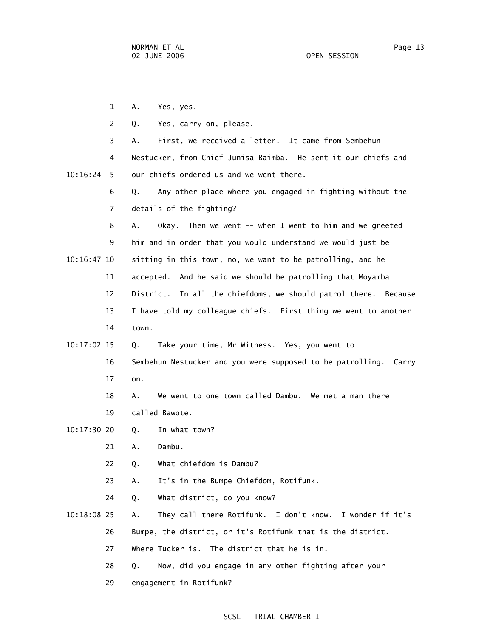1 A. Yes, yes. 2 Q. Yes, carry on, please. 3 A. First, we received a letter. It came from Sembehun 4 Nestucker, from Chief Junisa Baimba. He sent it our chiefs and 10:16:24 5 our chiefs ordered us and we went there. 6 Q. Any other place where you engaged in fighting without the 7 details of the fighting? 8 A. Okay. Then we went -- when I went to him and we greeted 9 him and in order that you would understand we would just be 10:16:47 10 sitting in this town, no, we want to be patrolling, and he 11 accepted. And he said we should be patrolling that Moyamba 12 District. In all the chiefdoms, we should patrol there. Because 13 I have told my colleague chiefs. First thing we went to another 14 town. 10:17:02 15 Q. Take your time, Mr Witness. Yes, you went to 16 Sembehun Nestucker and you were supposed to be patrolling. Carry 17 on. 18 A. We went to one town called Dambu. We met a man there 19 called Bawote. 10:17:30 20 Q. In what town? 21 A. Dambu. 22 Q. What chiefdom is Dambu? 23 A. It's in the Bumpe Chiefdom, Rotifunk. 24 Q. What district, do you know? 10:18:08 25 A. They call there Rotifunk. I don't know. I wonder if it's 26 Bumpe, the district, or it's Rotifunk that is the district. 27 Where Tucker is. The district that he is in. 28 Q. Now, did you engage in any other fighting after your

29 engagement in Rotifunk?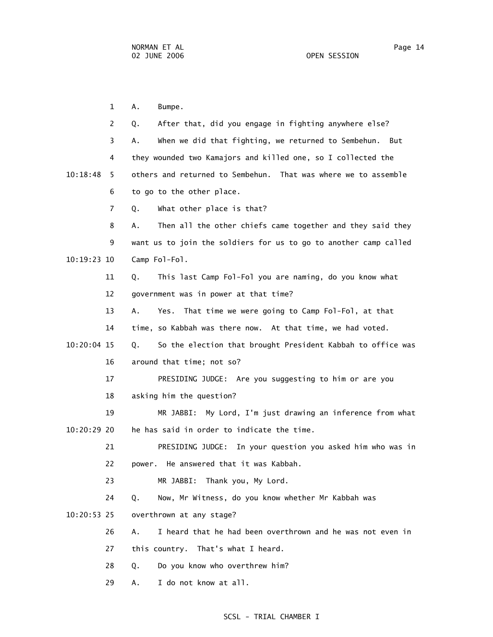1 A. Bumpe. 2 Q. After that, did you engage in fighting anywhere else? 3 A. When we did that fighting, we returned to Sembehun. But 4 they wounded two Kamajors and killed one, so I collected the 10:18:48 5 others and returned to Sembehun. That was where we to assemble 6 to go to the other place. 7 Q. What other place is that? 8 A. Then all the other chiefs came together and they said they 9 want us to join the soldiers for us to go to another camp called 10:19:23 10 Camp Fol-Fol. 11 Q. This last Camp Fol-Fol you are naming, do you know what 12 government was in power at that time? 13 A. Yes. That time we were going to Camp Fol-Fol, at that 14 time, so Kabbah was there now. At that time, we had voted. 10:20:04 15 Q. So the election that brought President Kabbah to office was 16 around that time; not so? 17 PRESIDING JUDGE: Are you suggesting to him or are you 18 asking him the question? 19 MR JABBI: My Lord, I'm just drawing an inference from what 10:20:29 20 he has said in order to indicate the time. 21 PRESIDING JUDGE: In your question you asked him who was in 22 power. He answered that it was Kabbah. 23 MR JABBI: Thank you, My Lord. 24 Q. Now, Mr Witness, do you know whether Mr Kabbah was 10:20:53 25 overthrown at any stage? 26 A. I heard that he had been overthrown and he was not even in 27 this country. That's what I heard. 28 Q. Do you know who overthrew him? 29 A. I do not know at all.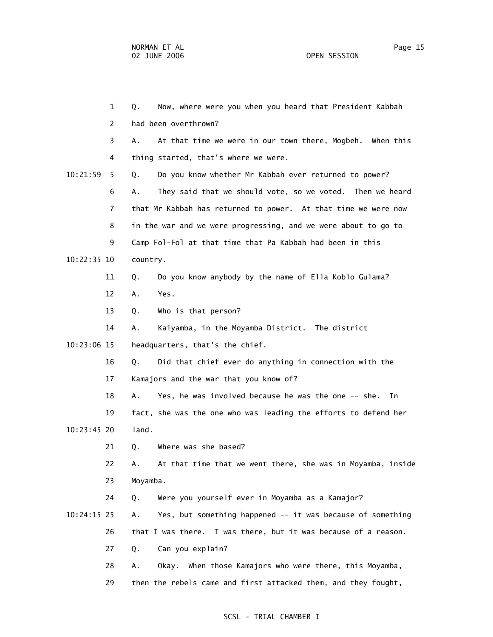1 Q. Now, where were you when you heard that President Kabbah 2 had been overthrown? 3 A. At that time we were in our town there, Mogbeh. When this 4 thing started, that's where we were. 10:21:59 5 Q. Do you know whether Mr Kabbah ever returned to power? 6 A. They said that we should vote, so we voted. Then we heard 7 that Mr Kabbah has returned to power. At that time we were now 8 in the war and we were progressing, and we were about to go to 9 Camp Fol-Fol at that time that Pa Kabbah had been in this 10:22:35 10 country. 11 Q. Do you know anybody by the name of Ella Koblo Gulama? 12 A. Yes. 13 Q. Who is that person? 14 A. Kaiyamba, in the Moyamba District. The district 10:23:06 15 headquarters, that's the chief. 16 Q. Did that chief ever do anything in connection with the 17 Kamajors and the war that you know of? 18 A. Yes, he was involved because he was the one -- she. In 19 fact, she was the one who was leading the efforts to defend her 10:23:45 20 land. 21 O. Where was she based? 22 A. At that time that we went there, she was in Moyamba, inside 23 Moyamba. 24 Q. Were you yourself ever in Moyamba as a Kamajor? 10:24:15 25 A. Yes, but something happened -- it was because of something 26 that I was there. I was there, but it was because of a reason. 27 Q. Can you explain? 28 A. Okay. When those Kamajors who were there, this Moyamba, 29 then the rebels came and first attacked them, and they fought,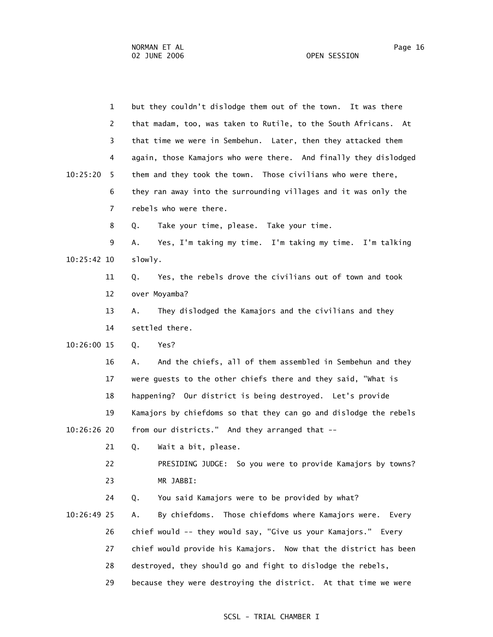1 but they couldn't dislodge them out of the town. It was there 2 that madam, too, was taken to Rutile, to the South Africans. At 3 that time we were in Sembehun. Later, then they attacked them 4 again, those Kamajors who were there. And finally they dislodged 10:25:20 5 them and they took the town. Those civilians who were there, 6 they ran away into the surrounding villages and it was only the 7 rebels who were there. 8 Q. Take your time, please. Take your time. 9 A. Yes, I'm taking my time. I'm taking my time. I'm talking 10:25:42 10 slowly. 11 Q. Yes, the rebels drove the civilians out of town and took 12 over Moyamba? 13 A. They dislodged the Kamajors and the civilians and they 14 settled there. 10:26:00 15 Q. Yes? 16 A. And the chiefs, all of them assembled in Sembehun and they 17 were guests to the other chiefs there and they said, "What is 18 happening? Our district is being destroyed. Let's provide 19 Kamajors by chiefdoms so that they can go and dislodge the rebels 10:26:26 20 from our districts." And they arranged that -- 21 Q. Wait a bit, please. 22 PRESIDING JUDGE: So you were to provide Kamajors by towns? 23 MR JABBI: 24 Q. You said Kamajors were to be provided by what? 10:26:49 25 A. By chiefdoms. Those chiefdoms where Kamajors were. Every 26 chief would -- they would say, "Give us your Kamajors." Every 27 chief would provide his Kamajors. Now that the district has been 28 destroyed, they should go and fight to dislodge the rebels, 29 because they were destroying the district. At that time we were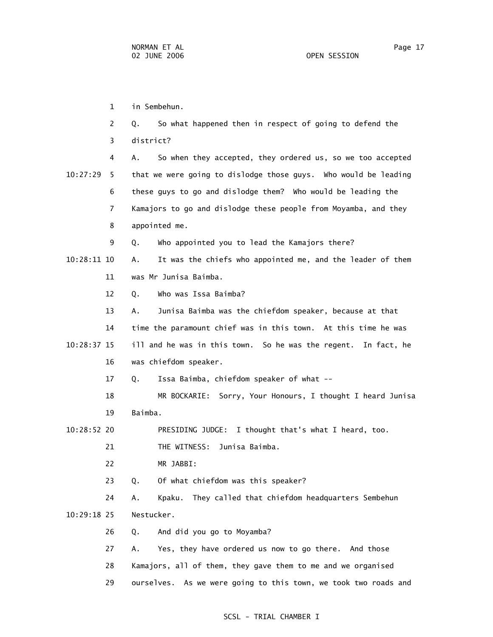1 in Sembehun. 2 Q. So what happened then in respect of going to defend the 3 district? 4 A. So when they accepted, they ordered us, so we too accepted 10:27:29 5 that we were going to dislodge those guys. Who would be leading 6 these guys to go and dislodge them? Who would be leading the 7 Kamajors to go and dislodge these people from Moyamba, and they 8 appointed me. 9 Q. Who appointed you to lead the Kamajors there? 10:28:11 10 A. It was the chiefs who appointed me, and the leader of them 11 was Mr Junisa Baimba. 12 Q. Who was Issa Baimba? 13 A. Junisa Baimba was the chiefdom speaker, because at that 14 time the paramount chief was in this town. At this time he was 10:28:37 15 ill and he was in this town. So he was the regent. In fact, he 16 was chiefdom speaker. 17 Q. Issa Baimba, chiefdom speaker of what -- 18 MR BOCKARIE: Sorry, Your Honours, I thought I heard Junisa 19 Baimba. 10:28:52 20 PRESIDING JUDGE: I thought that's what I heard, too. 21 THE WITNESS: Junisa Baimba. 22 MR JABBI: 23 Q. Of what chiefdom was this speaker? 24 A. Kpaku. They called that chiefdom headquarters Sembehun 10:29:18 25 Nestucker. 26 Q. And did you go to Moyamba? 27 A. Yes, they have ordered us now to go there. And those 28 Kamajors, all of them, they gave them to me and we organised 29 ourselves. As we were going to this town, we took two roads and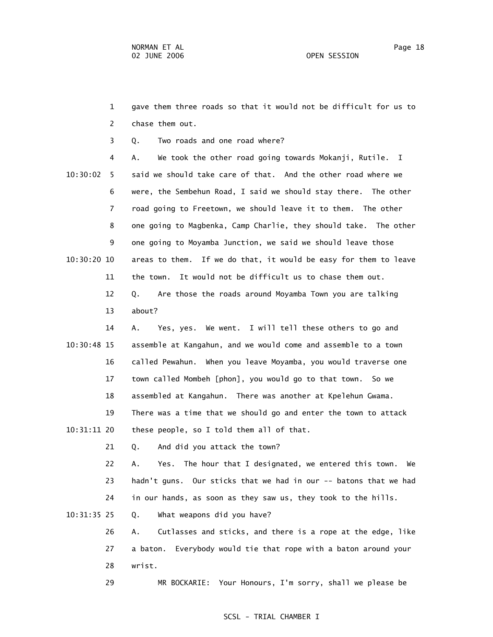1 gave them three roads so that it would not be difficult for us to 2 chase them out.

3 Q. Two roads and one road where?

 4 A. We took the other road going towards Mokanji, Rutile. I 10:30:02 5 said we should take care of that. And the other road where we 6 were, the Sembehun Road, I said we should stay there. The other 7 road going to Freetown, we should leave it to them. The other 8 one going to Magbenka, Camp Charlie, they should take. The other 9 one going to Moyamba Junction, we said we should leave those 10:30:20 10 areas to them. If we do that, it would be easy for them to leave 11 the town. It would not be difficult us to chase them out. 12 Q. Are those the roads around Moyamba Town you are talking 13 about?

 14 A. Yes, yes. We went. I will tell these others to go and 10:30:48 15 assemble at Kangahun, and we would come and assemble to a town 16 called Pewahun. When you leave Moyamba, you would traverse one 17 town called Mombeh [phon], you would go to that town. So we 18 assembled at Kangahun. There was another at Kpelehun Gwama. 19 There was a time that we should go and enter the town to attack 10:31:11 20 these people, so I told them all of that.

21 Q. And did you attack the town?

 22 A. Yes. The hour that I designated, we entered this town. We 23 hadn't guns. Our sticks that we had in our -- batons that we had 24 in our hands, as soon as they saw us, they took to the hills.

10:31:35 25 Q. What weapons did you have?

 26 A. Cutlasses and sticks, and there is a rope at the edge, like 27 a baton. Everybody would tie that rope with a baton around your 28 wrist.

29 MR BOCKARIE: Your Honours, I'm sorry, shall we please be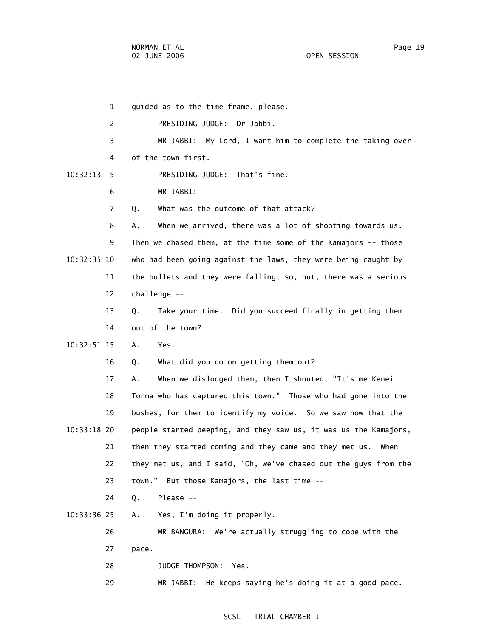1 guided as to the time frame, please. 2 PRESIDING JUDGE: Dr Jabbi. 3 MR JABBI: My Lord, I want him to complete the taking over 4 of the town first. 10:32:13 5 PRESIDING JUDGE: That's fine. 6 MR JABBI: 7 Q. What was the outcome of that attack? 8 A. When we arrived, there was a lot of shooting towards us. 9 Then we chased them, at the time some of the Kamajors -- those 10:32:35 10 who had been going against the laws, they were being caught by 11 the bullets and they were falling, so, but, there was a serious 12 challenge -- 13 Q. Take your time. Did you succeed finally in getting them 14 out of the town? 10:32:51 15 A. Yes. 16 Q. What did you do on getting them out? 17 A. When we dislodged them, then I shouted, "It's me Kenei 18 Torma who has captured this town." Those who had gone into the 19 bushes, for them to identify my voice. So we saw now that the 10:33:18 20 people started peeping, and they saw us, it was us the Kamajors, 21 then they started coming and they came and they met us. When 22 they met us, and I said, "Oh, we've chased out the guys from the 23 town." But those Kamajors, the last time -- 24 Q. Please -- 10:33:36 25 A. Yes, I'm doing it properly. 26 MR BANGURA: We're actually struggling to cope with the 27 pace. 28 JUDGE THOMPSON: Yes. 29 MR JABBI: He keeps saying he's doing it at a good pace.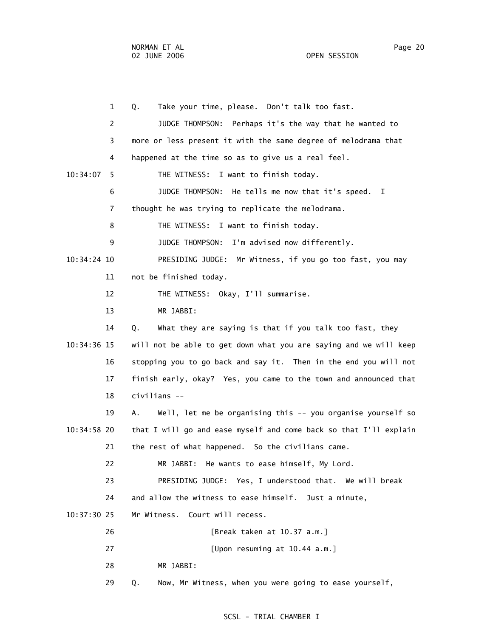1 Q. Take your time, please. Don't talk too fast. 2 JUDGE THOMPSON: Perhaps it's the way that he wanted to 3 more or less present it with the same degree of melodrama that 4 happened at the time so as to give us a real feel. 10:34:07 5 THE WITNESS: I want to finish today. 6 JUDGE THOMPSON: He tells me now that it's speed. I 7 thought he was trying to replicate the melodrama. 8 THE WITNESS: I want to finish today. 9 JUDGE THOMPSON: I'm advised now differently. 10:34:24 10 PRESIDING JUDGE: Mr Witness, if you go too fast, you may 11 not be finished today. 12 THE WITNESS: Okay, I'll summarise. 13 MR JABBI: 14 Q. What they are saying is that if you talk too fast, they 10:34:36 15 will not be able to get down what you are saying and we will keep 16 stopping you to go back and say it. Then in the end you will not 17 finish early, okay? Yes, you came to the town and announced that 18 civilians -- 19 A. Well, let me be organising this -- you organise yourself so 10:34:58 20 that I will go and ease myself and come back so that I'll explain 21 the rest of what happened. So the civilians came. 22 MR JABBI: He wants to ease himself, My Lord. 23 PRESIDING JUDGE: Yes, I understood that. We will break 24 and allow the witness to ease himself. Just a minute, 10:37:30 25 Mr Witness. Court will recess. 26 [Break taken at 10.37 a.m.] 27 [Upon resuming at 10.44 a.m.] 28 MR JABBI: 29 Q. Now, Mr Witness, when you were going to ease yourself,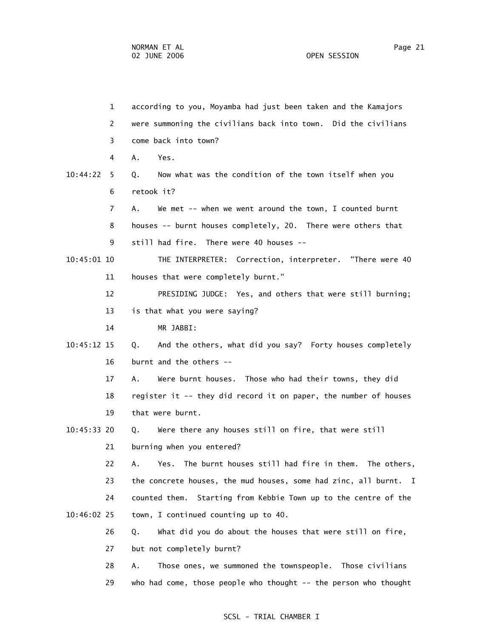|               | $\mathbf{1}$ | according to you, Moyamba had just been taken and the Kamajors     |
|---------------|--------------|--------------------------------------------------------------------|
|               | 2            | were summoning the civilians back into town. Did the civilians     |
|               | 3            | come back into town?                                               |
|               | 4            | A.<br>Yes.                                                         |
| 10:44:22      | 5.           | Now what was the condition of the town itself when you<br>Q.       |
|               | 6            | retook it?                                                         |
|               | 7            | We met -- when we went around the town, I counted burnt<br>А.      |
|               | 8            | houses -- burnt houses completely, 20. There were others that      |
|               | 9            | still had fire. There were 40 houses --                            |
| $10:45:01$ 10 |              | THE INTERPRETER: Correction, interpreter. "There were 40           |
|               | 11           | houses that were completely burnt."                                |
|               | 12           | PRESIDING JUDGE: Yes, and others that were still burning;          |
|               | 13           | is that what you were saying?                                      |
|               | 14           | MR JABBI:                                                          |
| $10:45:12$ 15 |              | Q. And the others, what did you say? Forty houses completely       |
|               | 16           | burnt and the others --                                            |
|               | 17           | Were burnt houses. Those who had their towns, they did<br>А.       |
|               | 18           | register it -- they did record it on paper, the number of houses   |
|               | 19           | that were burnt.                                                   |
| 10:45:33 20   |              | Were there any houses still on fire, that were still<br>Q.         |
|               | 21           | burning when you entered?                                          |
|               | 22           | The burnt houses still had fire in them. The others,<br>А.<br>Yes. |
|               | 23           | the concrete houses, the mud houses, some had zinc, all burnt. I   |
|               | 24           | Starting from Kebbie Town up to the centre of the<br>counted them. |
| 10:46:02 25   |              | town, I continued counting up to 40.                               |
|               | 26           | What did you do about the houses that were still on fire,<br>Q.    |
|               | 27           | but not completely burnt?                                          |
|               | 28           | Those ones, we summoned the townspeople. Those civilians<br>Α.     |
|               | 29           | who had come, those people who thought -- the person who thought   |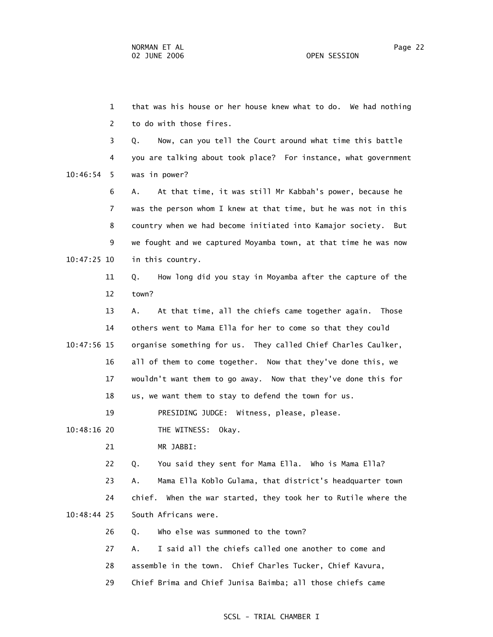1 that was his house or her house knew what to do. We had nothing 2 to do with those fires. 3 Q. Now, can you tell the Court around what time this battle 4 you are talking about took place? For instance, what government 10:46:54 5 was in power? 6 A. At that time, it was still Mr Kabbah's power, because he 7 was the person whom I knew at that time, but he was not in this 8 country when we had become initiated into Kamajor society. But 9 we fought and we captured Moyamba town, at that time he was now 10:47:25 10 in this country. 11 Q. How long did you stay in Moyamba after the capture of the 12 town? 13 A. At that time, all the chiefs came together again. Those 14 others went to Mama Ella for her to come so that they could 10:47:56 15 organise something for us. They called Chief Charles Caulker, 16 all of them to come together. Now that they've done this, we 17 wouldn't want them to go away. Now that they've done this for 18 us, we want them to stay to defend the town for us. 19 PRESIDING JUDGE: Witness, please, please. 10:48:16 20 THE WITNESS: Okay. 21 MR JABBI: 22 Q. You said they sent for Mama Ella. Who is Mama Ella? 23 A. Mama Ella Koblo Gulama, that district's headquarter town 24 chief. When the war started, they took her to Rutile where the 10:48:44 25 South Africans were. 26 Q. Who else was summoned to the town? 27 A. I said all the chiefs called one another to come and 28 assemble in the town. Chief Charles Tucker, Chief Kavura, 29 Chief Brima and Chief Junisa Baimba; all those chiefs came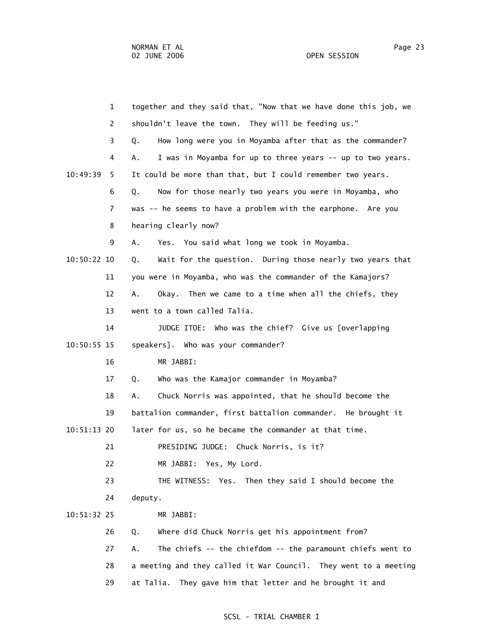|             | $\mathbf{1}$   | together and they said that, "Now that we have done this job, we |
|-------------|----------------|------------------------------------------------------------------|
|             | 2              | shouldn't leave the town. They will be feeding us."              |
|             | 3              | How long were you in Moyamba after that as the commander?<br>Q.  |
|             | 4              | I was in Moyamba for up to three years -- up to two years.<br>А. |
| 10:49:39    | 5.             | It could be more than that, but I could remember two years.      |
|             | 6              | Now for those nearly two years you were in Moyamba, who<br>Q.    |
|             | $\overline{7}$ | was -- he seems to have a problem with the earphone. Are you     |
|             | 8              | hearing clearly now?                                             |
|             | 9              | Yes. You said what long we took in Moyamba.<br>А.                |
| 10:50:22 10 |                | Wait for the question. During those nearly two years that<br>Q.  |
|             | 11             | you were in Moyamba, who was the commander of the Kamajors?      |
|             | 12             | Okay. Then we came to a time when all the chiefs, they<br>Α.     |
|             | 13             | went to a town called Talia.                                     |
|             | 14             | JUDGE ITOE: Who was the chief? Give us [overlapping              |
| 10:50:55 15 |                | speakers]. Who was your commander?                               |
|             | 16             | MR JABBI:                                                        |
|             | 17             | Who was the Kamajor commander in Moyamba?<br>Q.                  |
|             | 18             | Chuck Norris was appointed, that he should become the<br>Α.      |
|             | 19             | battalion commander, first battalion commander. He brought it    |
| 10:51:13 20 |                | later for us, so he became the commander at that time.           |
|             | 21             | PRESIDING JUDGE: Chuck Norris, is it?                            |
|             | 22             | MR JABBI: Yes, My Lord.                                          |
|             | 23             | THE WITNESS: Yes. Then they said I should become the             |
|             | 24             | deputy.                                                          |
| 10:51:32 25 |                | MR JABBI:                                                        |
|             | 26             | Where did Chuck Norris get his appointment from?<br>Q.           |
|             | 27             | The chiefs -- the chiefdom -- the paramount chiefs went to<br>Α. |
|             | 28             | a meeting and they called it War Council. They went to a meeting |
|             | 29             | They gave him that letter and he brought it and<br>at Talia.     |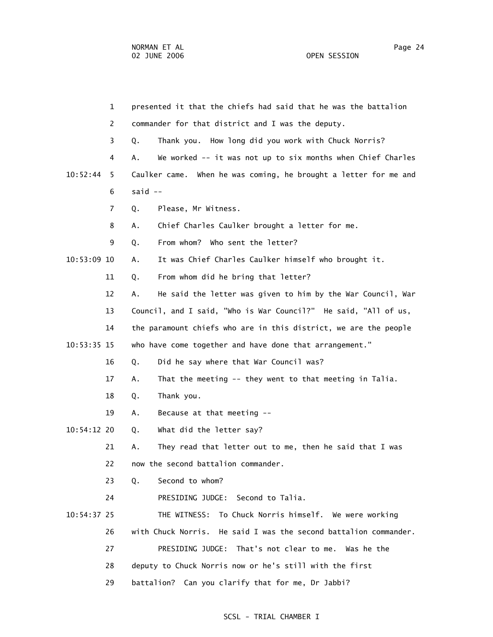|             | $\mathbf{1}$ | presented it that the chiefs had said that he was the battalion   |
|-------------|--------------|-------------------------------------------------------------------|
|             | 2            | commander for that district and I was the deputy.                 |
|             | 3            | Thank you. How long did you work with Chuck Norris?<br>Q.         |
|             | 4            | We worked -- it was not up to six months when Chief Charles<br>Α. |
| 10:52:44    | 5            | Caulker came. When he was coming, he brought a letter for me and  |
|             | 6            | said $--$                                                         |
|             | 7            | Please, Mr Witness.<br>Q.                                         |
|             | 8            | Chief Charles Caulker brought a letter for me.<br>А.              |
|             | 9            | From whom? Who sent the letter?<br>Q.                             |
| 10:53:09 10 |              | It was Chief Charles Caulker himself who brought it.<br>Α.        |
|             | 11           | From whom did he bring that letter?<br>Q.                         |
|             | 12           | He said the letter was given to him by the War Council, War<br>А. |
|             | 13           | Council, and I said, "Who is War Council?" He said, "All of us,   |
|             | 14           | the paramount chiefs who are in this district, we are the people  |
| 10:53:35 15 |              | who have come together and have done that arrangement."           |
|             | 16           | Did he say where that War Council was?<br>Q.                      |
|             | 17           | That the meeting -- they went to that meeting in Talia.<br>Α.     |
|             | 18           | Thank you.<br>Q.                                                  |
|             | 19           | Because at that meeting --<br>Α.                                  |
| 10:54:12 20 |              | What did the letter say?<br>Q.                                    |
|             | 21           | They read that letter out to me, then he said that I was<br>А.    |
|             | 22           | now the second battalion commander.                               |
|             | 23           | Second to whom?<br>Q.                                             |
|             | 24           | PRESIDING JUDGE: Second to Talia.                                 |
| 10:54:37 25 |              | To Chuck Norris himself. We were working<br>THE WITNESS:          |
|             | 26           | with Chuck Norris. He said I was the second battalion commander.  |
|             | 27           | PRESIDING JUDGE: That's not clear to me. Was he the               |
|             | 28           | deputy to Chuck Norris now or he's still with the first           |
|             | 29           | battalion? Can you clarify that for me, Dr Jabbi?                 |
|             |              |                                                                   |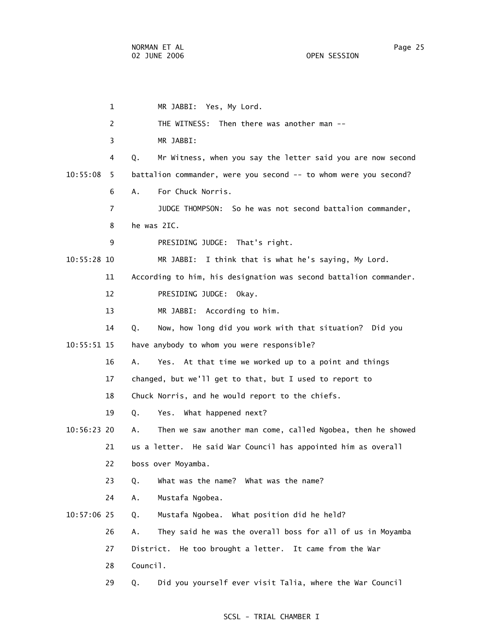1 MR JABBI: Yes, My Lord. 2 THE WITNESS: Then there was another man -- 3 MR JABBI: 4 Q. Mr Witness, when you say the letter said you are now second 10:55:08 5 battalion commander, were you second -- to whom were you second? 6 A. For Chuck Norris. 7 JUDGE THOMPSON: So he was not second battalion commander, 8 he was 2IC. 9 PRESIDING JUDGE: That's right. 10:55:28 10 MR JABBI: I think that is what he's saying, My Lord. 11 According to him, his designation was second battalion commander. 12 PRESIDING JUDGE: Okay. 13 MR JABBI: According to him. 14 Q. Now, how long did you work with that situation? Did you 10:55:51 15 have anybody to whom you were responsible? 16 A. Yes. At that time we worked up to a point and things 17 changed, but we'll get to that, but I used to report to 18 Chuck Norris, and he would report to the chiefs. 19 Q. Yes. What happened next? 10:56:23 20 A. Then we saw another man come, called Ngobea, then he showed 21 us a letter. He said War Council has appointed him as overall 22 boss over Moyamba. 23 Q. What was the name? What was the name? 24 A. Mustafa Ngobea. 10:57:06 25 Q. Mustafa Ngobea. What position did he held? 26 A. They said he was the overall boss for all of us in Moyamba 27 District. He too brought a letter. It came from the War 28 Council. 29 Q. Did you yourself ever visit Talia, where the War Council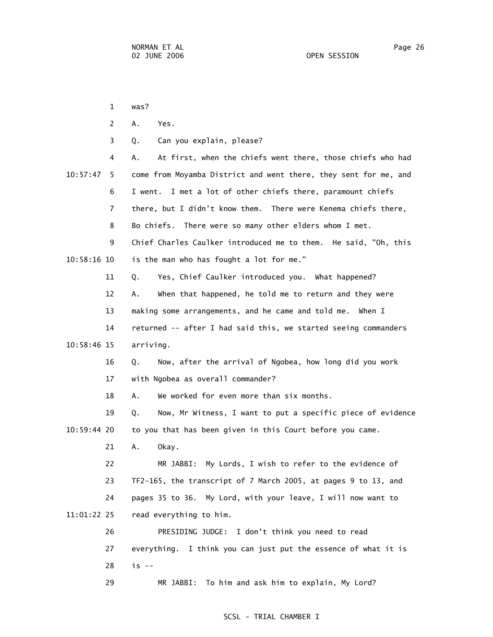1 was? 2 A. Yes. 3 Q. Can you explain, please? 4 A. At first, when the chiefs went there, those chiefs who had 10:57:47 5 come from Moyamba District and went there, they sent for me, and 6 I went. I met a lot of other chiefs there, paramount chiefs 7 there, but I didn't know them. There were Kenema chiefs there, 8 Bo chiefs. There were so many other elders whom I met. 9 Chief Charles Caulker introduced me to them. He said, "Oh, this 10:58:16 10 is the man who has fought a lot for me." 11 Q. Yes, Chief Caulker introduced you. What happened? 12 A. When that happened, he told me to return and they were 13 making some arrangements, and he came and told me. When I 14 returned -- after I had said this, we started seeing commanders 10:58:46 15 arriving. 16 Q. Now, after the arrival of Ngobea, how long did you work 17 with Ngobea as overall commander? 18 A. We worked for even more than six months. 19 Q. Now, Mr Witness, I want to put a specific piece of evidence 10:59:44 20 to you that has been given in this Court before you came. 21 A. Okay. 22 MR JABBI: My Lords, I wish to refer to the evidence of 23 TF2-165, the transcript of 7 March 2005, at pages 9 to 13, and 24 pages 35 to 36. My Lord, with your leave, I will now want to 11:01:22 25 read everything to him. 26 PRESIDING JUDGE: I don't think you need to read 27 everything. I think you can just put the essence of what it is 28 is -- 29 MR JABBI: To him and ask him to explain, My Lord?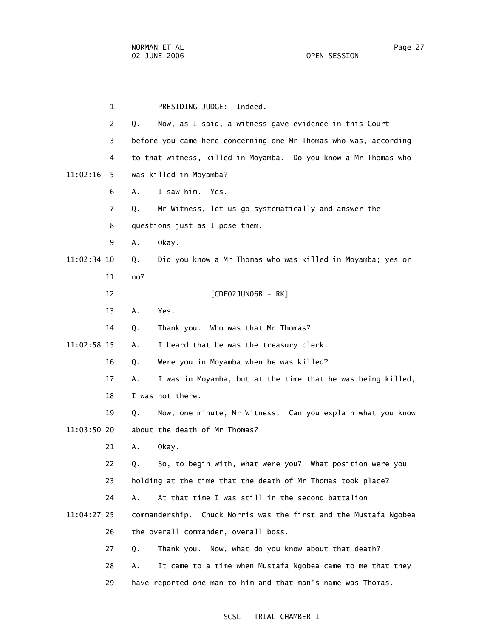1 PRESIDING JUDGE: Indeed. 2 Q. Now, as I said, a witness gave evidence in this Court 3 before you came here concerning one Mr Thomas who was, according 4 to that witness, killed in Moyamba. Do you know a Mr Thomas who 11:02:16 5 was killed in Moyamba? 6 A. I saw him. Yes. 7 Q. Mr Witness, let us go systematically and answer the 8 questions just as I pose them. 9 A. Okay. 11:02:34 10 Q. Did you know a Mr Thomas who was killed in Moyamba; yes or 11 no? 12 **[CDF02JUN06B - RK]**  13 A. Yes. 14 Q. Thank you. Who was that Mr Thomas? 11:02:58 15 A. I heard that he was the treasury clerk. 16 Q. Were you in Moyamba when he was killed? 17 A. I was in Moyamba, but at the time that he was being killed, 18 I was not there. 19 Q. Now, one minute, Mr Witness. Can you explain what you know 11:03:50 20 about the death of Mr Thomas? 21 A. Okay. 22 Q. So, to begin with, what were you? What position were you 23 holding at the time that the death of Mr Thomas took place? 24 A. At that time I was still in the second battalion 11:04:27 25 commandership. Chuck Norris was the first and the Mustafa Ngobea 26 the overall commander, overall boss. 27 Q. Thank you. Now, what do you know about that death? 28 A. It came to a time when Mustafa Ngobea came to me that they 29 have reported one man to him and that man's name was Thomas.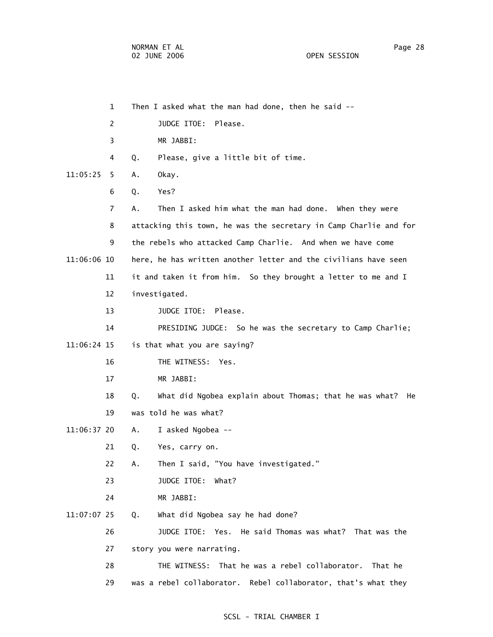|          | $\mathbf 1$ | Then I asked what the man had done, then he said --                 |
|----------|-------------|---------------------------------------------------------------------|
|          | 2           | Please.<br>JUDGE ITOE:                                              |
|          | 3           | MR JABBI:                                                           |
|          | 4           | Please, give a little bit of time.<br>Q.                            |
| 11:05:25 | 5.          | Okay.<br>А.                                                         |
|          | 6           | Yes?<br>Q.                                                          |
|          | 7           | Α.<br>Then I asked him what the man had done. When they were        |
|          | 8           | attacking this town, he was the secretary in Camp Charlie and for   |
|          | 9           | the rebels who attacked Camp Charlie. And when we have come         |
|          | 11:06:06 10 | here, he has written another letter and the civilians have seen     |
|          | 11          | it and taken it from him. So they brought a letter to me and I      |
|          | 12          | investigated.                                                       |
|          | 13          | JUDGE ITOE:<br>Please.                                              |
|          | 14          | PRESIDING JUDGE: So he was the secretary to Camp Charlie;           |
|          | 11:06:24 15 | is that what you are saying?                                        |
|          | 16          | THE WITNESS:<br>Yes.                                                |
|          | 17          | MR JABBI:                                                           |
|          | 18          | What did Ngobea explain about Thomas; that he was what?<br>Q.<br>He |
|          | 19          | was told he was what?                                               |
|          | 11:06:37 20 | I asked Ngobea --<br>Α.                                             |
|          | 21          | Q.<br>Yes, carry on.                                                |
|          | 22          | Α.<br>Then I said, "You have investigated."                         |
|          | 23          | JUDGE ITOE:<br>What?                                                |
|          | 24          | MR JABBI:                                                           |
|          | 11:07:07 25 | What did Ngobea say he had done?<br>Q.                              |
|          | 26          | JUDGE ITOE: Yes. He said Thomas was what? That was the              |
|          | 27          | story you were narrating.                                           |
|          | 28          | That he was a rebel collaborator. That he<br>THE WITNESS:           |
|          | 29          | was a rebel collaborator. Rebel collaborator, that's what they      |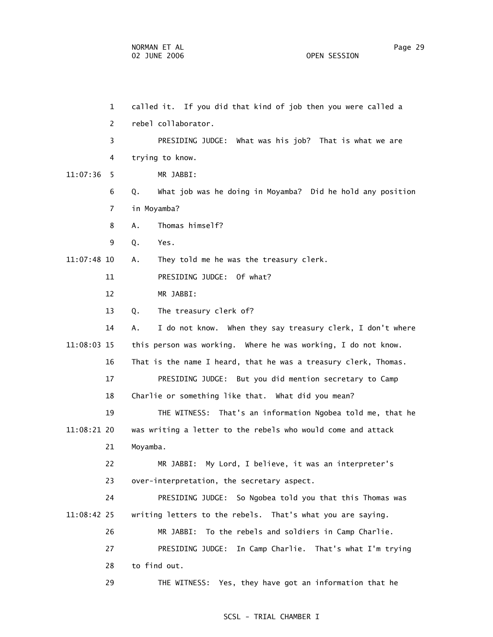1 called it. If you did that kind of job then you were called a 2 rebel collaborator. 3 PRESIDING JUDGE: What was his job? That is what we are 4 trying to know. 11:07:36 5 MR JABBI: 6 Q. What job was he doing in Moyamba? Did he hold any position 7 in Moyamba? 8 A. Thomas himself? 9 Q. Yes. 11:07:48 10 A. They told me he was the treasury clerk. 11 PRESIDING JUDGE: Of what? 12 MR JABBI: 13 Q. The treasury clerk of? 14 A. I do not know. When they say treasury clerk, I don't where 11:08:03 15 this person was working. Where he was working, I do not know. 16 That is the name I heard, that he was a treasury clerk, Thomas. 17 PRESIDING JUDGE: But you did mention secretary to Camp 18 Charlie or something like that. What did you mean? 19 THE WITNESS: That's an information Ngobea told me, that he 11:08:21 20 was writing a letter to the rebels who would come and attack 21 Moyamba. 22 MR JABBI: My Lord, I believe, it was an interpreter's 23 over-interpretation, the secretary aspect. 24 PRESIDING JUDGE: So Ngobea told you that this Thomas was 11:08:42 25 writing letters to the rebels. That's what you are saying. 26 MR JABBI: To the rebels and soldiers in Camp Charlie. 27 PRESIDING JUDGE: In Camp Charlie. That's what I'm trying 28 to find out. 29 THE WITNESS: Yes, they have got an information that he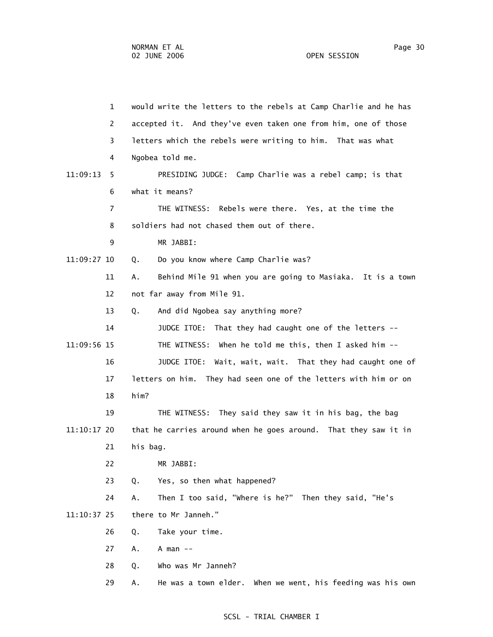1 would write the letters to the rebels at Camp Charlie and he has 2 accepted it. And they've even taken one from him, one of those 3 letters which the rebels were writing to him. That was what 4 Ngobea told me. 11:09:13 5 PRESIDING JUDGE: Camp Charlie was a rebel camp; is that 6 what it means? 7 THE WITNESS: Rebels were there. Yes, at the time the 8 soldiers had not chased them out of there. 9 MR JABBI: 11:09:27 10 Q. Do you know where Camp Charlie was? 11 A. Behind Mile 91 when you are going to Masiaka. It is a town 12 not far away from Mile 91. 13 Q. And did Ngobea say anything more? 14 JUDGE ITOE: That they had caught one of the letters -- 11:09:56 15 THE WITNESS: When he told me this, then I asked him -- 16 JUDGE ITOE: Wait, wait, wait. That they had caught one of 17 letters on him. They had seen one of the letters with him or on 18 him? 19 THE WITNESS: They said they saw it in his bag, the bag 11:10:17 20 that he carries around when he goes around. That they saw it in 21 his bag. 22 MR JABBI: 23 Q. Yes, so then what happened? 24 A. Then I too said, "Where is he?" Then they said, "He's 11:10:37 25 there to Mr Janneh." 26 Q. Take your time. 27 A. A man -- 28 Q. Who was Mr Janneh? 29 A. He was a town elder. When we went, his feeding was his own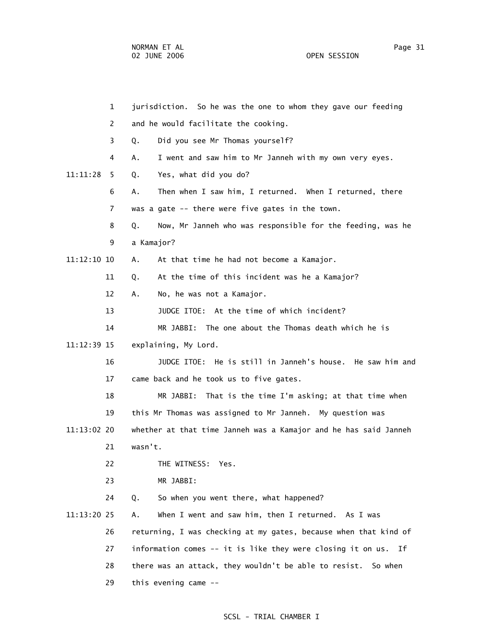1 jurisdiction. So he was the one to whom they gave our feeding 2 and he would facilitate the cooking. 3 Q. Did you see Mr Thomas yourself? 4 A. I went and saw him to Mr Janneh with my own very eyes. 11:11:28 5 Q. Yes, what did you do? 6 A. Then when I saw him, I returned. When I returned, there 7 was a gate -- there were five gates in the town. 8 Q. Now, Mr Janneh who was responsible for the feeding, was he 9 a Kamajor? 11:12:10 10 A. At that time he had not become a Kamajor. 11 Q. At the time of this incident was he a Kamajor? 12 A. No, he was not a Kamajor. 13 JUDGE ITOE: At the time of which incident? 14 MR JABBI: The one about the Thomas death which he is 11:12:39 15 explaining, My Lord. 16 JUDGE ITOE: He is still in Janneh's house. He saw him and 17 came back and he took us to five gates. 18 MR JABBI: That is the time I'm asking; at that time when 19 this Mr Thomas was assigned to Mr Janneh. My question was 11:13:02 20 whether at that time Janneh was a Kamajor and he has said Janneh 21 wasn't. 22 THE WITNESS: Yes. 23 MR JABBI: 24 Q. So when you went there, what happened? 11:13:20 25 A. When I went and saw him, then I returned. As I was 26 returning, I was checking at my gates, because when that kind of 27 information comes -- it is like they were closing it on us. If 28 there was an attack, they wouldn't be able to resist. So when 29 this evening came --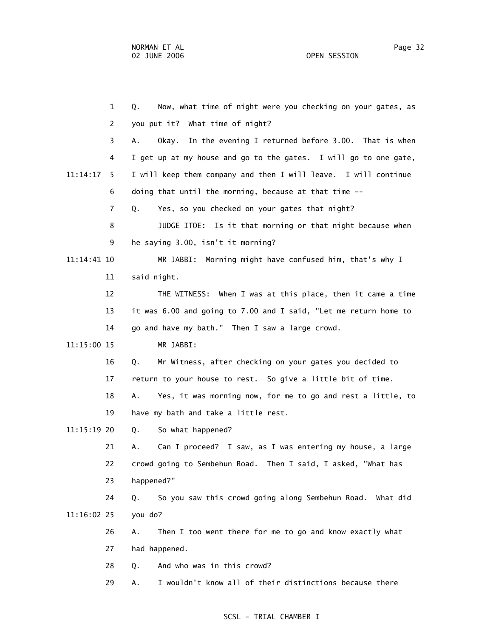1 Q. Now, what time of night were you checking on your gates, as 2 you put it? What time of night? 3 A. Okay. In the evening I returned before 3.00. That is when 4 I get up at my house and go to the gates. I will go to one gate, 11:14:17 5 I will keep them company and then I will leave. I will continue 6 doing that until the morning, because at that time -- 7 Q. Yes, so you checked on your gates that night? 8 JUDGE ITOE: Is it that morning or that night because when 9 he saying 3.00, isn't it morning? 11:14:41 10 MR JABBI: Morning might have confused him, that's why I 11 said night. 12 THE WITNESS: When I was at this place, then it came a time 13 it was 6.00 and going to 7.00 and I said, "Let me return home to 14 go and have my bath." Then I saw a large crowd. 11:15:00 15 MR JABBI: 16 Q. Mr Witness, after checking on your gates you decided to 17 return to your house to rest. So give a little bit of time. 18 A. Yes, it was morning now, for me to go and rest a little, to 19 have my bath and take a little rest. 11:15:19 20 Q. So what happened? 21 A. Can I proceed? I saw, as I was entering my house, a large 22 crowd going to Sembehun Road. Then I said, I asked, "What has 23 happened?" 24 Q. So you saw this crowd going along Sembehun Road. What did 11:16:02 25 you do? 26 A. Then I too went there for me to go and know exactly what 27 had happened. 28 Q. And who was in this crowd? 29 A. I wouldn't know all of their distinctions because there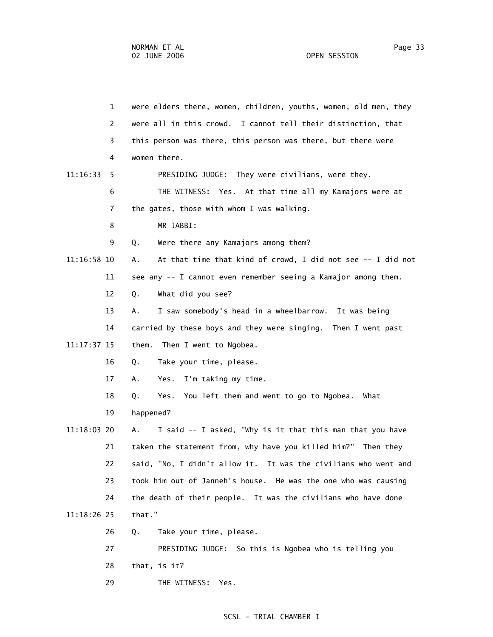1 were elders there, women, children, youths, women, old men, they 2 were all in this crowd. I cannot tell their distinction, that 3 this person was there, this person was there, but there were 4 women there. 11:16:33 5 PRESIDING JUDGE: They were civilians, were they. 6 THE WITNESS: Yes. At that time all my Kamajors were at 7 the gates, those with whom I was walking. 8 MR JABBI: 9 Q. Were there any Kamajors among them? 11:16:58 10 A. At that time that kind of crowd, I did not see -- I did not 11 see any -- I cannot even remember seeing a Kamajor among them. 12 Q. What did you see? 13 A. I saw somebody's head in a wheelbarrow. It was being 14 carried by these boys and they were singing. Then I went past 11:17:37 15 them. Then I went to Ngobea. 16 Q. Take your time, please. 17 A. Yes. I'm taking my time. 18 Q. Yes. You left them and went to go to Ngobea. What 19 happened? 11:18:03 20 A. I said -- I asked, "Why is it that this man that you have 21 taken the statement from, why have you killed him?" Then they 22 said, "No, I didn't allow it. It was the civilians who went and 23 took him out of Janneh's house. He was the one who was causing 24 the death of their people. It was the civilians who have done 11:18:26 25 that." 26 Q. Take your time, please. 27 PRESIDING JUDGE: So this is Ngobea who is telling you 28 that, is it? 29 THE WITNESS: Yes.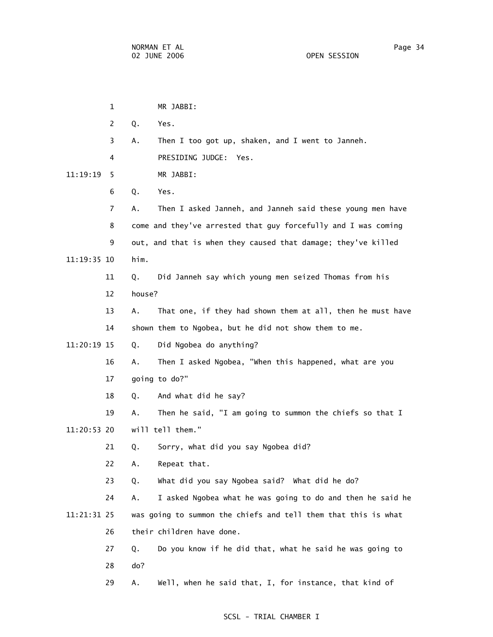|             | 1              |        | MR JABBI:                                                      |
|-------------|----------------|--------|----------------------------------------------------------------|
|             | $\overline{c}$ | Q.     | Yes.                                                           |
|             | 3              | Α.     | Then I too got up, shaken, and I went to Janneh.               |
|             | 4              |        | PRESIDING JUDGE:<br>Yes.                                       |
| 11:19:19    | 5              |        | MR JABBI:                                                      |
|             | 6              | Q.     | Yes.                                                           |
|             | 7              | Α.     | Then I asked Janneh, and Janneh said these young men have      |
|             | 8              |        | come and they've arrested that guy forcefully and I was coming |
|             | 9              |        | out, and that is when they caused that damage; they've killed  |
| 11:19:35 10 |                | him.   |                                                                |
|             | 11             | Q.     | Did Janneh say which young men seized Thomas from his          |
|             | 12             | house? |                                                                |
|             | 13             | Α.     | That one, if they had shown them at all, then he must have     |
|             | 14             |        | shown them to Ngobea, but he did not show them to me.          |
| 11:20:19 15 |                | Q.     | Did Ngobea do anything?                                        |
|             | 16             | Α.     | Then I asked Ngobea, "When this happened, what are you         |
|             | 17             |        | going to do?"                                                  |
|             | 18             | Q.     | And what did he say?                                           |
|             | 19             | Α.     | Then he said, "I am going to summon the chiefs so that I       |
| 11:20:53 20 |                |        | will tell them."                                               |
|             | 21             | Q.     | Sorry, what did you say Ngobea did?                            |
|             | 22             | Α.     | Repeat that.                                                   |
|             | 23             | Q.     | What did you say Ngobea said? What did he do?                  |
|             | 24             | А.     | I asked Ngobea what he was going to do and then he said he     |
| 11:21:31 25 |                |        | was going to summon the chiefs and tell them that this is what |
|             | 26             |        | their children have done.                                      |
|             | 27             | Q.     | Do you know if he did that, what he said he was going to       |
|             | 28             | do?    |                                                                |
|             | 29             | Α.     | Well, when he said that, I, for instance, that kind of         |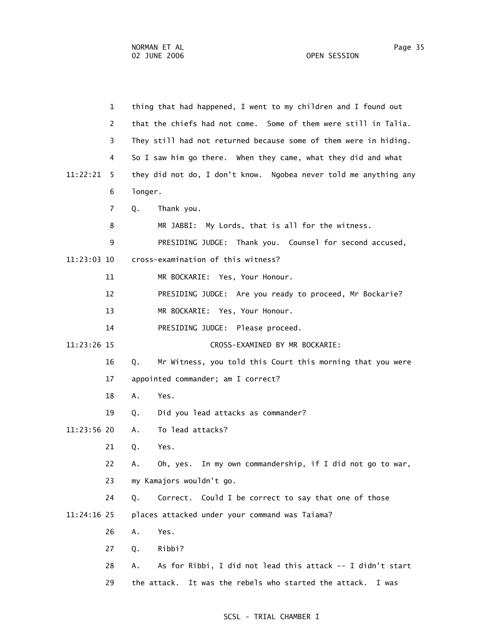1 thing that had happened, I went to my children and I found out 2 that the chiefs had not come. Some of them were still in Talia. 3 They still had not returned because some of them were in hiding. 4 So I saw him go there. When they came, what they did and what 11:22:21 5 they did not do, I don't know. Ngobea never told me anything any 6 longer. 7 Q. Thank you. 8 MR JABBI: My Lords, that is all for the witness. 9 PRESIDING JUDGE: Thank you. Counsel for second accused, 11:23:03 10 cross-examination of this witness? 11 MR BOCKARIE: Yes, Your Honour. 12 PRESIDING JUDGE: Are you ready to proceed, Mr Bockarie? 13 MR BOCKARIE: Yes, Your Honour. 14 PRESIDING JUDGE: Please proceed. 11:23:26 15 CROSS-EXAMINED BY MR BOCKARIE: 16 Q. Mr Witness, you told this Court this morning that you were 17 appointed commander; am I correct? 18 A. Yes. 19 Q. Did you lead attacks as commander? 11:23:56 20 A. To lead attacks? 21 Q. Yes. 22 A. Oh, yes. In my own commandership, if I did not go to war, 23 my Kamajors wouldn't go. 24 Q. Correct. Could I be correct to say that one of those 11:24:16 25 places attacked under your command was Taiama? 26 A. Yes. 27 Q. Ribbi? 28 A. As for Ribbi, I did not lead this attack -- I didn't start 29 the attack. It was the rebels who started the attack. I was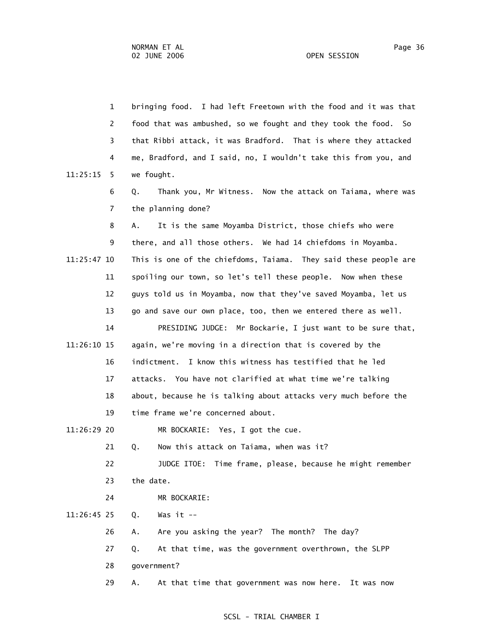|             | $\mathbf{1}$ | bringing food. I had left Freetown with the food and it was that |
|-------------|--------------|------------------------------------------------------------------|
|             | 2            | food that was ambushed, so we fought and they took the food. So  |
|             | 3            | that Ribbi attack, it was Bradford. That is where they attacked  |
|             | 4            | me, Bradford, and I said, no, I wouldn't take this from you, and |
| 11:25:15    | 5.           | we fought.                                                       |
|             | 6<br>Q.      | Thank you, Mr Witness. Now the attack on Taiama, where was       |
|             | 7            | the planning done?                                               |
|             | 8<br>Α.      | It is the same Moyamba District, those chiefs who were           |
|             | 9            | there, and all those others. We had 14 chiefdoms in Moyamba.     |
| 11:25:47 10 |              | This is one of the chiefdoms, Taiama. They said these people are |
| 11          |              | spoiling our town, so let's tell these people. Now when these    |
| 12          |              | guys told us in Moyamba, now that they've saved Moyamba, let us  |
| 13          |              | go and save our own place, too, then we entered there as well.   |
| 14          |              | PRESIDING JUDGE: Mr Bockarie, I just want to be sure that,       |
| 11:26:10 15 |              | again, we're moving in a direction that is covered by the        |
| 16          |              | I know this witness has testified that he led<br>indictment.     |
| 17          |              | attacks. You have not clarified at what time we're talking       |
| 18          |              | about, because he is talking about attacks very much before the  |
| 19          |              | time frame we're concerned about.                                |
| 11:26:29 20 |              | MR BOCKARIE: Yes, I got the cue.                                 |
| 21          | Q.           | Now this attack on Taiama, when was it?                          |
| 22          |              | JUDGE ITOE: Time frame, please, because he might remember        |
| 23          |              | the date.                                                        |
| 24          |              | MR BOCKARIE:                                                     |
| 11:26:45 25 | Q.           | Was it $-$                                                       |
| 26          | Α.           | Are you asking the year? The month? The day?                     |
| 27          | Q.           | At that time, was the government overthrown, the SLPP            |
| 28          |              | government?                                                      |
| 29          | Α.           | At that time that government was now here. It was now            |
|             |              |                                                                  |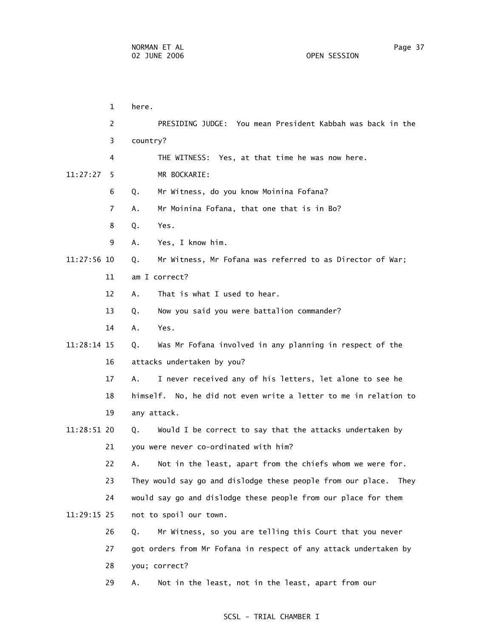1 here. 2 PRESIDING JUDGE: You mean President Kabbah was back in the 3 country? 4 THE WITNESS: Yes, at that time he was now here. 11:27:27 5 MR BOCKARIE: 6 Q. Mr Witness, do you know Moinina Fofana? 7 A. Mr Moinina Fofana, that one that is in Bo? 8 Q. Yes. 9 A. Yes, I know him. 11:27:56 10 Q. Mr Witness, Mr Fofana was referred to as Director of War; 11 am I correct? 12 A. That is what I used to hear. 13 Q. Now you said you were battalion commander? 14 A. Yes. 11:28:14 15 Q. Was Mr Fofana involved in any planning in respect of the 16 attacks undertaken by you? 17 A. I never received any of his letters, let alone to see he 18 himself. No, he did not even write a letter to me in relation to 19 any attack. 11:28:51 20 Q. Would I be correct to say that the attacks undertaken by 21 you were never co-ordinated with him? 22 A. Not in the least, apart from the chiefs whom we were for. 23 They would say go and dislodge these people from our place. They 24 would say go and dislodge these people from our place for them 11:29:15 25 not to spoil our town. 26 Q. Mr Witness, so you are telling this Court that you never 27 got orders from Mr Fofana in respect of any attack undertaken by 28 you; correct? 29 A. Not in the least, not in the least, apart from our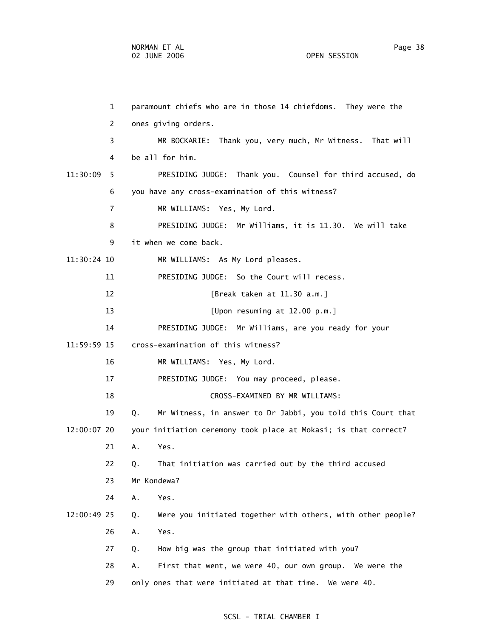| $\mathbf{1}$   | paramount chiefs who are in those 14 chiefdoms. They were the     |
|----------------|-------------------------------------------------------------------|
| 2              | ones giving orders.                                               |
| 3              | MR BOCKARIE: Thank you, very much, Mr Witness. That will          |
| 4              | be all for him.                                                   |
| 11:30:09<br>5. | PRESIDING JUDGE: Thank you. Counsel for third accused, do         |
| 6              | you have any cross-examination of this witness?                   |
| $\overline{7}$ | MR WILLIAMS: Yes, My Lord.                                        |
| 8              | PRESIDING JUDGE: Mr Williams, it is 11.30. We will take           |
| 9              | it when we come back.                                             |
| 11:30:24 10    | MR WILLIAMS: As My Lord pleases.                                  |
| 11             | PRESIDING JUDGE: So the Court will recess.                        |
| 12             | [Break taken at 11.30 a.m.]                                       |
| 13             | [Upon resuming at 12.00 p.m.]                                     |
| 14             | PRESIDING JUDGE: Mr Williams, are you ready for your              |
| 11:59:59 15    | cross-examination of this witness?                                |
| 16             | MR WILLIAMS: Yes, My Lord.                                        |
| 17             | PRESIDING JUDGE: You may proceed, please.                         |
| 18             | CROSS-EXAMINED BY MR WILLIAMS:                                    |
| 19             | Mr Witness, in answer to Dr Jabbi, you told this Court that<br>Q. |
| 12:00:07 20    | your initiation ceremony took place at Mokasi; is that correct?   |
| 21             | А.<br>Yes.                                                        |
| 22             | That initiation was carried out by the third accused<br>Q.        |
| 23             | Mr Kondewa?                                                       |
| 24             | Α.<br>Yes.                                                        |
| 12:00:49 25    | Were you initiated together with others, with other people?<br>Q. |
| 26             | Α.<br>Yes.                                                        |
| 27             | How big was the group that initiated with you?<br>Q.              |
| 28             | First that went, we were 40, our own group. We were the<br>Α.     |
| 29             | only ones that were initiated at that time. We were 40.           |
|                |                                                                   |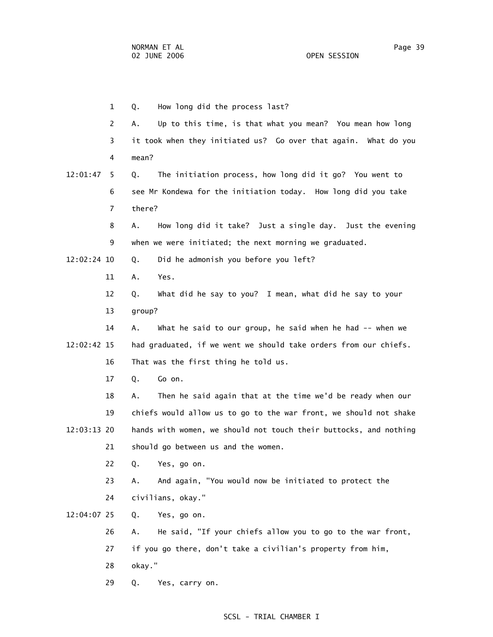1 Q. How long did the process last? 2 A. Up to this time, is that what you mean? You mean how long 3 it took when they initiated us? Go over that again. What do you 4 mean? 12:01:47 5 Q. The initiation process, how long did it go? You went to 6 see Mr Kondewa for the initiation today. How long did you take 7 there? 8 A. How long did it take? Just a single day. Just the evening 9 when we were initiated; the next morning we graduated. 12:02:24 10 Q. Did he admonish you before you left? 11 A. Yes. 12 Q. What did he say to you? I mean, what did he say to your 13 group? 14 A. What he said to our group, he said when he had -- when we 12:02:42 15 had graduated, if we went we should take orders from our chiefs. 16 That was the first thing he told us. 17 Q. Go on. 18 A. Then he said again that at the time we'd be ready when our 19 chiefs would allow us to go to the war front, we should not shake 12:03:13 20 hands with women, we should not touch their buttocks, and nothing 21 should go between us and the women. 22 Q. Yes, go on. 23 A. And again, "You would now be initiated to protect the 24 civilians, okay." 12:04:07 25 Q. Yes, go on. 26 A. He said, "If your chiefs allow you to go to the war front, 27 if you go there, don't take a civilian's property from him, 28 okay."

29 Q. Yes, carry on.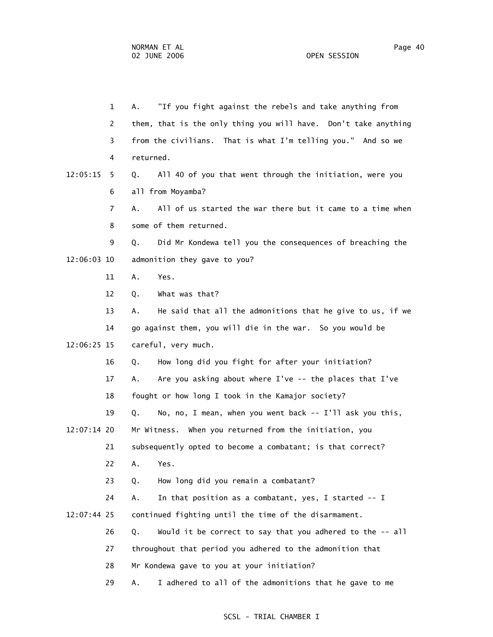1 A. "If you fight against the rebels and take anything from 2 them, that is the only thing you will have. Don't take anything 3 from the civilians. That is what I'm telling you." And so we 4 returned. 12:05:15 5 Q. All 40 of you that went through the initiation, were you 6 all from Moyamba? 7 A. All of us started the war there but it came to a time when 8 some of them returned. 9 Q. Did Mr Kondewa tell you the consequences of breaching the 12:06:03 10 admonition they gave to you? 11 A. Yes. 12 Q. What was that? 13 A. He said that all the admonitions that he give to us, if we 14 go against them, you will die in the war. So you would be 12:06:25 15 careful, very much. 16 Q. How long did you fight for after your initiation? 17 A. Are you asking about where I've -- the places that I've 18 fought or how long I took in the Kamajor society? 19 Q. No, no, I mean, when you went back -- I'll ask you this, 12:07:14 20 Mr Witness. When you returned from the initiation, you 21 subsequently opted to become a combatant; is that correct? 22 A. Yes. 23 Q. How long did you remain a combatant? 24 A. In that position as a combatant, yes, I started -- I 12:07:44 25 continued fighting until the time of the disarmament. 26 Q. Would it be correct to say that you adhered to the -- all 27 throughout that period you adhered to the admonition that 28 Mr Kondewa gave to you at your initiation?

## SCSL - TRIAL CHAMBER I

29 A. I adhered to all of the admonitions that he gave to me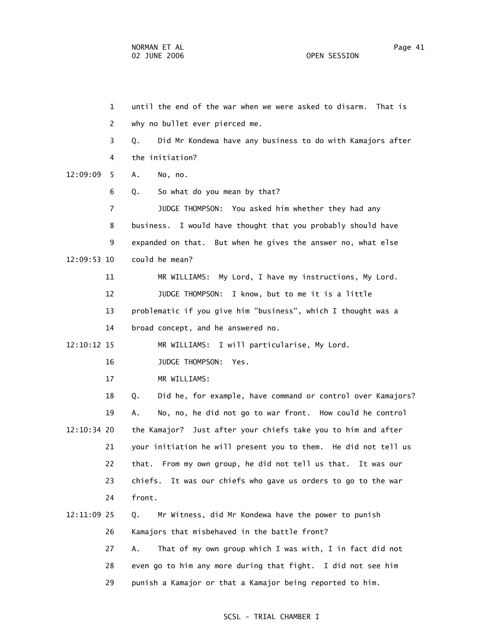1 until the end of the war when we were asked to disarm. That is 2 why no bullet ever pierced me. 3 Q. Did Mr Kondewa have any business to do with Kamajors after 4 the initiation? 12:09:09 5 A. No, no. 6 Q. So what do you mean by that? 7 JUDGE THOMPSON: You asked him whether they had any 8 business. I would have thought that you probably should have 9 expanded on that. But when he gives the answer no, what else 12:09:53 10 could he mean? 11 MR WILLIAMS: My Lord, I have my instructions, My Lord. 12 JUDGE THOMPSON: I know, but to me it is a little 13 problematic if you give him "business", which I thought was a 14 broad concept, and he answered no. 12:10:12 15 MR WILLIAMS: I will particularise, My Lord. 16 JUDGE THOMPSON: Yes. 17 MR WILLIAMS: 18 Q. Did he, for example, have command or control over Kamajors? 19 A. No, no, he did not go to war front. How could he control 12:10:34 20 the Kamajor? Just after your chiefs take you to him and after 21 your initiation he will present you to them. He did not tell us 22 that. From my own group, he did not tell us that. It was our 23 chiefs. It was our chiefs who gave us orders to go to the war 24 front. 12:11:09 25 Q. Mr Witness, did Mr Kondewa have the power to punish 26 Kamajors that misbehaved in the battle front? 27 A. That of my own group which I was with, I in fact did not 28 even go to him any more during that fight. I did not see him 29 punish a Kamajor or that a Kamajor being reported to him.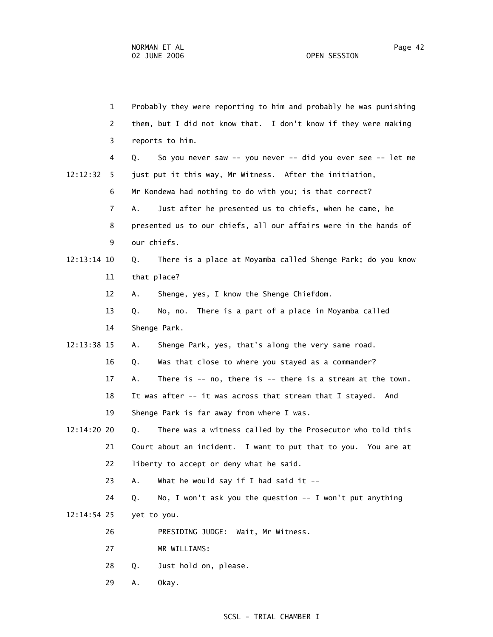1 Probably they were reporting to him and probably he was punishing 2 them, but I did not know that. I don't know if they were making 3 reports to him. 4 Q. So you never saw -- you never -- did you ever see -- let me 12:12:32 5 just put it this way, Mr Witness. After the initiation, 6 Mr Kondewa had nothing to do with you; is that correct? 7 A. Just after he presented us to chiefs, when he came, he 8 presented us to our chiefs, all our affairs were in the hands of 9 our chiefs. 12:13:14 10 Q. There is a place at Moyamba called Shenge Park; do you know 11 that place? 12 A. Shenge, yes, I know the Shenge Chiefdom. 13 Q. No, no. There is a part of a place in Moyamba called 14 Shenge Park. 12:13:38 15 A. Shenge Park, yes, that's along the very same road. 16 Q. Was that close to where you stayed as a commander? 17 A. There is -- no, there is -- there is a stream at the town. 18 It was after -- it was across that stream that I stayed. And 19 Shenge Park is far away from where I was. 12:14:20 20 Q. There was a witness called by the Prosecutor who told this 21 Court about an incident. I want to put that to you. You are at 22 liberty to accept or deny what he said. 23 A. What he would say if I had said it -- 24 Q. No, I won't ask you the question -- I won't put anything 12:14:54 25 yet to you. 26 PRESIDING JUDGE: Wait, Mr Witness. 27 MR WILLIAMS: 28 Q. Just hold on, please. 29 A. Okay.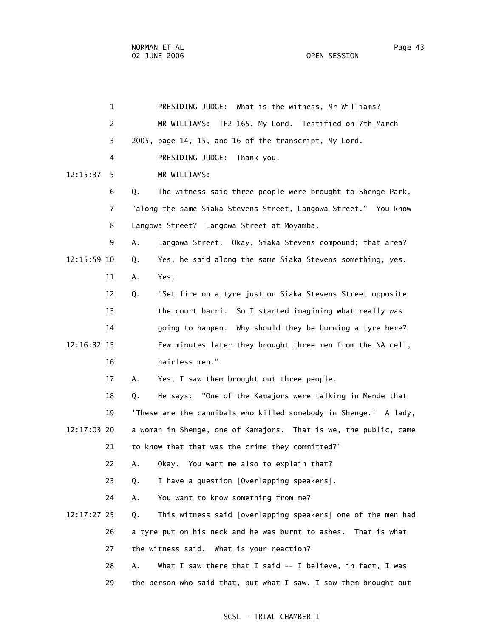| $\mathbf{1}$   | PRESIDING JUDGE: What is the witness, Mr Williams?                |
|----------------|-------------------------------------------------------------------|
| $\overline{2}$ | TF2-165, My Lord. Testified on 7th March<br>MR WILLIAMS:          |
| 3              | 2005, page 14, 15, and 16 of the transcript, My Lord.             |
| 4              | PRESIDING JUDGE: Thank you.                                       |
| 12:15:37<br>5. | MR WILLIAMS:                                                      |
| 6              | The witness said three people were brought to Shenge Park,<br>Q.  |
| 7              | "along the same Siaka Stevens Street, Langowa Street." You know   |
| 8              | Langowa Street? Langowa Street at Moyamba.                        |
| 9              | Α.<br>Langowa Street. Okay, Siaka Stevens compound; that area?    |
| 12:15:59 10    | Yes, he said along the same Siaka Stevens something, yes.<br>Q.   |
| 11             | Yes.<br>Α.                                                        |
| 12             | "Set fire on a tyre just on Siaka Stevens Street opposite<br>Q.   |
| 13             | the court barri. So I started imagining what really was           |
| 14             | going to happen. Why should they be burning a tyre here?          |
| 12:16:32 15    | Few minutes later they brought three men from the NA cell,        |
| 16             | hairless men."                                                    |
| 17             | Yes, I saw them brought out three people.<br>А.                   |
| 18             | He says: "One of the Kamajors were talking in Mende that<br>Q.    |
| 19             | 'These are the cannibals who killed somebody in Shenge.' A lady,  |
| 12:17:03 20    | a woman in Shenge, one of Kamajors. That is we, the public, came  |
| 21             | to know that that was the crime they committed?"                  |
| 22             | Α.<br>Okay. You want me also to explain that?                     |
| 23             | I have a question [Overlapping speakers].<br>Q.                   |
| 24             | You want to know something from me?<br>А.                         |
| 12:17:27 25    | This witness said [overlapping speakers] one of the men had<br>Q. |
| 26             | a tyre put on his neck and he was burnt to ashes. That is what    |
| 27             | the witness said. What is your reaction?                          |
| 28             | What I saw there that I said $-$ I believe, in fact, I was<br>А.  |
| 29             | the person who said that, but what I saw, I saw them brought out  |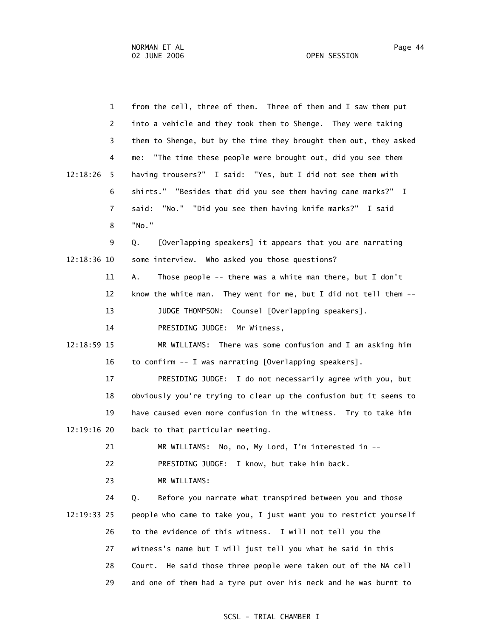1 from the cell, three of them. Three of them and I saw them put 2 into a vehicle and they took them to Shenge. They were taking 3 them to Shenge, but by the time they brought them out, they asked 4 me: "The time these people were brought out, did you see them 12:18:26 5 having trousers?" I said: "Yes, but I did not see them with 6 shirts." "Besides that did you see them having cane marks?" I 7 said: "No." "Did you see them having knife marks?" I said 8 "No." 9 Q. [Overlapping speakers] it appears that you are narrating 12:18:36 10 some interview. Who asked you those questions? 11 A. Those people -- there was a white man there, but I don't 12 know the white man. They went for me, but I did not tell them -- 13 JUDGE THOMPSON: Counsel [Overlapping speakers]. 14 PRESIDING JUDGE: Mr Witness, 12:18:59 15 MR WILLIAMS: There was some confusion and I am asking him 16 to confirm -- I was narrating [Overlapping speakers]. 17 PRESIDING JUDGE: I do not necessarily agree with you, but 18 obviously you're trying to clear up the confusion but it seems to 19 have caused even more confusion in the witness. Try to take him 12:19:16 20 back to that particular meeting. 21 MR WILLIAMS: No, no, My Lord, I'm interested in -- 22 PRESIDING JUDGE: I know, but take him back. 23 MR WILLIAMS: 24 Q. Before you narrate what transpired between you and those 12:19:33 25 people who came to take you, I just want you to restrict yourself 26 to the evidence of this witness. I will not tell you the 27 witness's name but I will just tell you what he said in this 28 Court. He said those three people were taken out of the NA cell 29 and one of them had a tyre put over his neck and he was burnt to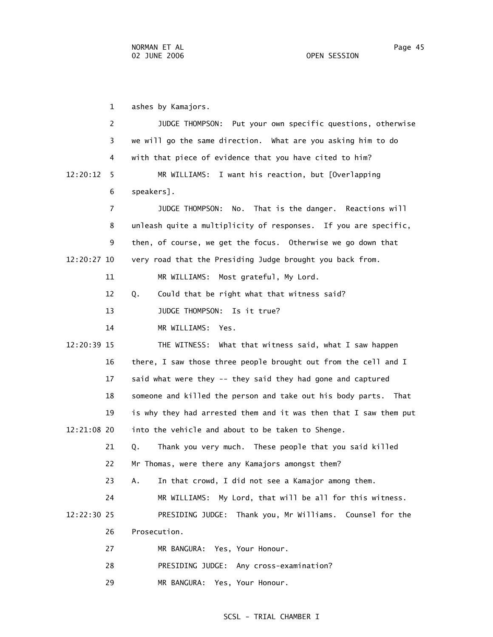1 ashes by Kamajors. 2 JUDGE THOMPSON: Put your own specific questions, otherwise 3 we will go the same direction. What are you asking him to do 4 with that piece of evidence that you have cited to him? 12:20:12 5 MR WILLIAMS: I want his reaction, but [Overlapping 6 speakers]. 7 JUDGE THOMPSON: No. That is the danger. Reactions will 8 unleash quite a multiplicity of responses. If you are specific, 9 then, of course, we get the focus. Otherwise we go down that 12:20:27 10 very road that the Presiding Judge brought you back from. 11 MR WILLIAMS: Most grateful, My Lord. 12 Q. Could that be right what that witness said? 13 JUDGE THOMPSON: Is it true? 14 MR WILLIAMS: Yes. 12:20:39 15 THE WITNESS: What that witness said, what I saw happen 16 there, I saw those three people brought out from the cell and I 17 said what were they -- they said they had gone and captured 18 someone and killed the person and take out his body parts. That 19 is why they had arrested them and it was then that I saw them put 12:21:08 20 into the vehicle and about to be taken to Shenge. 21 Q. Thank you very much. These people that you said killed 22 Mr Thomas, were there any Kamajors amongst them? 23 A. In that crowd, I did not see a Kamajor among them. 24 MR WILLIAMS: My Lord, that will be all for this witness. 12:22:30 25 PRESIDING JUDGE: Thank you, Mr Williams. Counsel for the 26 Prosecution. 27 MR BANGURA: Yes, Your Honour. 28 PRESIDING JUDGE: Any cross-examination?

29 MR BANGURA: Yes, Your Honour.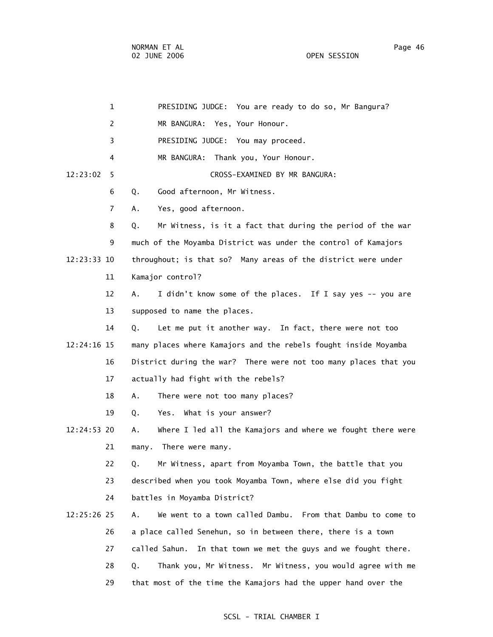| $\mathbf{1}$  | PRESIDING JUDGE: You are ready to do so, Mr Bangura?                |
|---------------|---------------------------------------------------------------------|
| 2             | MR BANGURA: Yes, Your Honour.                                       |
| 3             | PRESIDING JUDGE: You may proceed.                                   |
| 4             | MR BANGURA: Thank you, Your Honour.                                 |
| 12:23:02<br>5 | CROSS-EXAMINED BY MR BANGURA:                                       |
| 6             | Good afternoon, Mr Witness.<br>Q.                                   |
| 7             | Yes, good afternoon.<br>А.                                          |
| 8             | Mr Witness, is it a fact that during the period of the war<br>Q.    |
| 9             | much of the Moyamba District was under the control of Kamajors      |
| 12:23:33 10   | throughout; is that so? Many areas of the district were under       |
| 11            | Kamajor control?                                                    |
| 12            | I didn't know some of the places. If I say yes -- you are<br>A.     |
| 13            | supposed to name the places.                                        |
| 14            | Let me put it another way. In fact, there were not too<br>Q.        |
| 12:24:16 15   | many places where Kamajors and the rebels fought inside Moyamba     |
| 16            | District during the war? There were not too many places that you    |
| 17            | actually had fight with the rebels?                                 |
| 18            | There were not too many places?<br>Α.                               |
| 19            | Yes. What is your answer?<br>Q.                                     |
| 12:24:53 20   | Where I led all the Kamajors and where we fought there were<br>Α.   |
| 21            | There were many.<br>many.                                           |
| 22            | Mr Witness, apart from Moyamba Town, the battle that you<br>Q.      |
| 23            | described when you took Moyamba Town, where else did you fight      |
| 24            | battles in Moyamba District?                                        |
| 12:25:26 25   | We went to a town called Dambu.<br>From that Dambu to come to<br>Α. |
| 26            | a place called Senehun, so in between there, there is a town        |
| 27            | called Sahun.<br>In that town we met the guys and we fought there.  |
| 28            | Thank you, Mr Witness. Mr Witness, you would agree with me<br>Q.    |
| 29            | that most of the time the Kamajors had the upper hand over the      |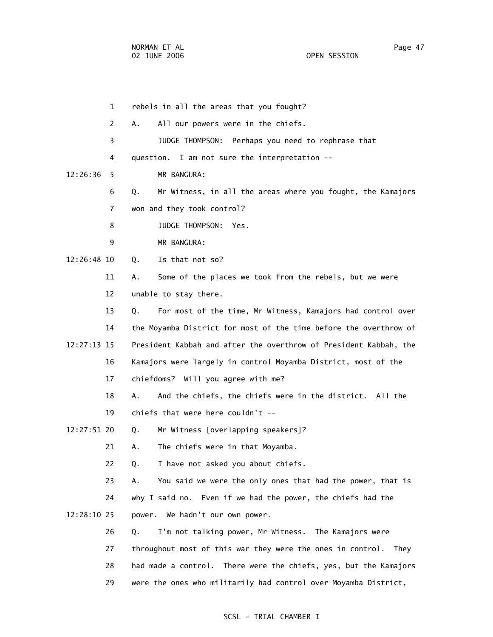1 rebels in all the areas that you fought? 2 A. All our powers were in the chiefs. 3 JUDGE THOMPSON: Perhaps you need to rephrase that 4 question. I am not sure the interpretation -- 12:26:36 5 MR BANGURA: 6 Q. Mr Witness, in all the areas where you fought, the Kamajors 7 won and they took control? 8 JUDGE THOMPSON: Yes. 9 MR BANGURA: 12:26:48 10 Q. Is that not so? 11 A. Some of the places we took from the rebels, but we were 12 unable to stay there. 13 Q. For most of the time, Mr Witness, Kamajors had control over 14 the Moyamba District for most of the time before the overthrow of 12:27:13 15 President Kabbah and after the overthrow of President Kabbah, the 16 Kamajors were largely in control Moyamba District, most of the 17 chiefdoms? Will you agree with me? 18 A. And the chiefs, the chiefs were in the district. All the 19 chiefs that were here couldn't -- 12:27:51 20 Q. Mr Witness [overlapping speakers]? 21 A. The chiefs were in that Moyamba. 22 Q. I have not asked you about chiefs. 23 A. You said we were the only ones that had the power, that is 24 why I said no. Even if we had the power, the chiefs had the 12:28:10 25 power. We hadn't our own power. 26 Q. I'm not talking power, Mr Witness. The Kamajors were 27 throughout most of this war they were the ones in control. They 28 had made a control. There were the chiefs, yes, but the Kamajors 29 were the ones who militarily had control over Moyamba District,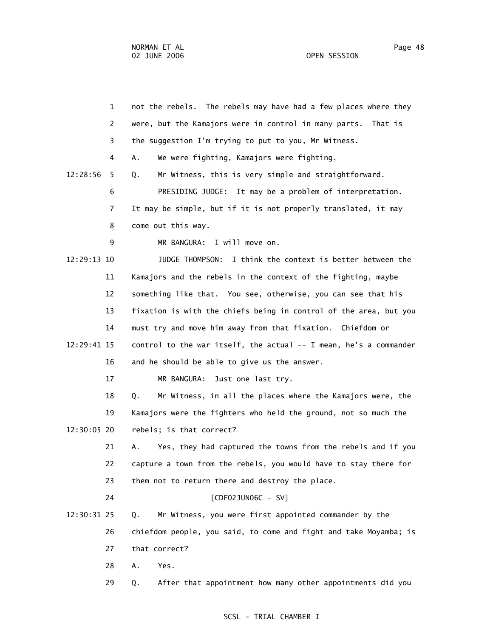|             | $\mathbf{1}$ | not the rebels. The rebels may have had a few places where they   |
|-------------|--------------|-------------------------------------------------------------------|
|             |              |                                                                   |
|             | 2            | were, but the Kamajors were in control in many parts.<br>That is  |
|             | 3            | the suggestion I'm trying to put to you, Mr Witness.              |
|             | 4            | We were fighting, Kamajors were fighting.<br>Α.                   |
| 12:28:56    | 5            | Mr Witness, this is very simple and straightforward.<br>Q.        |
|             | 6            | PRESIDING JUDGE: It may be a problem of interpretation.           |
|             | 7            | It may be simple, but if it is not properly translated, it may    |
|             | 8            | come out this way.                                                |
|             | 9            | MR BANGURA: I will move on.                                       |
| 12:29:13 10 |              | I think the context is better between the<br>JUDGE THOMPSON:      |
|             | 11           | Kamajors and the rebels in the context of the fighting, maybe     |
|             | 12           | something like that. You see, otherwise, you can see that his     |
|             | 13           | fixation is with the chiefs being in control of the area, but you |
|             | 14           | must try and move him away from that fixation. Chiefdom or        |
| 12:29:41 15 |              | control to the war itself, the actual -- I mean, he's a commander |
|             | 16           | and he should be able to give us the answer.                      |
|             | 17           | MR BANGURA:<br>Just one last try.                                 |
|             | 18           | Mr Witness, in all the places where the Kamajors were, the<br>Q.  |
|             | 19           | Kamajors were the fighters who held the ground, not so much the   |
| 12:30:05 20 |              | rebels; is that correct?                                          |
|             | 21           | Yes, they had captured the towns from the rebels and if you<br>Α. |
|             | 22           | capture a town from the rebels, you would have to stay there for  |
|             | 23           | them not to return there and destroy the place.                   |
|             | 24           | $[CDF02JUN06C - SV]$                                              |
| 12:30:31 25 |              | Mr Witness, you were first appointed commander by the<br>Q.       |
|             | 26           | chiefdom people, you said, to come and fight and take Moyamba; is |
|             | 27           | that correct?                                                     |
|             | 28           | Yes.<br>Α.                                                        |
|             |              |                                                                   |
|             | 29           | After that appointment how many other appointments did you<br>Q.  |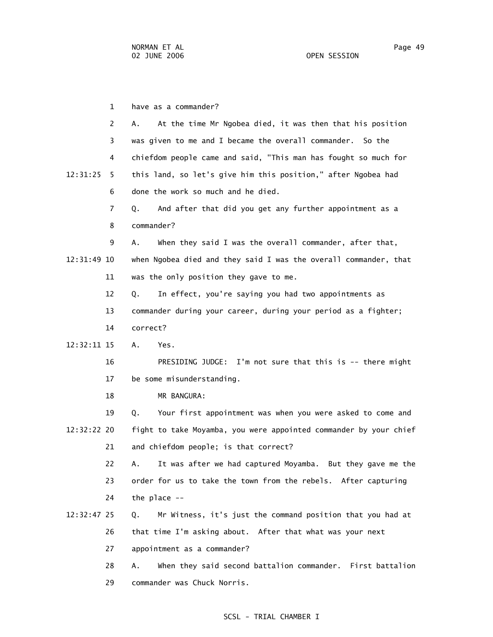1 have as a commander? 2 A. At the time Mr Ngobea died, it was then that his position 3 was given to me and I became the overall commander. So the 4 chiefdom people came and said, "This man has fought so much for 12:31:25 5 this land, so let's give him this position," after Ngobea had 6 done the work so much and he died. 7 Q. And after that did you get any further appointment as a 8 commander? 9 A. When they said I was the overall commander, after that, 12:31:49 10 when Ngobea died and they said I was the overall commander, that 11 was the only position they gave to me. 12 Q. In effect, you're saying you had two appointments as 13 commander during your career, during your period as a fighter; 14 correct? 12:32:11 15 A. Yes. 16 PRESIDING JUDGE: I'm not sure that this is -- there might 17 be some misunderstanding. 18 MR BANGURA: 19 Q. Your first appointment was when you were asked to come and 12:32:22 20 fight to take Moyamba, you were appointed commander by your chief 21 and chiefdom people; is that correct? 22 A. It was after we had captured Moyamba. But they gave me the 23 order for us to take the town from the rebels. After capturing 24 the place -- 12:32:47 25 Q. Mr Witness, it's just the command position that you had at 26 that time I'm asking about. After that what was your next 27 appointment as a commander?

 28 A. When they said second battalion commander. First battalion 29 commander was Chuck Norris.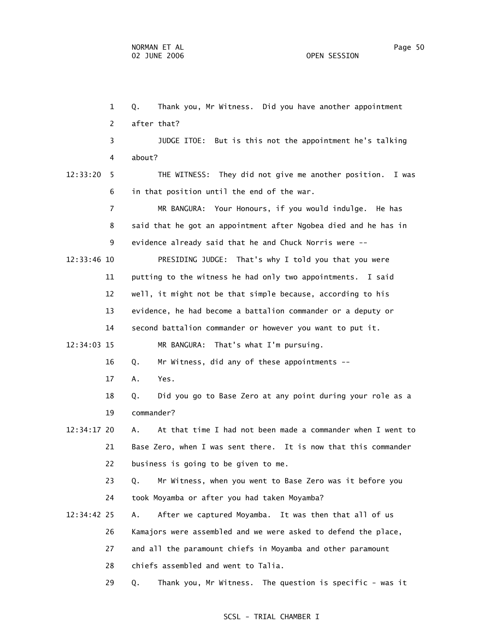1 Q. Thank you, Mr Witness. Did you have another appointment 2 after that? 3 JUDGE ITOE: But is this not the appointment he's talking 4 about? 12:33:20 5 THE WITNESS: They did not give me another position. I was 6 in that position until the end of the war. 7 MR BANGURA: Your Honours, if you would indulge. He has 8 said that he got an appointment after Ngobea died and he has in 9 evidence already said that he and Chuck Norris were -- 12:33:46 10 PRESIDING JUDGE: That's why I told you that you were 11 putting to the witness he had only two appointments. I said 12 well, it might not be that simple because, according to his 13 evidence, he had become a battalion commander or a deputy or 14 second battalion commander or however you want to put it. 12:34:03 15 MR BANGURA: That's what I'm pursuing. 16 Q. Mr Witness, did any of these appointments -- 17 A. Yes. 18 Q. Did you go to Base Zero at any point during your role as a 19 commander? 12:34:17 20 A. At that time I had not been made a commander when I went to 21 Base Zero, when I was sent there. It is now that this commander 22 business is going to be given to me. 23 Q. Mr Witness, when you went to Base Zero was it before you 24 took Moyamba or after you had taken Moyamba? 12:34:42 25 A. After we captured Moyamba. It was then that all of us 26 Kamajors were assembled and we were asked to defend the place, 27 and all the paramount chiefs in Moyamba and other paramount 28 chiefs assembled and went to Talia. 29 Q. Thank you, Mr Witness. The question is specific - was it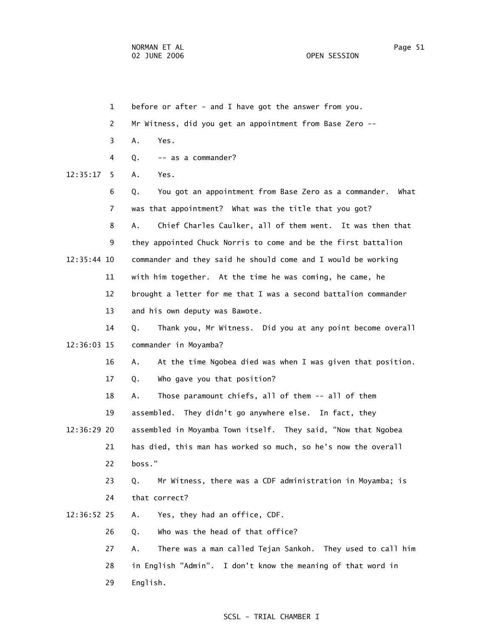1 before or after - and I have got the answer from you. 2 Mr Witness, did you get an appointment from Base Zero -- 3 A. Yes. 4 Q. -- as a commander? 12:35:17 5 A. Yes. 6 Q. You got an appointment from Base Zero as a commander. What 7 was that appointment? What was the title that you got? 8 A. Chief Charles Caulker, all of them went. It was then that 9 they appointed Chuck Norris to come and be the first battalion 12:35:44 10 commander and they said he should come and I would be working 11 with him together. At the time he was coming, he came, he 12 brought a letter for me that I was a second battalion commander 13 and his own deputy was Bawote. 14 Q. Thank you, Mr Witness. Did you at any point become overall 12:36:03 15 commander in Moyamba? 16 A. At the time Ngobea died was when I was given that position. 17 Q. Who gave you that position? 18 A. Those paramount chiefs, all of them -- all of them 19 assembled. They didn't go anywhere else. In fact, they 12:36:29 20 assembled in Moyamba Town itself. They said, "Now that Ngobea 21 has died, this man has worked so much, so he's now the overall 22 boss." 23 Q. Mr Witness, there was a CDF administration in Moyamba; is 24 that correct? 12:36:52 25 A. Yes, they had an office, CDF. 26 Q. Who was the head of that office? 27 A. There was a man called Tejan Sankoh. They used to call him 28 in English "Admin". I don't know the meaning of that word in 29 English.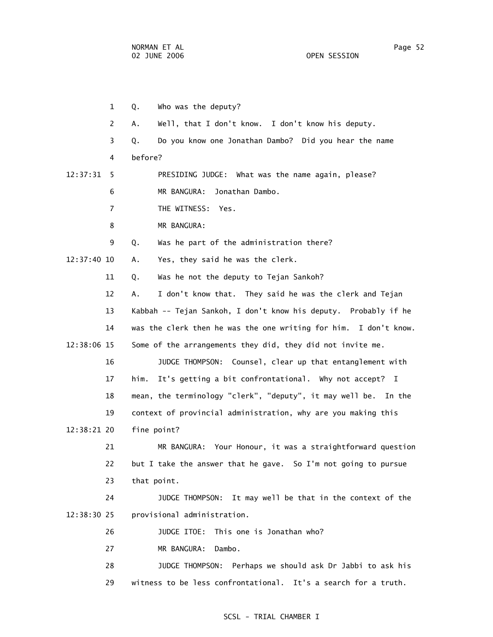1 Q. Who was the deputy? 2 A. Well, that I don't know. I don't know his deputy. 3 Q. Do you know one Jonathan Dambo? Did you hear the name 4 before? 12:37:31 5 PRESIDING JUDGE: What was the name again, please? 6 MR BANGURA: Jonathan Dambo. 7 THE WITNESS: Yes. 8 MR BANGURA: 9 Q. Was he part of the administration there? 12:37:40 10 A. Yes, they said he was the clerk. 11 Q. Was he not the deputy to Tejan Sankoh? 12 A. I don't know that. They said he was the clerk and Tejan 13 Kabbah -- Tejan Sankoh, I don't know his deputy. Probably if he 14 was the clerk then he was the one writing for him. I don't know. 12:38:06 15 Some of the arrangements they did, they did not invite me. 16 JUDGE THOMPSON: Counsel, clear up that entanglement with 17 him. It's getting a bit confrontational. Why not accept? I 18 mean, the terminology "clerk", "deputy", it may well be. In the 19 context of provincial administration, why are you making this 12:38:21 20 fine point? 21 MR BANGURA: Your Honour, it was a straightforward question 22 but I take the answer that he gave. So I'm not going to pursue 23 that point. 24 JUDGE THOMPSON: It may well be that in the context of the 12:38:30 25 provisional administration. 26 JUDGE ITOE: This one is Jonathan who? 27 MR BANGURA: Dambo. 28 JUDGE THOMPSON: Perhaps we should ask Dr Jabbi to ask his 29 witness to be less confrontational. It's a search for a truth.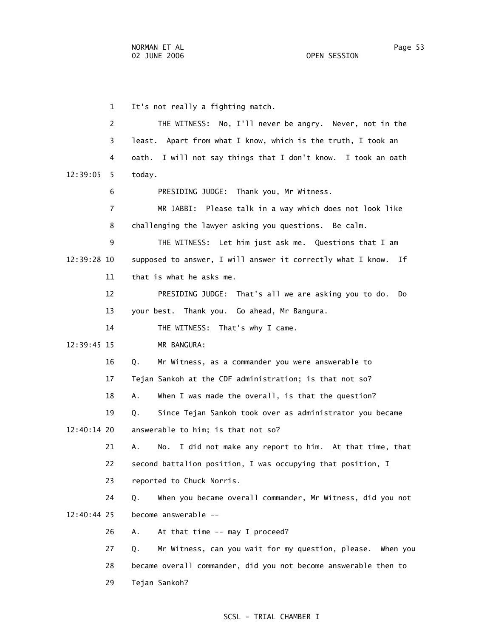1 It's not really a fighting match. 2 THE WITNESS: No, I'll never be angry. Never, not in the 3 least. Apart from what I know, which is the truth, I took an 4 oath. I will not say things that I don't know. I took an oath 12:39:05 5 today. 6 PRESIDING JUDGE: Thank you, Mr Witness. 7 MR JABBI: Please talk in a way which does not look like 8 challenging the lawyer asking you questions. Be calm. 9 THE WITNESS: Let him just ask me. Questions that I am 12:39:28 10 supposed to answer, I will answer it correctly what I know. If 11 that is what he asks me. 12 PRESIDING JUDGE: That's all we are asking you to do. Do 13 your best. Thank you. Go ahead, Mr Bangura. 14 THE WITNESS: That's why I came. 12:39:45 15 MR BANGURA: 16 Q. Mr Witness, as a commander you were answerable to 17 Tejan Sankoh at the CDF administration; is that not so? 18 A. When I was made the overall, is that the question? 19 Q. Since Tejan Sankoh took over as administrator you became 12:40:14 20 answerable to him; is that not so? 21 A. No. I did not make any report to him. At that time, that 22 second battalion position, I was occupying that position, I 23 reported to Chuck Norris. 24 Q. When you became overall commander, Mr Witness, did you not 12:40:44 25 become answerable -- 26 A. At that time -- may I proceed? 27 Q. Mr Witness, can you wait for my question, please. When you 28 became overall commander, did you not become answerable then to 29 Tejan Sankoh?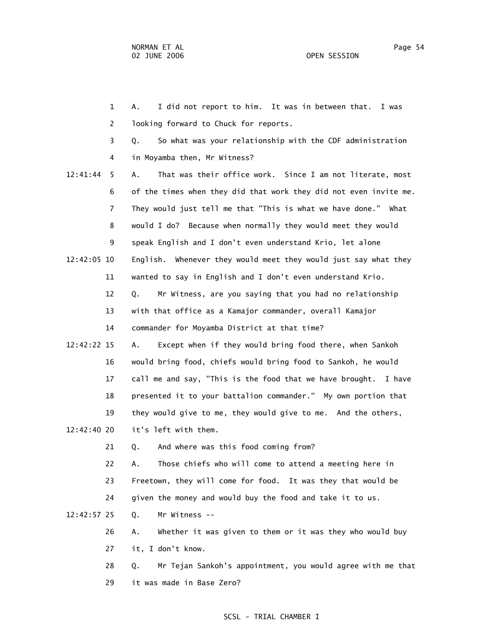1 A. I did not report to him. It was in between that. I was 2 looking forward to Chuck for reports. 3 Q. So what was your relationship with the CDF administration 4 in Moyamba then, Mr Witness? 12:41:44 5 A. That was their office work. Since I am not literate, most 6 of the times when they did that work they did not even invite me. 7 They would just tell me that "This is what we have done." What 8 would I do? Because when normally they would meet they would 9 speak English and I don't even understand Krio, let alone 12:42:05 10 English. Whenever they would meet they would just say what they 11 wanted to say in English and I don't even understand Krio. 12 Q. Mr Witness, are you saying that you had no relationship 13 with that office as a Kamajor commander, overall Kamajor 14 commander for Moyamba District at that time? 12:42:22 15 A. Except when if they would bring food there, when Sankoh 16 would bring food, chiefs would bring food to Sankoh, he would 17 call me and say, "This is the food that we have brought. I have 18 presented it to your battalion commander." My own portion that 19 they would give to me, they would give to me. And the others, 12:42:40 20 it's left with them. 21 Q. And where was this food coming from? 22 A. Those chiefs who will come to attend a meeting here in 23 Freetown, they will come for food. It was they that would be 24 given the money and would buy the food and take it to us. 12:42:57 25 Q. Mr Witness -- 26 A. Whether it was given to them or it was they who would buy 27 it, I don't know. 28 Q. Mr Tejan Sankoh's appointment, you would agree with me that

#### SCSL - TRIAL CHAMBER I

29 it was made in Base Zero?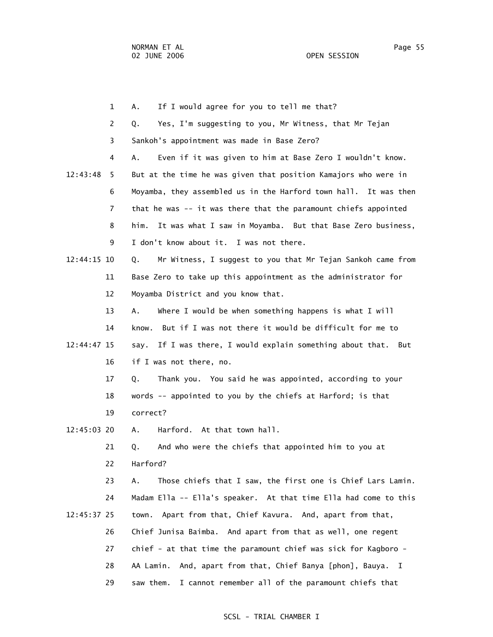|             | $\mathbf{1}$ | If I would agree for you to tell me that?<br>А.                    |
|-------------|--------------|--------------------------------------------------------------------|
|             | 2            | Yes, I'm suggesting to you, Mr Witness, that Mr Tejan<br>Q.        |
|             | 3            | Sankoh's appointment was made in Base Zero?                        |
|             | 4            | Even if it was given to him at Base Zero I wouldn't know.<br>Α.    |
| 12:43:48    | 5            | But at the time he was given that position Kamajors who were in    |
|             | 6            | Moyamba, they assembled us in the Harford town hall. It was then   |
|             | 7            | that he was -- it was there that the paramount chiefs appointed    |
|             | 8            | It was what I saw in Moyamba. But that Base Zero business,<br>him. |
|             | 9            | I don't know about it. I was not there.                            |
| 12:44:15 10 |              | Mr Witness, I suggest to you that Mr Tejan Sankoh came from<br>Q.  |
|             | 11           | Base Zero to take up this appointment as the administrator for     |
|             | 12           | Moyamba District and you know that.                                |
|             | 13           | Where I would be when something happens is what I will<br>Α.       |
|             | 14           | know. But if I was not there it would be difficult for me to       |
| 12:44:47 15 |              | If I was there, I would explain something about that. But<br>say.  |
|             | 16           | if I was not there, no.                                            |
|             | 17           | Thank you. You said he was appointed, according to your<br>Q.      |
|             | 18           | words -- appointed to you by the chiefs at Harford; is that        |
|             | 19           | correct?                                                           |
| 12:45:03 20 |              | Harford. At that town hall.<br>А.                                  |
|             | 21           | And who were the chiefs that appointed him to you at<br>Q.         |
|             | 22           | Harford?                                                           |
|             | 23           | Those chiefs that I saw, the first one is Chief Lars Lamin.<br>Α.  |
|             | 24           | Madam Ella -- Ella's speaker. At that time Ella had come to this   |
| 12:45:37 25 |              | Apart from that, Chief Kavura. And, apart from that,<br>town.      |
|             | 26           | Chief Junisa Baimba. And apart from that as well, one regent       |
|             | 27           | chief - at that time the paramount chief was sick for Kagboro -    |
|             | 28           | AA Lamin. And, apart from that, Chief Banya [phon], Bauya. I       |
|             | 29           | I cannot remember all of the paramount chiefs that<br>saw them.    |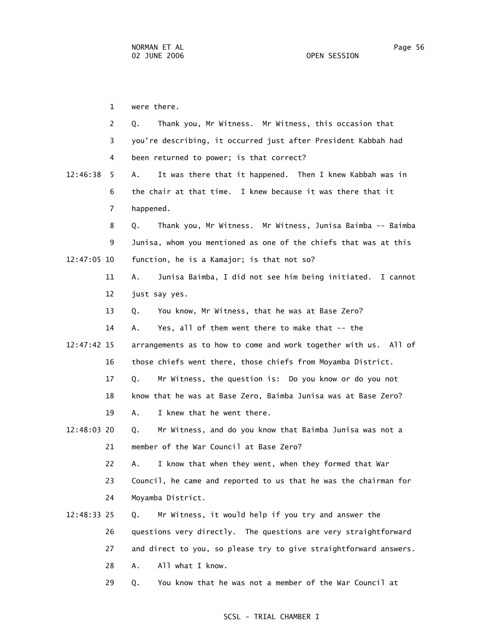1 were there. 2 Q. Thank you, Mr Witness. Mr Witness, this occasion that 3 you're describing, it occurred just after President Kabbah had 4 been returned to power; is that correct? 12:46:38 5 A. It was there that it happened. Then I knew Kabbah was in 6 the chair at that time. I knew because it was there that it 7 happened. 8 Q. Thank you, Mr Witness. Mr Witness, Junisa Baimba -- Baimba 9 Junisa, whom you mentioned as one of the chiefs that was at this 12:47:05 10 function, he is a Kamajor; is that not so? 11 A. Junisa Baimba, I did not see him being initiated. I cannot 12 just say yes. 13 Q. You know, Mr Witness, that he was at Base Zero? 14 A. Yes, all of them went there to make that -- the 12:47:42 15 arrangements as to how to come and work together with us. All of 16 those chiefs went there, those chiefs from Moyamba District. 17 Q. Mr Witness, the question is: Do you know or do you not 18 know that he was at Base Zero, Baimba Junisa was at Base Zero? 19 A. I knew that he went there. 12:48:03 20 Q. Mr Witness, and do you know that Baimba Junisa was not a 21 member of the War Council at Base Zero? 22 A. I know that when they went, when they formed that War 23 Council, he came and reported to us that he was the chairman for 24 Moyamba District. 12:48:33 25 Q. Mr Witness, it would help if you try and answer the 26 questions very directly. The questions are very straightforward 27 and direct to you, so please try to give straightforward answers. 28 A. All what I know. 29 Q. You know that he was not a member of the War Council at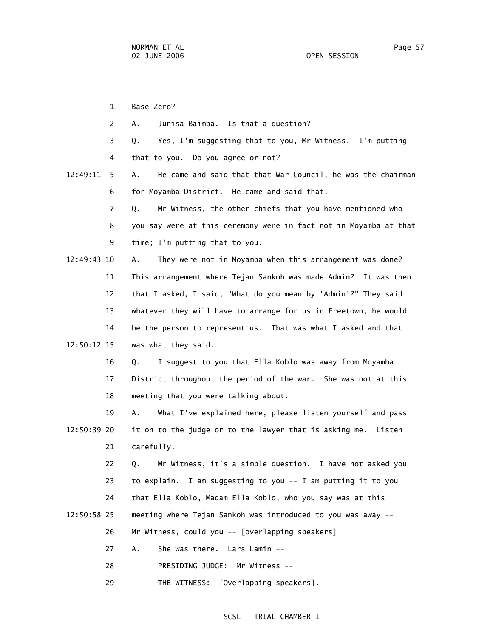1 Base Zero? 2 A. Junisa Baimba. Is that a question? 3 Q. Yes, I'm suggesting that to you, Mr Witness. I'm putting 4 that to you. Do you agree or not? 12:49:11 5 A. He came and said that that War Council, he was the chairman 6 for Moyamba District. He came and said that. 7 Q. Mr Witness, the other chiefs that you have mentioned who 8 you say were at this ceremony were in fact not in Moyamba at that 9 time; I'm putting that to you. 12:49:43 10 A. They were not in Moyamba when this arrangement was done? 11 This arrangement where Tejan Sankoh was made Admin? It was then 12 that I asked, I said, "What do you mean by 'Admin'?" They said 13 whatever they will have to arrange for us in Freetown, he would 14 be the person to represent us. That was what I asked and that 12:50:12 15 was what they said. 16 Q. I suggest to you that Ella Koblo was away from Moyamba 17 District throughout the period of the war. She was not at this 18 meeting that you were talking about. 19 A. What I've explained here, please listen yourself and pass 12:50:39 20 it on to the judge or to the lawyer that is asking me. Listen 21 carefully. 22 Q. Mr Witness, it's a simple question. I have not asked you 23 to explain. I am suggesting to you -- I am putting it to you 24 that Ella Koblo, Madam Ella Koblo, who you say was at this 12:50:58 25 meeting where Tejan Sankoh was introduced to you was away -- 26 Mr Witness, could you -- [overlapping speakers] 27 A. She was there. Lars Lamin -- 28 PRESIDING JUDGE: Mr Witness -- 29 THE WITNESS: [Overlapping speakers].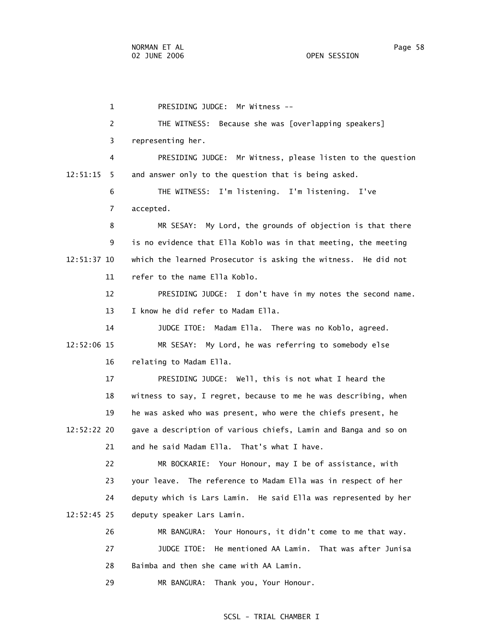1 PRESIDING JUDGE: Mr Witness -- 2 THE WITNESS: Because she was [overlapping speakers] 3 representing her. 4 PRESIDING JUDGE: Mr Witness, please listen to the question 12:51:15 5 and answer only to the question that is being asked. 6 THE WITNESS: I'm listening. I'm listening. I've 7 accepted. 8 MR SESAY: My Lord, the grounds of objection is that there 9 is no evidence that Ella Koblo was in that meeting, the meeting 12:51:37 10 which the learned Prosecutor is asking the witness. He did not 11 refer to the name Ella Koblo. 12 PRESIDING JUDGE: I don't have in my notes the second name. 13 I know he did refer to Madam Ella. 14 JUDGE ITOE: Madam Ella. There was no Koblo, agreed. 12:52:06 15 MR SESAY: My Lord, he was referring to somebody else 16 relating to Madam Ella. 17 PRESIDING JUDGE: Well, this is not what I heard the 18 witness to say, I regret, because to me he was describing, when 19 he was asked who was present, who were the chiefs present, he 12:52:22 20 gave a description of various chiefs, Lamin and Banga and so on 21 and he said Madam Ella. That's what I have. 22 MR BOCKARIE: Your Honour, may I be of assistance, with 23 your leave. The reference to Madam Ella was in respect of her 24 deputy which is Lars Lamin. He said Ella was represented by her 12:52:45 25 deputy speaker Lars Lamin. 26 MR BANGURA: Your Honours, it didn't come to me that way. 27 JUDGE ITOE: He mentioned AA Lamin. That was after Junisa 28 Baimba and then she came with AA Lamin. 29 MR BANGURA: Thank you, Your Honour.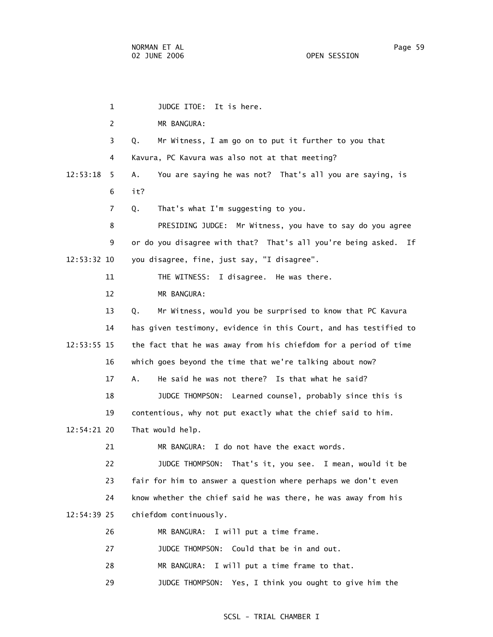1 JUDGE ITOE: It is here. 2 MR BANGURA: 3 Q. Mr Witness, I am go on to put it further to you that 4 Kavura, PC Kavura was also not at that meeting? 12:53:18 5 A. You are saying he was not? That's all you are saying, is 6 it? 7 Q. That's what I'm suggesting to you. 8 PRESIDING JUDGE: Mr Witness, you have to say do you agree 9 or do you disagree with that? That's all you're being asked. If 12:53:32 10 you disagree, fine, just say, "I disagree". 11 THE WITNESS: I disagree. He was there. 12 MR BANGURA: 13 Q. Mr Witness, would you be surprised to know that PC Kavura 14 has given testimony, evidence in this Court, and has testified to 12:53:55 15 the fact that he was away from his chiefdom for a period of time 16 which goes beyond the time that we're talking about now? 17 A. He said he was not there? Is that what he said? 18 JUDGE THOMPSON: Learned counsel, probably since this is 19 contentious, why not put exactly what the chief said to him. 12:54:21 20 That would help. 21 MR BANGURA: I do not have the exact words. 22 JUDGE THOMPSON: That's it, you see. I mean, would it be 23 fair for him to answer a question where perhaps we don't even 24 know whether the chief said he was there, he was away from his 12:54:39 25 chiefdom continuously. 26 MR BANGURA: I will put a time frame. 27 JUDGE THOMPSON: Could that be in and out. 28 MR BANGURA: I will put a time frame to that.

#### SCSL - TRIAL CHAMBER I

29 JUDGE THOMPSON: Yes, I think you ought to give him the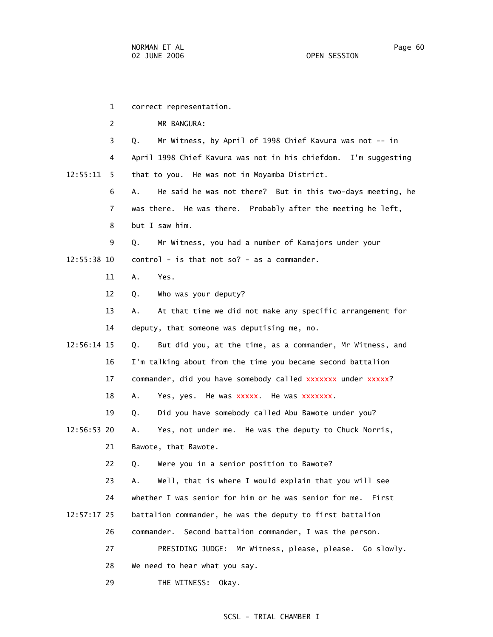1 correct representation. 2 MR BANGURA: 3 Q. Mr Witness, by April of 1998 Chief Kavura was not -- in 4 April 1998 Chief Kavura was not in his chiefdom. I'm suggesting 12:55:11 5 that to you. He was not in Moyamba District. 6 A. He said he was not there? But in this two-days meeting, he 7 was there. He was there. Probably after the meeting he left, 8 but I saw him. 9 Q. Mr Witness, you had a number of Kamajors under your  $12:55:38$  10 control - is that not so? - as a commander. 11 A. Yes. 12 Q. Who was your deputy? 13 A. At that time we did not make any specific arrangement for 14 deputy, that someone was deputising me, no. 12:56:14 15 Q. But did you, at the time, as a commander, Mr Witness, and 16 I'm talking about from the time you became second battalion 17 commander, did you have somebody called xxxxxxx under xxxxx? 18 A. Yes, yes. He was xxxxx. He was xxxxxxx. 19 Q. Did you have somebody called Abu Bawote under you? 12:56:53 20 A. Yes, not under me. He was the deputy to Chuck Norris, 21 Bawote, that Bawote. 22 Q. Were you in a senior position to Bawote? 23 A. Well, that is where I would explain that you will see 24 whether I was senior for him or he was senior for me. First 12:57:17 25 battalion commander, he was the deputy to first battalion 26 commander. Second battalion commander, I was the person. 27 PRESIDING JUDGE: Mr Witness, please, please. Go slowly. 28 We need to hear what you say.

29 THE WITNESS: Okay.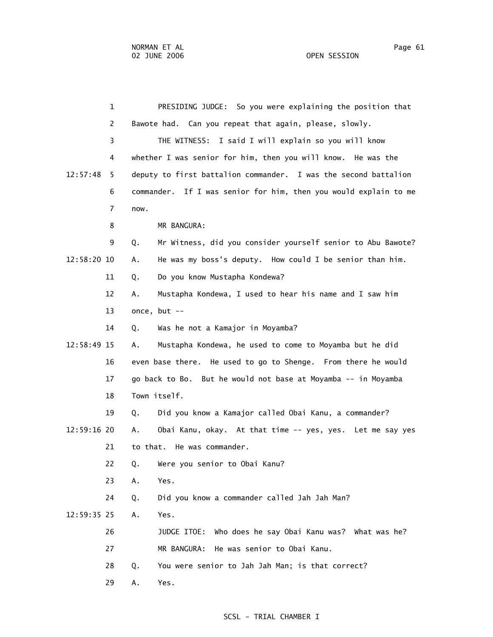1 PRESIDING JUDGE: So you were explaining the position that 2 Bawote had. Can you repeat that again, please, slowly. 3 THE WITNESS: I said I will explain so you will know 4 whether I was senior for him, then you will know. He was the 12:57:48 5 deputy to first battalion commander. I was the second battalion 6 commander. If I was senior for him, then you would explain to me 7 now. 8 MR BANGURA: 9 Q. Mr Witness, did you consider yourself senior to Abu Bawote? 12:58:20 10 A. He was my boss's deputy. How could I be senior than him. 11 Q. Do you know Mustapha Kondewa? 12 A. Mustapha Kondewa, I used to hear his name and I saw him 13 once, but -- 14 Q. Was he not a Kamajor in Moyamba? 12:58:49 15 A. Mustapha Kondewa, he used to come to Moyamba but he did 16 even base there. He used to go to Shenge. From there he would 17 go back to Bo. But he would not base at Moyamba -- in Moyamba 18 Town itself. 19 Q. Did you know a Kamajor called Obai Kanu, a commander? 12:59:16 20 A. Obai Kanu, okay. At that time -- yes, yes. Let me say yes 21 to that. He was commander. 22 Q. Were you senior to Obai Kanu? 23 A. Yes. 24 Q. Did you know a commander called Jah Jah Man? 12:59:35 25 A. Yes. 26 JUDGE ITOE: Who does he say Obai Kanu was? What was he? 27 MR BANGURA: He was senior to Obai Kanu. 28 Q. You were senior to Jah Jah Man; is that correct? 29 A. Yes.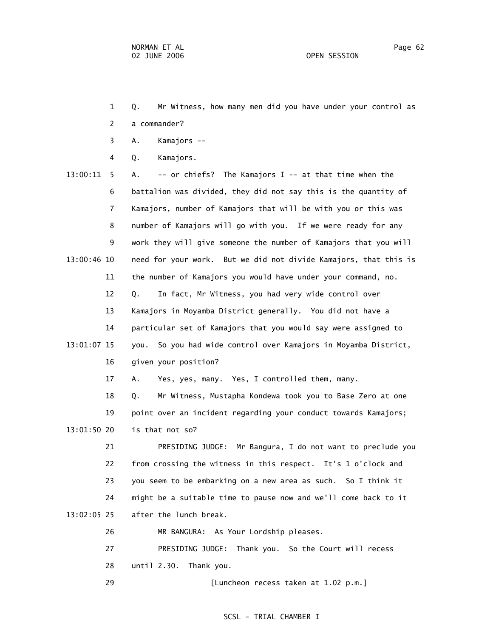- 1 Q. Mr Witness, how many men did you have under your control as 2 a commander?
- 3 A. Kamajors --
- 4 Q. Kamajors.
- 13:00:11 5 A. -- or chiefs? The Kamajors I -- at that time when the 6 battalion was divided, they did not say this is the quantity of 7 Kamajors, number of Kamajors that will be with you or this was 8 number of Kamajors will go with you. If we were ready for any 9 work they will give someone the number of Kamajors that you will 13:00:46 10 need for your work. But we did not divide Kamajors, that this is 11 the number of Kamajors you would have under your command, no. 12 Q. In fact, Mr Witness, you had very wide control over 13 Kamajors in Moyamba District generally. You did not have a 14 particular set of Kamajors that you would say were assigned to 13:01:07 15 you. So you had wide control over Kamajors in Moyamba District, 16 given your position? 17 A. Yes, yes, many. Yes, I controlled them, many. 18 Q. Mr Witness, Mustapha Kondewa took you to Base Zero at one 19 point over an incident regarding your conduct towards Kamajors; 13:01:50 20 is that not so? 21 PRESIDING JUDGE: Mr Bangura, I do not want to preclude you 22 from crossing the witness in this respect. It's 1 o'clock and

 23 you seem to be embarking on a new area as such. So I think it 24 might be a suitable time to pause now and we'll come back to it 13:02:05 25 after the lunch break.

- 26 MR BANGURA: As Your Lordship pleases.
- 27 PRESIDING JUDGE: Thank you. So the Court will recess 28 until 2.30. Thank you.
- 29 [Luncheon recess taken at 1.02 p.m.]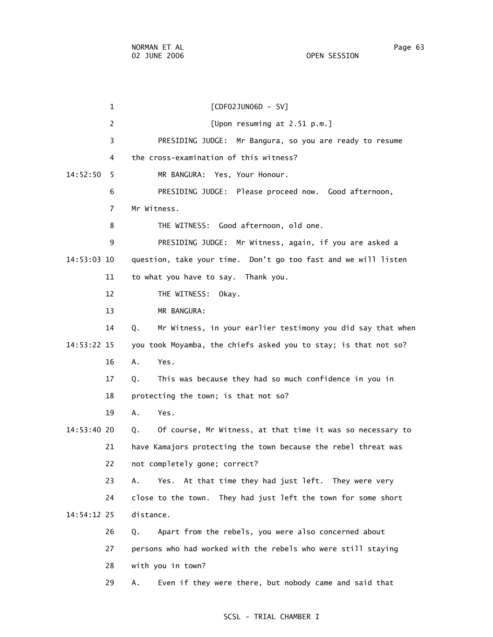1 [CDF02JUN06D - SV] 2 [Upon resuming at 2.51 p.m.] 3 PRESIDING JUDGE: Mr Bangura, so you are ready to resume 4 the cross-examination of this witness? 14:52:50 5 MR BANGURA: Yes, Your Honour. 6 PRESIDING JUDGE: Please proceed now. Good afternoon, 7 Mr Witness. 8 THE WITNESS: Good afternoon, old one. 9 PRESIDING JUDGE: Mr Witness, again, if you are asked a 14:53:03 10 question, take your time. Don't go too fast and we will listen 11 to what you have to say. Thank you. 12 THE WITNESS: Okay. 13 MR BANGURA: 14 Q. Mr Witness, in your earlier testimony you did say that when 14:53:22 15 you took Moyamba, the chiefs asked you to stay; is that not so? 16 A. Yes. 17 Q. This was because they had so much confidence in you in 18 protecting the town; is that not so? 19 A. Yes. 14:53:40 20 Q. Of course, Mr Witness, at that time it was so necessary to 21 have Kamajors protecting the town because the rebel threat was 22 not completely gone; correct? 23 A. Yes. At that time they had just left. They were very 24 close to the town. They had just left the town for some short 14:54:12 25 distance. 26 Q. Apart from the rebels, you were also concerned about 27 persons who had worked with the rebels who were still staying 28 with you in town? 29 A. Even if they were there, but nobody came and said that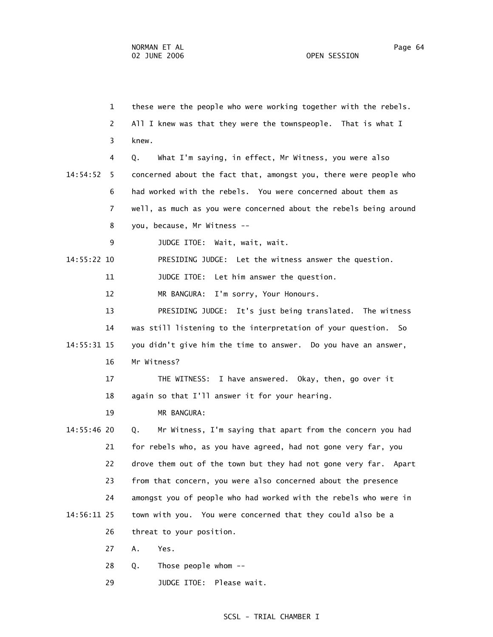1 these were the people who were working together with the rebels. 2 All I knew was that they were the townspeople. That is what I 3 knew. 4 Q. What I'm saying, in effect, Mr Witness, you were also 14:54:52 5 concerned about the fact that, amongst you, there were people who 6 had worked with the rebels. You were concerned about them as 7 well, as much as you were concerned about the rebels being around 8 you, because, Mr Witness -- 9 JUDGE ITOE: Wait, wait, wait. 14:55:22 10 PRESIDING JUDGE: Let the witness answer the question. 11 JUDGE ITOE: Let him answer the question. 12 MR BANGURA: I'm sorry, Your Honours. 13 PRESIDING JUDGE: It's just being translated. The witness 14 was still listening to the interpretation of your question. So 14:55:31 15 you didn't give him the time to answer. Do you have an answer, 16 Mr Witness? 17 THE WITNESS: I have answered. Okay, then, go over it 18 again so that I'll answer it for your hearing. 19 MR BANGURA: 14:55:46 20 Q. Mr Witness, I'm saying that apart from the concern you had 21 for rebels who, as you have agreed, had not gone very far, you 22 drove them out of the town but they had not gone very far. Apart 23 from that concern, you were also concerned about the presence 24 amongst you of people who had worked with the rebels who were in 14:56:11 25 town with you. You were concerned that they could also be a 26 threat to your position. 27 A. Yes. 28 Q. Those people whom --

29 JUDGE ITOE: Please wait.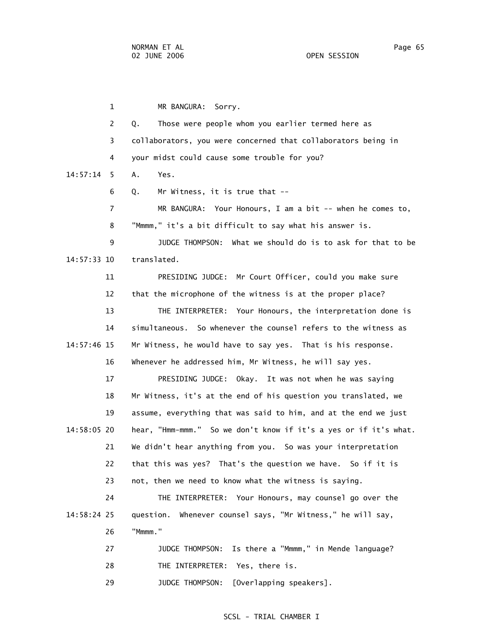1 MR BANGURA: Sorry. 2 Q. Those were people whom you earlier termed here as 3 collaborators, you were concerned that collaborators being in 4 your midst could cause some trouble for you? 14:57:14 5 A. Yes. 6 Q. Mr Witness, it is true that -- 7 MR BANGURA: Your Honours, I am a bit -- when he comes to, 8 "Mmmm," it's a bit difficult to say what his answer is. 9 JUDGE THOMPSON: What we should do is to ask for that to be 14:57:33 10 translated. 11 PRESIDING JUDGE: Mr Court Officer, could you make sure 12 that the microphone of the witness is at the proper place? 13 THE INTERPRETER: Your Honours, the interpretation done is 14 simultaneous. So whenever the counsel refers to the witness as 14:57:46 15 Mr Witness, he would have to say yes. That is his response. 16 Whenever he addressed him, Mr Witness, he will say yes. 17 PRESIDING JUDGE: Okay. It was not when he was saying 18 Mr Witness, it's at the end of his question you translated, we 19 assume, everything that was said to him, and at the end we just 14:58:05 20 hear, "Hmm-mmm." So we don't know if it's a yes or if it's what. 21 We didn't hear anything from you. So was your interpretation 22 that this was yes? That's the question we have. So if it is 23 not, then we need to know what the witness is saying. 24 THE INTERPRETER: Your Honours, may counsel go over the 14:58:24 25 question. Whenever counsel says, "Mr Witness," he will say, 26 "Mmmm." 27 JUDGE THOMPSON: Is there a "Mmmm," in Mende language? 28 THE INTERPRETER: Yes, there is. 29 JUDGE THOMPSON: [Overlapping speakers].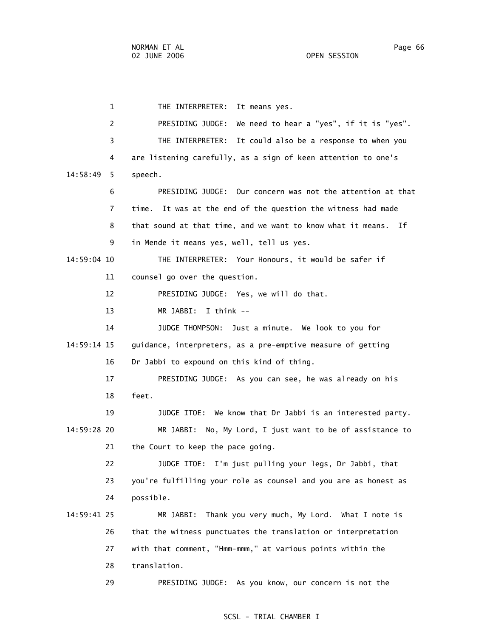1 THE INTERPRETER: It means yes. 2 PRESIDING JUDGE: We need to hear a "yes", if it is "yes". 3 THE INTERPRETER: It could also be a response to when you 4 are listening carefully, as a sign of keen attention to one's 14:58:49 5 speech. 6 PRESIDING JUDGE: Our concern was not the attention at that 7 time. It was at the end of the question the witness had made 8 that sound at that time, and we want to know what it means. If 9 in Mende it means yes, well, tell us yes. 14:59:04 10 THE INTERPRETER: Your Honours, it would be safer if 11 counsel go over the question. 12 PRESIDING JUDGE: Yes, we will do that. 13 MR JABBI: I think -- 14 JUDGE THOMPSON: Just a minute. We look to you for 14:59:14 15 guidance, interpreters, as a pre-emptive measure of getting 16 Dr Jabbi to expound on this kind of thing. 17 PRESIDING JUDGE: As you can see, he was already on his 18 feet. 19 JUDGE ITOE: We know that Dr Jabbi is an interested party. 14:59:28 20 MR JABBI: No, My Lord, I just want to be of assistance to 21 the Court to keep the pace going. 22 JUDGE ITOE: I'm just pulling your legs, Dr Jabbi, that 23 you're fulfilling your role as counsel and you are as honest as 24 possible. 14:59:41 25 MR JABBI: Thank you very much, My Lord. What I note is 26 that the witness punctuates the translation or interpretation 27 with that comment, "Hmm-mmm," at various points within the 28 translation. 29 PRESIDING JUDGE: As you know, our concern is not the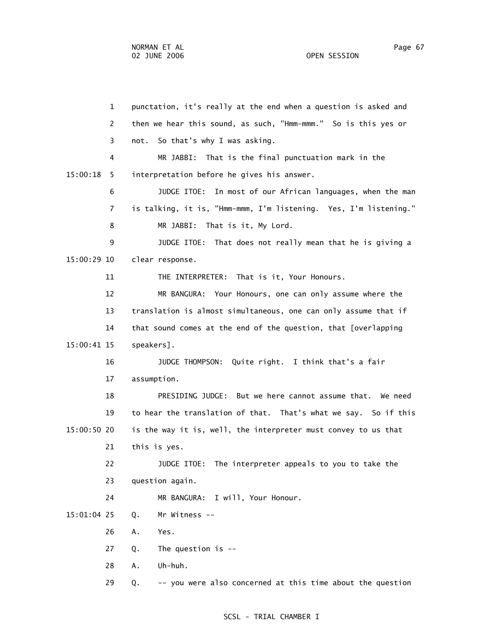1 punctation, it's really at the end when a question is asked and 2 then we hear this sound, as such, "Hmm-mmm." So is this yes or 3 not. So that's why I was asking. 4 MR JABBI: That is the final punctuation mark in the 15:00:18 5 interpretation before he gives his answer. 6 JUDGE ITOE: In most of our African languages, when the man 7 is talking, it is, "Hmm-mmm, I'm listening. Yes, I'm listening." 8 MR JABBI: That is it, My Lord. 9 JUDGE ITOE: That does not really mean that he is giving a 15:00:29 10 clear response. 11 THE INTERPRETER: That is it, Your Honours. 12 MR BANGURA: Your Honours, one can only assume where the 13 translation is almost simultaneous, one can only assume that if 14 that sound comes at the end of the question, that [overlapping 15:00:41 15 speakers]. 16 JUDGE THOMPSON: Quite right. I think that's a fair 17 assumption. 18 PRESIDING JUDGE: But we here cannot assume that. We need 19 to hear the translation of that. That's what we say. So if this 15:00:50 20 is the way it is, well, the interpreter must convey to us that 21 this is yes. 22 JUDGE ITOE: The interpreter appeals to you to take the 23 question again. 24 MR BANGURA: I will, Your Honour. 15:01:04 25 Q. Mr Witness -- 26 A. Yes. 27 Q. The question is -- 28 A. Uh-huh. 29 Q. -- you were also concerned at this time about the question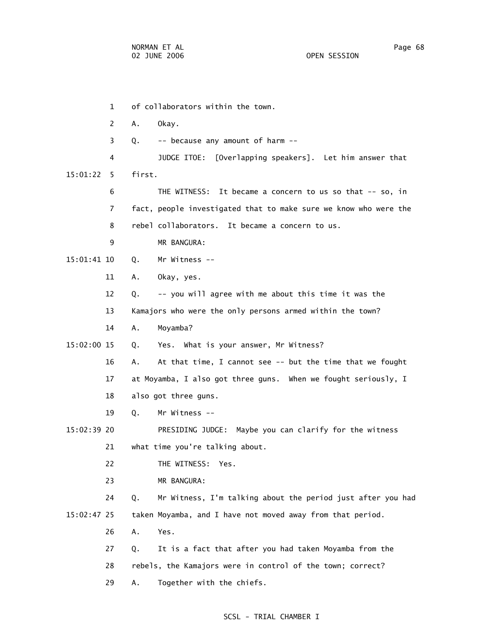1 of collaborators within the town. 2 A. Okay. 3 Q. -- because any amount of harm -- 4 JUDGE ITOE: [Overlapping speakers]. Let him answer that 15:01:22 5 first. 6 THE WITNESS: It became a concern to us so that -- so, in 7 fact, people investigated that to make sure we know who were the 8 rebel collaborators. It became a concern to us. 9 MR BANGURA: 15:01:41 10 Q. Mr Witness -- 11 A. Okay, yes. 12 Q. -- you will agree with me about this time it was the 13 Kamajors who were the only persons armed within the town? 14 A. Moyamba? 15:02:00 15 Q. Yes. What is your answer, Mr Witness? 16 A. At that time, I cannot see -- but the time that we fought 17 at Moyamba, I also got three guns. When we fought seriously, I 18 also got three guns. 19 Q. Mr Witness -- 15:02:39 20 PRESIDING JUDGE: Maybe you can clarify for the witness 21 what time you're talking about. 22 THE WITNESS: Yes. 23 MR BANGURA: 24 Q. Mr Witness, I'm talking about the period just after you had 15:02:47 25 taken Moyamba, and I have not moved away from that period. 26 A. Yes. 27 Q. It is a fact that after you had taken Moyamba from the 28 rebels, the Kamajors were in control of the town; correct? 29 A. Together with the chiefs.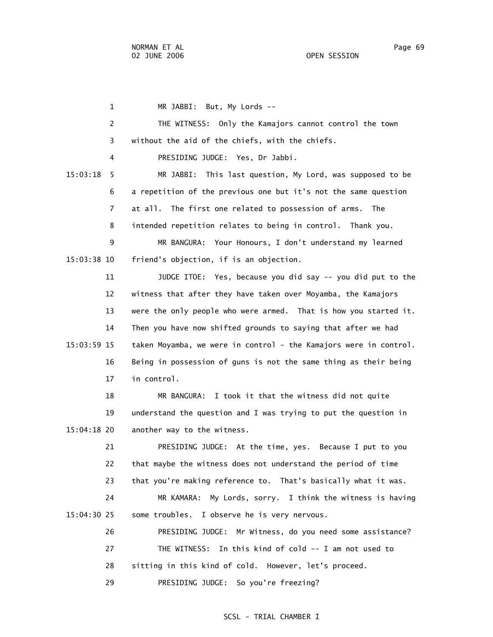1 MR JABBI: But, My Lords -- 2 THE WITNESS: Only the Kamajors cannot control the town 3 without the aid of the chiefs, with the chiefs. 4 PRESIDING JUDGE: Yes, Dr Jabbi. 15:03:18 5 MR JABBI: This last question, My Lord, was supposed to be 6 a repetition of the previous one but it's not the same question 7 at all. The first one related to possession of arms. The 8 intended repetition relates to being in control. Thank you. 9 MR BANGURA: Your Honours, I don't understand my learned 15:03:38 10 friend's objection, if is an objection. 11 JUDGE ITOE: Yes, because you did say -- you did put to the 12 witness that after they have taken over Moyamba, the Kamajors 13 were the only people who were armed. That is how you started it. 14 Then you have now shifted grounds to saying that after we had 15:03:59 15 taken Moyamba, we were in control - the Kamajors were in control. 16 Being in possession of guns is not the same thing as their being 17 in control. 18 MR BANGURA: I took it that the witness did not quite 19 understand the question and I was trying to put the question in 15:04:18 20 another way to the witness. 21 PRESIDING JUDGE: At the time, yes. Because I put to you 22 that maybe the witness does not understand the period of time 23 that you're making reference to. That's basically what it was. 24 MR KAMARA: My Lords, sorry. I think the witness is having 15:04:30 25 some troubles. I observe he is very nervous. 26 PRESIDING JUDGE: Mr Witness, do you need some assistance? 27 THE WITNESS: In this kind of cold -- I am not used to 28 sitting in this kind of cold. However, let's proceed. 29 PRESIDING JUDGE: So you're freezing?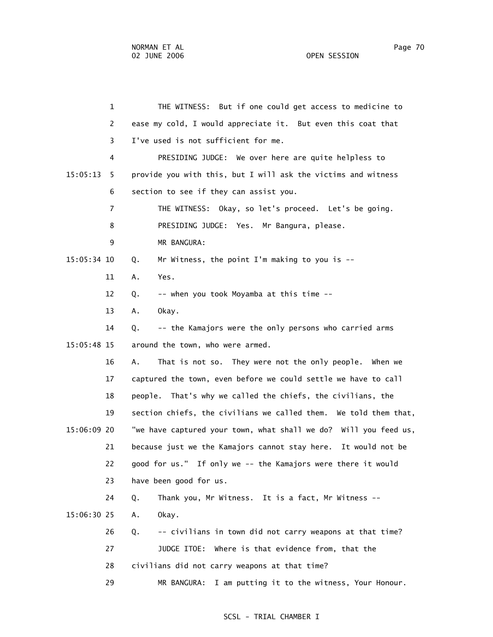1 THE WITNESS: But if one could get access to medicine to 2 ease my cold, I would appreciate it. But even this coat that 3 I've used is not sufficient for me. 4 PRESIDING JUDGE: We over here are quite helpless to 15:05:13 5 provide you with this, but I will ask the victims and witness 6 section to see if they can assist you. 7 THE WITNESS: Okay, so let's proceed. Let's be going. 8 PRESIDING JUDGE: Yes. Mr Bangura, please. 9 MR BANGURA: 15:05:34 10 Q. Mr Witness, the point I'm making to you is -- 11 A. Yes. 12 Q. -- when you took Moyamba at this time -- 13 A. Okay. 14 Q. -- the Kamajors were the only persons who carried arms 15:05:48 15 around the town, who were armed. 16 A. That is not so. They were not the only people. When we 17 captured the town, even before we could settle we have to call 18 people. That's why we called the chiefs, the civilians, the 19 section chiefs, the civilians we called them. We told them that, 15:06:09 20 "we have captured your town, what shall we do? Will you feed us, 21 because just we the Kamajors cannot stay here. It would not be 22 good for us." If only we -- the Kamajors were there it would 23 have been good for us. 24 Q. Thank you, Mr Witness. It is a fact, Mr Witness -- 15:06:30 25 A. Okay. 26 Q. -- civilians in town did not carry weapons at that time? 27 JUDGE ITOE: Where is that evidence from, that the 28 civilians did not carry weapons at that time? 29 MR BANGURA: I am putting it to the witness, Your Honour.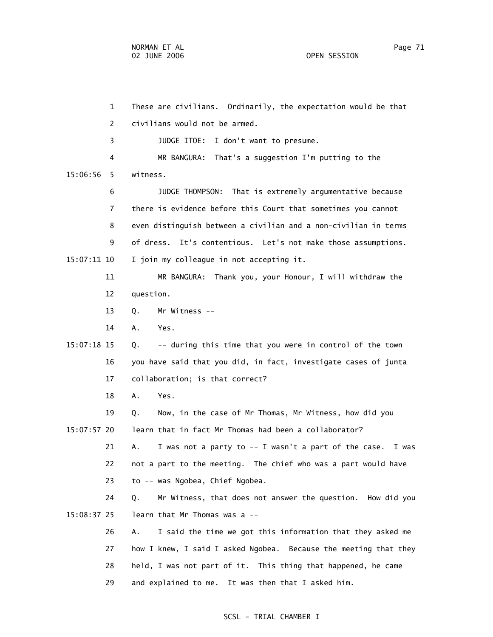1 These are civilians. Ordinarily, the expectation would be that 2 civilians would not be armed. 3 JUDGE ITOE: I don't want to presume. 4 MR BANGURA: That's a suggestion I'm putting to the 15:06:56 5 witness. 6 JUDGE THOMPSON: That is extremely argumentative because 7 there is evidence before this Court that sometimes you cannot 8 even distinguish between a civilian and a non-civilian in terms 9 of dress. It's contentious. Let's not make those assumptions. 15:07:11 10 I join my colleague in not accepting it. 11 MR BANGURA: Thank you, your Honour, I will withdraw the 12 question. 13 Q. Mr Witness -- 14 A. Yes. 15:07:18 15 Q. -- during this time that you were in control of the town 16 you have said that you did, in fact, investigate cases of junta 17 collaboration; is that correct? 18 A. Yes. 19 Q. Now, in the case of Mr Thomas, Mr Witness, how did you 15:07:57 20 learn that in fact Mr Thomas had been a collaborator? 21 A. I was not a party to -- I wasn't a part of the case. I was 22 not a part to the meeting. The chief who was a part would have 23 to -- was Ngobea, Chief Ngobea. 24 Q. Mr Witness, that does not answer the question. How did you 15:08:37 25 learn that Mr Thomas was a -- 26 A. I said the time we got this information that they asked me 27 how I knew, I said I asked Ngobea. Because the meeting that they 28 held, I was not part of it. This thing that happened, he came 29 and explained to me. It was then that I asked him.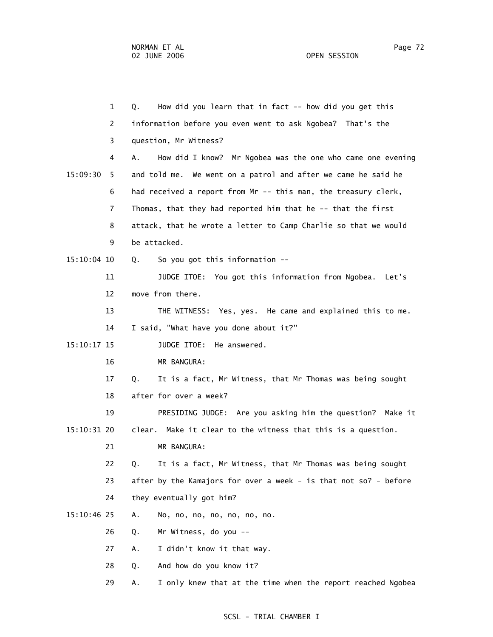1 Q. How did you learn that in fact -- how did you get this 2 information before you even went to ask Ngobea? That's the 3 question, Mr Witness? 4 A. How did I know? Mr Ngobea was the one who came one evening 15:09:30 5 and told me. We went on a patrol and after we came he said he 6 had received a report from Mr -- this man, the treasury clerk, 7 Thomas, that they had reported him that he -- that the first 8 attack, that he wrote a letter to Camp Charlie so that we would 9 be attacked. 15:10:04 10 Q. So you got this information -- 11 JUDGE ITOE: You got this information from Ngobea. Let's 12 move from there. 13 THE WITNESS: Yes, yes. He came and explained this to me. 14 I said, "What have you done about it?" 15:10:17 15 JUDGE ITOE: He answered. 16 MR BANGURA: 17 Q. It is a fact, Mr Witness, that Mr Thomas was being sought 18 after for over a week? 19 PRESIDING JUDGE: Are you asking him the question? Make it 15:10:31 20 clear. Make it clear to the witness that this is a question. 21 MR BANGURA: 22 Q. It is a fact, Mr Witness, that Mr Thomas was being sought 23 after by the Kamajors for over a week - is that not so? - before 24 they eventually got him? 15:10:46 25 A. No, no, no, no, no, no, no. 26 Q. Mr Witness, do you -- 27 A. I didn't know it that way. 28 Q. And how do you know it?

29 A. I only knew that at the time when the report reached Ngobea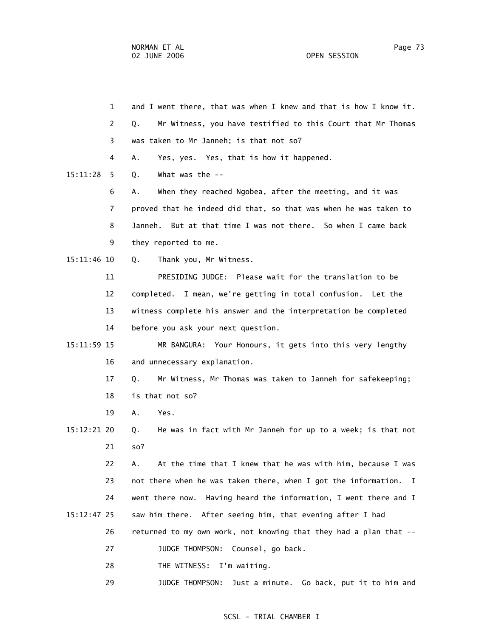1 and I went there, that was when I knew and that is how I know it. 2 Q. Mr Witness, you have testified to this Court that Mr Thomas 3 was taken to Mr Janneh; is that not so? 4 A. Yes, yes. Yes, that is how it happened. 15:11:28 5 Q. What was the -- 6 A. When they reached Ngobea, after the meeting, and it was 7 proved that he indeed did that, so that was when he was taken to 8 Janneh. But at that time I was not there. So when I came back 9 they reported to me. 15:11:46 10 Q. Thank you, Mr Witness. 11 PRESIDING JUDGE: Please wait for the translation to be 12 completed. I mean, we're getting in total confusion. Let the 13 witness complete his answer and the interpretation be completed 14 before you ask your next question. 15:11:59 15 MR BANGURA: Your Honours, it gets into this very lengthy 16 and unnecessary explanation. 17 Q. Mr Witness, Mr Thomas was taken to Janneh for safekeeping; 18 is that not so? 19 A. Yes. 15:12:21 20 Q. He was in fact with Mr Janneh for up to a week; is that not 21 so? 22 A. At the time that I knew that he was with him, because I was 23 not there when he was taken there, when I got the information. I 24 went there now. Having heard the information, I went there and I 15:12:47 25 saw him there. After seeing him, that evening after I had 26 returned to my own work, not knowing that they had a plan that -- 27 JUDGE THOMPSON: Counsel, go back. 28 THE WITNESS: I'm waiting.

#### SCSL - TRIAL CHAMBER I

29 JUDGE THOMPSON: Just a minute. Go back, put it to him and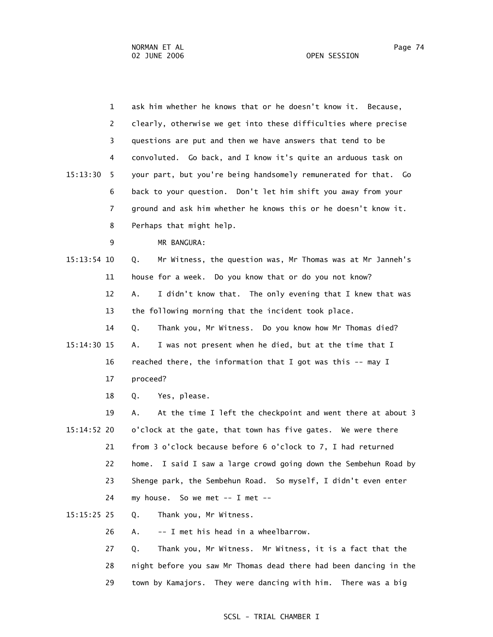1 ask him whether he knows that or he doesn't know it. Because, 2 clearly, otherwise we get into these difficulties where precise 3 questions are put and then we have answers that tend to be 4 convoluted. Go back, and I know it's quite an arduous task on 15:13:30 5 your part, but you're being handsomely remunerated for that. Go 6 back to your question. Don't let him shift you away from your 7 ground and ask him whether he knows this or he doesn't know it. 8 Perhaps that might help. 9 MR BANGURA: 15:13:54 10 Q. Mr Witness, the question was, Mr Thomas was at Mr Janneh's 11 house for a week. Do you know that or do you not know? 12 A. I didn't know that. The only evening that I knew that was 13 the following morning that the incident took place. 14 Q. Thank you, Mr Witness. Do you know how Mr Thomas died? 15:14:30 15 A. I was not present when he died, but at the time that I 16 reached there, the information that I got was this -- may I 17 proceed? 18 Q. Yes, please. 19 A. At the time I left the checkpoint and went there at about 3 15:14:52 20 o'clock at the gate, that town has five gates. We were there 21 from 3 o'clock because before 6 o'clock to 7, I had returned 22 home. I said I saw a large crowd going down the Sembehun Road by 23 Shenge park, the Sembehun Road. So myself, I didn't even enter 24 my house. So we met -- I met -- 15:15:25 25 Q. Thank you, Mr Witness. 26 A. -- I met his head in a wheelbarrow.

> 27 Q. Thank you, Mr Witness. Mr Witness, it is a fact that the 28 night before you saw Mr Thomas dead there had been dancing in the 29 town by Kamajors. They were dancing with him. There was a big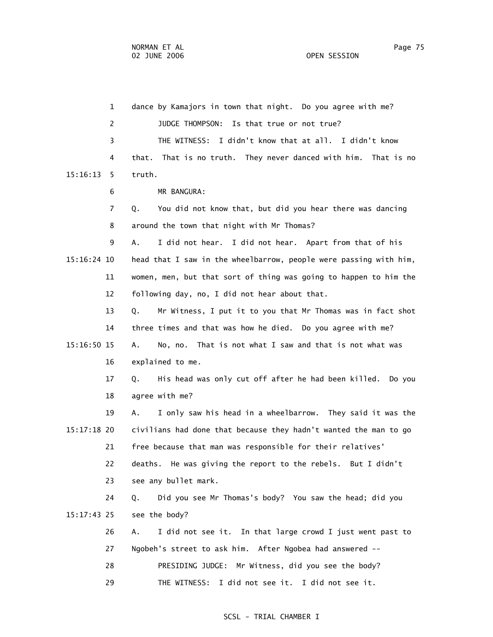1 dance by Kamajors in town that night. Do you agree with me? 2 JUDGE THOMPSON: Is that true or not true? 3 THE WITNESS: I didn't know that at all. I didn't know 4 that. That is no truth. They never danced with him. That is no 15:16:13 5 truth. 6 MR BANGURA: 7 Q. You did not know that, but did you hear there was dancing 8 around the town that night with Mr Thomas? 9 A. I did not hear. I did not hear. Apart from that of his 15:16:24 10 head that I saw in the wheelbarrow, people were passing with him, 11 women, men, but that sort of thing was going to happen to him the 12 following day, no, I did not hear about that. 13 Q. Mr Witness, I put it to you that Mr Thomas was in fact shot 14 three times and that was how he died. Do you agree with me? 15:16:50 15 A. No, no. That is not what I saw and that is not what was 16 explained to me. 17 Q. His head was only cut off after he had been killed. Do you 18 agree with me? 19 A. I only saw his head in a wheelbarrow. They said it was the 15:17:18 20 civilians had done that because they hadn't wanted the man to go 21 free because that man was responsible for their relatives' 22 deaths. He was giving the report to the rebels. But I didn't 23 see any bullet mark. 24 Q. Did you see Mr Thomas's body? You saw the head; did you 15:17:43 25 see the body? 26 A. I did not see it. In that large crowd I just went past to 27 Ngobeh's street to ask him. After Ngobea had answered -- 28 PRESIDING JUDGE: Mr Witness, did you see the body? 29 THE WITNESS: I did not see it. I did not see it.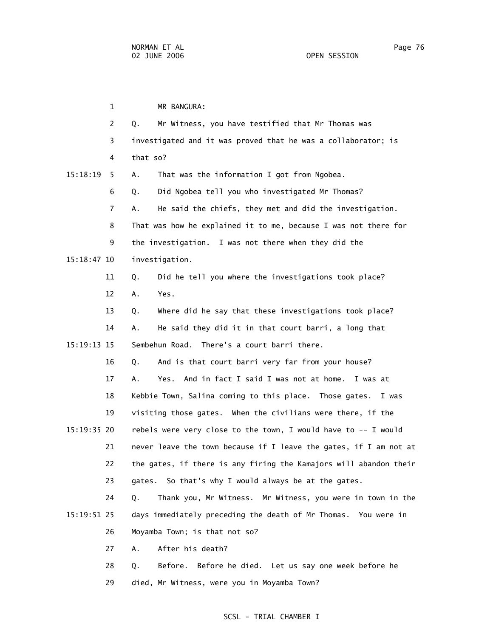1 MR BANGURA: 2 Q. Mr Witness, you have testified that Mr Thomas was 3 investigated and it was proved that he was a collaborator; is 4 that so? 15:18:19 5 A. That was the information I got from Ngobea. 6 Q. Did Ngobea tell you who investigated Mr Thomas? 7 A. He said the chiefs, they met and did the investigation. 8 That was how he explained it to me, because I was not there for 9 the investigation. I was not there when they did the 15:18:47 10 investigation. 11 Q. Did he tell you where the investigations took place? 12 A. Yes. 13 Q. Where did he say that these investigations took place? 14 A. He said they did it in that court barri, a long that 15:19:13 15 Sembehun Road. There's a court barri there. 16 Q. And is that court barri very far from your house? 17 A. Yes. And in fact I said I was not at home. I was at 18 Kebbie Town, Salina coming to this place. Those gates. I was 19 visiting those gates. When the civilians were there, if the 15:19:35 20 rebels were very close to the town, I would have to -- I would 21 never leave the town because if I leave the gates, if I am not at 22 the gates, if there is any firing the Kamajors will abandon their 23 gates. So that's why I would always be at the gates. 24 Q. Thank you, Mr Witness. Mr Witness, you were in town in the 15:19:51 25 days immediately preceding the death of Mr Thomas. You were in 26 Moyamba Town; is that not so? 27 A. After his death? 28 Q. Before. Before he died. Let us say one week before he

29 died, Mr Witness, were you in Moyamba Town?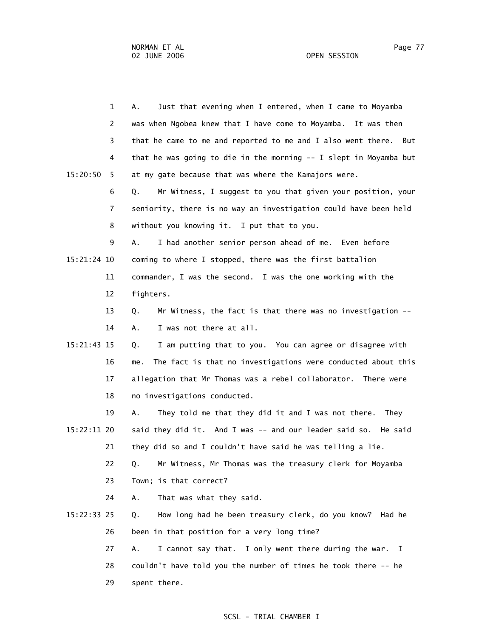|             | $\mathbf{1}$ | Just that evening when I entered, when I came to Moyamba<br>А.      |
|-------------|--------------|---------------------------------------------------------------------|
|             | 2            | was when Ngobea knew that I have come to Moyamba. It was then       |
|             | 3            | that he came to me and reported to me and I also went there. But    |
|             |              |                                                                     |
|             | 4            | that he was going to die in the morning -- I slept in Moyamba but   |
| 15:20:50    | 5            | at my gate because that was where the Kamajors were.                |
|             | 6            | Mr Witness, I suggest to you that given your position, your<br>Q.   |
|             | 7            | seniority, there is no way an investigation could have been held    |
|             | 8            | without you knowing it. I put that to you.                          |
|             | 9            | A.<br>I had another senior person ahead of me. Even before          |
| 15:21:24 10 |              | coming to where I stopped, there was the first battalion            |
|             | 11           | commander, I was the second. I was the one working with the         |
|             | 12           | fighters.                                                           |
|             | 13           | Mr Witness, the fact is that there was no investigation --<br>Q.    |
|             | 14           | I was not there at all.<br>Α.                                       |
| 15:21:43 15 |              | I am putting that to you. You can agree or disagree with<br>Q.      |
|             | 16           | The fact is that no investigations were conducted about this<br>me. |
|             | 17           | allegation that Mr Thomas was a rebel collaborator. There were      |
|             | 18           | no investigations conducted.                                        |
|             | 19           | They told me that they did it and I was not there.<br>Α.<br>They    |
| 15:22:11 20 |              | said they did it. And I was -- and our leader said so. He said      |
|             | 21           | they did so and I couldn't have said he was telling a lie.          |
|             | 22           | Mr Witness, Mr Thomas was the treasury clerk for Moyamba<br>Q.      |
|             |              |                                                                     |
|             | 23           | Town; is that correct?                                              |
|             | 24           | That was what they said.<br>Α.                                      |
| 15:22:33 25 |              | How long had he been treasury clerk, do you know?<br>Q.<br>Had he   |
|             | 26           | been in that position for a very long time?                         |
|             | 27           | I cannot say that. I only went there during the war. I<br>Α.        |
|             | 28           | couldn't have told you the number of times he took there -- he      |

29 spent there.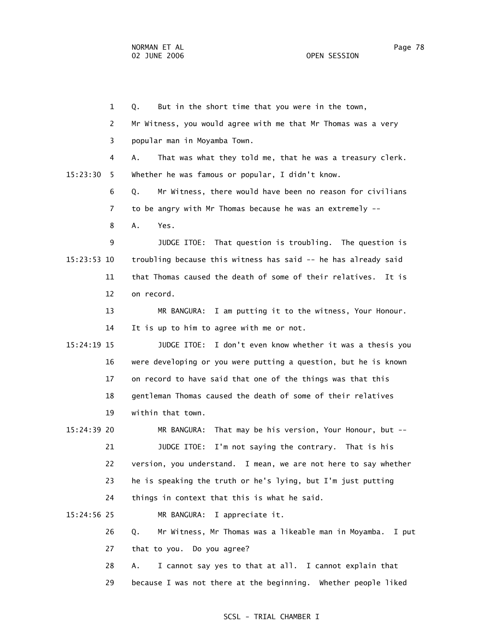1 Q. But in the short time that you were in the town, 2 Mr Witness, you would agree with me that Mr Thomas was a very 3 popular man in Moyamba Town. 4 A. That was what they told me, that he was a treasury clerk. 15:23:30 5 Whether he was famous or popular, I didn't know. 6 Q. Mr Witness, there would have been no reason for civilians 7 to be angry with Mr Thomas because he was an extremely -- 8 A. Yes. 9 JUDGE ITOE: That question is troubling. The question is 15:23:53 10 troubling because this witness has said -- he has already said 11 that Thomas caused the death of some of their relatives. It is 12 on record. 13 MR BANGURA: I am putting it to the witness, Your Honour. 14 It is up to him to agree with me or not. 15:24:19 15 JUDGE ITOE: I don't even know whether it was a thesis you 16 were developing or you were putting a question, but he is known 17 on record to have said that one of the things was that this 18 gentleman Thomas caused the death of some of their relatives 19 within that town. 15:24:39 20 MR BANGURA: That may be his version, Your Honour, but -- 21 JUDGE ITOE: I'm not saying the contrary. That is his 22 version, you understand. I mean, we are not here to say whether 23 he is speaking the truth or he's lying, but I'm just putting 24 things in context that this is what he said. 15:24:56 25 MR BANGURA: I appreciate it. 26 Q. Mr Witness, Mr Thomas was a likeable man in Moyamba. I put 27 that to you. Do you agree? 28 A. I cannot say yes to that at all. I cannot explain that

29 because I was not there at the beginning. Whether people liked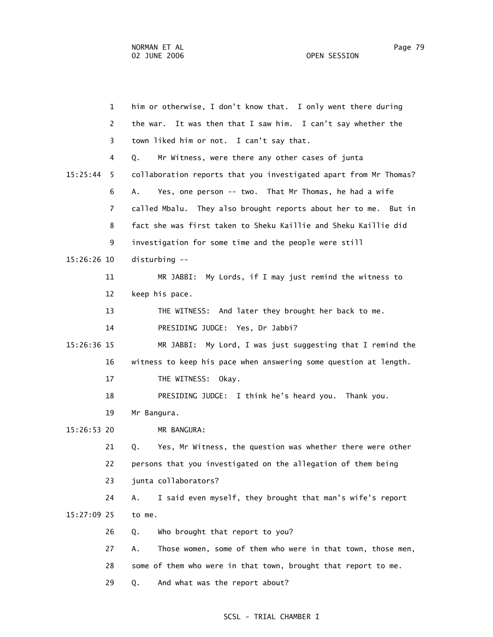1 him or otherwise, I don't know that. I only went there during 2 the war. It was then that I saw him. I can't say whether the 3 town liked him or not. I can't say that. 4 Q. Mr Witness, were there any other cases of junta 15:25:44 5 collaboration reports that you investigated apart from Mr Thomas? 6 A. Yes, one person -- two. That Mr Thomas, he had a wife 7 called Mbalu. They also brought reports about her to me. But in 8 fact she was first taken to Sheku Kaillie and Sheku Kaillie did 9 investigation for some time and the people were still 15:26:26 10 disturbing -- 11 MR JABBI: My Lords, if I may just remind the witness to 12 keep his pace. 13 THE WITNESS: And later they brought her back to me. 14 PRESIDING JUDGE: Yes, Dr Jabbi? 15:26:36 15 MR JABBI: My Lord, I was just suggesting that I remind the 16 witness to keep his pace when answering some question at length. 17 THE WITNESS: Okay. 18 PRESIDING JUDGE: I think he's heard you. Thank you. 19 Mr Bangura. 15:26:53 20 MR BANGURA: 21 Q. Yes, Mr Witness, the question was whether there were other 22 persons that you investigated on the allegation of them being 23 junta collaborators? 24 A. I said even myself, they brought that man's wife's report 15:27:09 25 to me. 26 Q. Who brought that report to you? 27 A. Those women, some of them who were in that town, those men, 28 some of them who were in that town, brought that report to me. 29 Q. And what was the report about?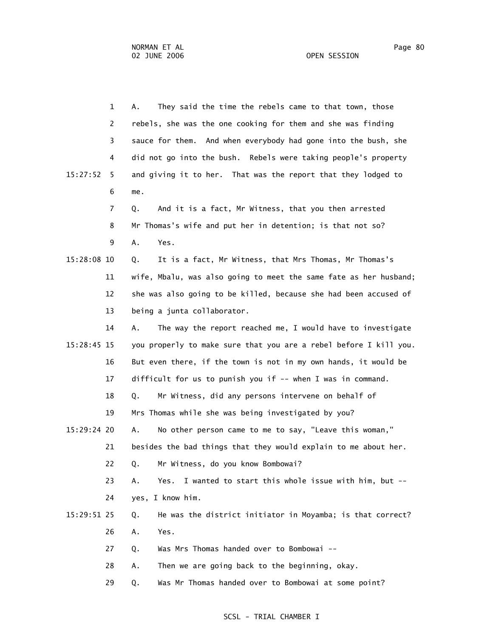|             | $\mathbf{1}$ | They said the time the rebels came to that town, those<br>А.      |
|-------------|--------------|-------------------------------------------------------------------|
|             | 2            | rebels, she was the one cooking for them and she was finding      |
|             | 3            | sauce for them. And when everybody had gone into the bush, she    |
|             | 4            | did not go into the bush. Rebels were taking people's property    |
| 15:27:52    | 5.           | and giving it to her. That was the report that they lodged to     |
|             | 6            | me.                                                               |
|             | 7            | And it is a fact, Mr Witness, that you then arrested<br>Q.        |
|             | 8            | Mr Thomas's wife and put her in detention; is that not so?        |
|             | 9            | Yes.<br>Α.                                                        |
| 15:28:08 10 |              | It is a fact, Mr Witness, that Mrs Thomas, Mr Thomas's<br>Q.      |
|             | 11           | wife, Mbalu, was also going to meet the same fate as her husband; |
|             | 12           | she was also going to be killed, because she had been accused of  |
|             | 13           | being a junta collaborator.                                       |
|             | 14           | The way the report reached me, I would have to investigate<br>Α.  |
| 15:28:45 15 |              | you properly to make sure that you are a rebel before I kill you. |
|             | 16           | But even there, if the town is not in my own hands, it would be   |
|             | 17           | difficult for us to punish you if -- when I was in command.       |
|             | 18           | Mr Witness, did any persons intervene on behalf of<br>Q.          |
|             | 19           | Mrs Thomas while she was being investigated by you?               |
| 15:29:24 20 |              | No other person came to me to say, "Leave this woman,"<br>Α.      |
|             | 21           | besides the bad things that they would explain to me about her.   |
|             | 22           | Mr Witness, do you know Bombowai?<br>Q.                           |
|             | 23           | Yes.<br>I wanted to start this whole issue with him, but --<br>Α. |
|             | 24           | yes, I know him.                                                  |
| 15:29:51 25 |              | He was the district initiator in Moyamba; is that correct?<br>Q.  |
|             | 26           | Yes.<br>Α.                                                        |
|             | 27           | Was Mrs Thomas handed over to Bombowai --<br>Q.                   |
|             | 28           | Then we are going back to the beginning, okay.<br>Α.              |
|             | 29           | Was Mr Thomas handed over to Bombowai at some point?<br>Q.        |
|             |              |                                                                   |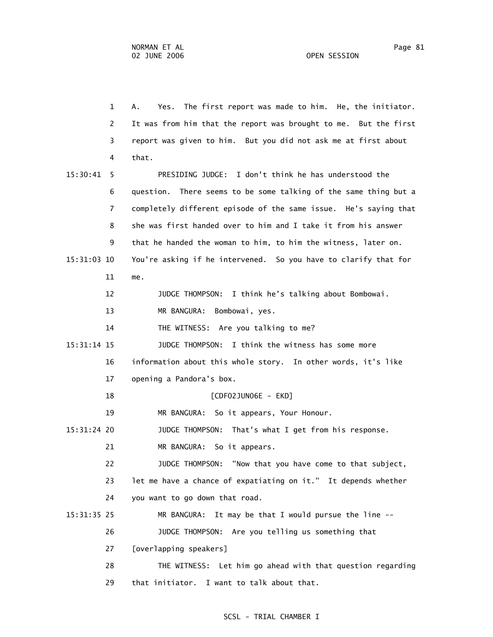1 A. Yes. The first report was made to him. He, the initiator. 2 It was from him that the report was brought to me. But the first 3 report was given to him. But you did not ask me at first about 4 that. 15:30:41 5 PRESIDING JUDGE: I don't think he has understood the 6 question. There seems to be some talking of the same thing but a 7 completely different episode of the same issue. He's saying that 8 she was first handed over to him and I take it from his answer 9 that he handed the woman to him, to him the witness, later on. 15:31:03 10 You're asking if he intervened. So you have to clarify that for 11 me. 12 JUDGE THOMPSON: I think he's talking about Bombowai. 13 MR BANGURA: Bombowai, yes. 14 THE WITNESS: Are you talking to me? 15:31:14 15 JUDGE THOMPSON: I think the witness has some more 16 information about this whole story. In other words, it's like 17 opening a Pandora's box. 18 [CDF02JUN06E - EKD] 19 MR BANGURA: So it appears, Your Honour. 15:31:24 20 JUDGE THOMPSON: That's what I get from his response. 21 MR BANGURA: So it appears. 22 JUDGE THOMPSON: "Now that you have come to that subject, 23 let me have a chance of expatiating on it." It depends whether 24 you want to go down that road. 15:31:35 25 MR BANGURA: It may be that I would pursue the line -- 26 JUDGE THOMPSON: Are you telling us something that 27 [overlapping speakers] 28 THE WITNESS: Let him go ahead with that question regarding 29 that initiator. I want to talk about that.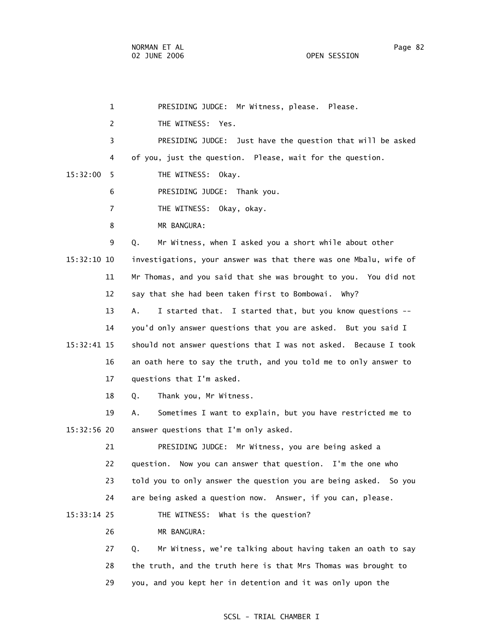| 1              | PRESIDING JUDGE: Mr Witness, please.<br>Please.                   |
|----------------|-------------------------------------------------------------------|
| 2              | THE WITNESS: Yes.                                                 |
| 3              | PRESIDING JUDGE: Just have the question that will be asked        |
| 4              | of you, just the question. Please, wait for the question.         |
| 15:32:00<br>5. | THE WITNESS: Okay.                                                |
| 6              | PRESIDING JUDGE: Thank you.                                       |
| $\overline{7}$ | THE WITNESS: Okay, okay.                                          |
| 8              | MR BANGURA:                                                       |
| 9              | Mr Witness, when I asked you a short while about other<br>Q.      |
| 15:32:10 10    | investigations, your answer was that there was one Mbalu, wife of |
| 11             | Mr Thomas, and you said that she was brought to you. You did not  |
| 12             | say that she had been taken first to Bombowai. Why?               |
| 13             | I started that. I started that, but you know questions --<br>А.   |
| 14             | you'd only answer questions that you are asked. But you said I    |
| 15:32:41 15    | should not answer questions that I was not asked. Because I took  |
| 16             | an oath here to say the truth, and you told me to only answer to  |
| 17             | questions that I'm asked.                                         |
| 18             | Thank you, Mr Witness.<br>Q.                                      |
| 19             | Sometimes I want to explain, but you have restricted me to<br>Α.  |
| 15:32:56 20    | answer questions that I'm only asked.                             |
| 21             | PRESIDING JUDGE: Mr Witness, you are being asked a                |
| 22             | Now you can answer that question. I'm the one who<br>question.    |
| 23             | told you to only answer the question you are being asked. So you  |
| 24             | are being asked a question now. Answer, if you can, please.       |
| 15:33:14 25    | THE WITNESS:<br>What is the question?                             |
| 26             | MR BANGURA:                                                       |
| 27             | Mr Witness, we're talking about having taken an oath to say<br>Q. |
| 28             | the truth, and the truth here is that Mrs Thomas was brought to   |

## SCSL - TRIAL CHAMBER I

29 you, and you kept her in detention and it was only upon the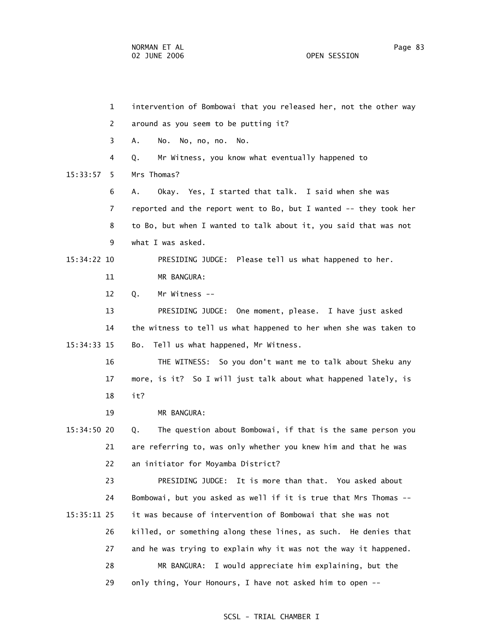NORMAN ET AL Page 83 02 JUNE 2006 OPEN SESSION

 1 intervention of Bombowai that you released her, not the other way 2 around as you seem to be putting it? 3 A. No. No, no, no. No. 4 Q. Mr Witness, you know what eventually happened to 15:33:57 5 Mrs Thomas? 6 A. Okay. Yes, I started that talk. I said when she was 7 reported and the report went to Bo, but I wanted -- they took her 8 to Bo, but when I wanted to talk about it, you said that was not 9 what I was asked. 15:34:22 10 PRESIDING JUDGE: Please tell us what happened to her. 11 MR BANGURA: 12 Q. Mr Witness -- 13 PRESIDING JUDGE: One moment, please. I have just asked 14 the witness to tell us what happened to her when she was taken to 15:34:33 15 Bo. Tell us what happened, Mr Witness. 16 THE WITNESS: So you don't want me to talk about Sheku any 17 more, is it? So I will just talk about what happened lately, is 18 it? 19 MR BANGURA: 15:34:50 20 Q. The question about Bombowai, if that is the same person you 21 are referring to, was only whether you knew him and that he was 22 an initiator for Moyamba District? 23 PRESIDING JUDGE: It is more than that. You asked about 24 Bombowai, but you asked as well if it is true that Mrs Thomas -- 15:35:11 25 it was because of intervention of Bombowai that she was not 26 killed, or something along these lines, as such. He denies that 27 and he was trying to explain why it was not the way it happened. 28 MR BANGURA: I would appreciate him explaining, but the 29 only thing, Your Honours, I have not asked him to open --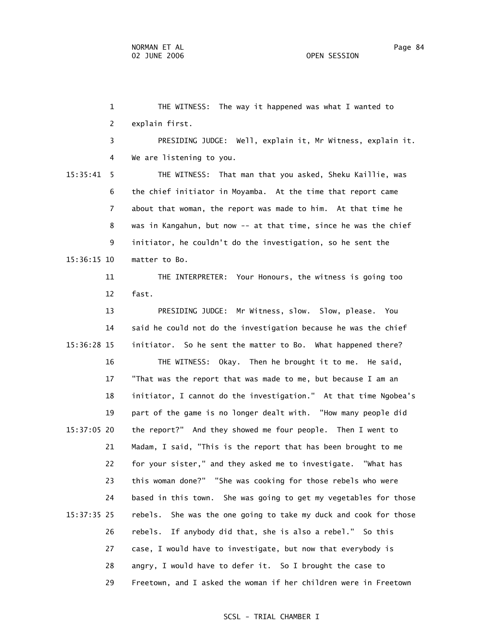1 THE WITNESS: The way it happened was what I wanted to 2 explain first. 3 PRESIDING JUDGE: Well, explain it, Mr Witness, explain it. 4 We are listening to you. 15:35:41 5 THE WITNESS: That man that you asked, Sheku Kaillie, was 6 the chief initiator in Moyamba. At the time that report came 7 about that woman, the report was made to him. At that time he 8 was in Kangahun, but now -- at that time, since he was the chief 9 initiator, he couldn't do the investigation, so he sent the 15:36:15 10 matter to Bo. 11 THE INTERPRETER: Your Honours, the witness is going too 12 fast. 13 PRESIDING JUDGE: Mr Witness, slow. Slow, please. You 14 said he could not do the investigation because he was the chief 15:36:28 15 initiator. So he sent the matter to Bo. What happened there? 16 THE WITNESS: Okay. Then he brought it to me. He said, 17 "That was the report that was made to me, but because I am an 18 initiator, I cannot do the investigation." At that time Ngobea's 19 part of the game is no longer dealt with. "How many people did 15:37:05 20 the report?" And they showed me four people. Then I went to 21 Madam, I said, "This is the report that has been brought to me 22 for your sister," and they asked me to investigate. "What has 23 this woman done?" "She was cooking for those rebels who were 24 based in this town. She was going to get my vegetables for those 15:37:35 25 rebels. She was the one going to take my duck and cook for those 26 rebels. If anybody did that, she is also a rebel." So this 27 case, I would have to investigate, but now that everybody is 28 angry, I would have to defer it. So I brought the case to

#### SCSL - TRIAL CHAMBER I

29 Freetown, and I asked the woman if her children were in Freetown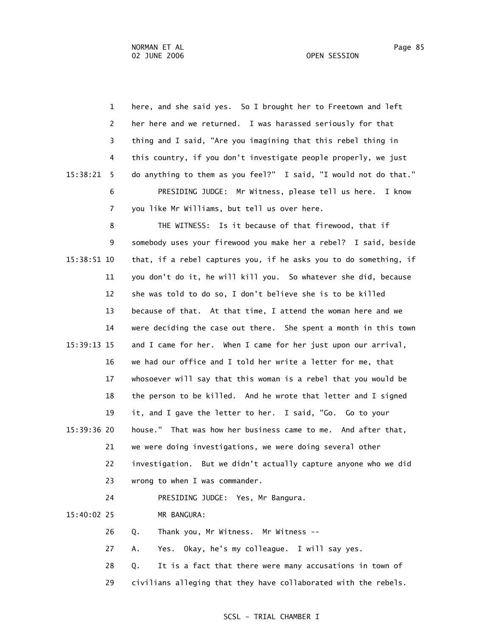| $\mathbf{1}$  | here, and she said yes. So I brought her to Freetown and left     |
|---------------|-------------------------------------------------------------------|
| 2             | her here and we returned. I was harassed seriously for that       |
| 3             | thing and I said, "Are you imagining that this rebel thing in     |
| 4             | this country, if you don't investigate people properly, we just   |
| 15:38:21<br>5 | do anything to them as you feel?" I said, "I would not do that."  |
| 6             | PRESIDING JUDGE: Mr Witness, please tell us here. I know          |
| 7             | you like Mr Williams, but tell us over here.                      |
| 8             | THE WITNESS: Is it because of that firewood, that if              |
| 9             | somebody uses your firewood you make her a rebel? I said, beside  |
| 15:38:51 10   | that, if a rebel captures you, if he asks you to do something, if |
| 11            | you don't do it, he will kill you. So whatever she did, because   |
| 12            | she was told to do so, I don't believe she is to be killed        |
| 13            | because of that. At that time, I attend the woman here and we     |
| 14            | were deciding the case out there. She spent a month in this town  |
| 15:39:13 15   | and I came for her. When I came for her just upon our arrival,    |
| 16            | we had our office and I told her write a letter for me, that      |
| 17            | whosoever will say that this woman is a rebel that you would be   |
| 18            | the person to be killed. And he wrote that letter and I signed    |
| 19            | it, and I gave the letter to her. I said, "Go. Go to your         |
| 15:39:36 20   | house." That was how her business came to me. And after that,     |
| 21            | we were doing investigations, we were doing several other         |
| 22            | investigation. But we didn't actually capture anyone who we did   |
| 23            | wrong to when I was commander.                                    |
| 24            | PRESIDING JUDGE: Yes, Mr Bangura.                                 |
| 15:40:02 25   | MR BANGURA:                                                       |
| 26            | Thank you, Mr Witness. Mr Witness --<br>Q.                        |
| 27            | Yes. Okay, he's my colleague. I will say yes.<br>Α.               |
| 28            | It is a fact that there were many accusations in town of<br>Q.    |
| 29            | civilians alleging that they have collaborated with the rebels.   |
|               |                                                                   |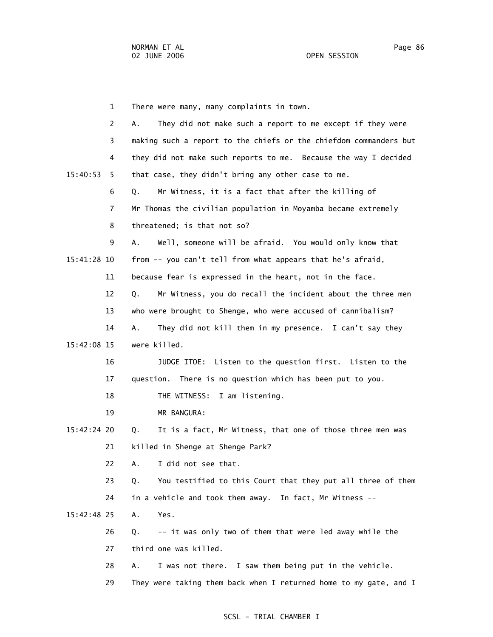1 There were many, many complaints in town. 2 A. They did not make such a report to me except if they were 3 making such a report to the chiefs or the chiefdom commanders but 4 they did not make such reports to me. Because the way I decided 15:40:53 5 that case, they didn't bring any other case to me. 6 Q. Mr Witness, it is a fact that after the killing of 7 Mr Thomas the civilian population in Moyamba became extremely 8 threatened; is that not so? 9 A. Well, someone will be afraid. You would only know that 15:41:28 10 from -- you can't tell from what appears that he's afraid, 11 because fear is expressed in the heart, not in the face. 12 Q. Mr Witness, you do recall the incident about the three men 13 who were brought to Shenge, who were accused of cannibalism? 14 A. They did not kill them in my presence. I can't say they 15:42:08 15 were killed. 16 JUDGE ITOE: Listen to the question first. Listen to the 17 question. There is no question which has been put to you. 18 THE WITNESS: I am listening. 19 MR BANGURA: 15:42:24 20 Q. It is a fact, Mr Witness, that one of those three men was 21 killed in Shenge at Shenge Park? 22 A. I did not see that. 23 Q. You testified to this Court that they put all three of them 24 in a vehicle and took them away. In fact, Mr Witness -- 15:42:48 25 A. Yes. 26 Q. -- it was only two of them that were led away while the 27 third one was killed. 28 A. I was not there. I saw them being put in the vehicle. 29 They were taking them back when I returned home to my gate, and I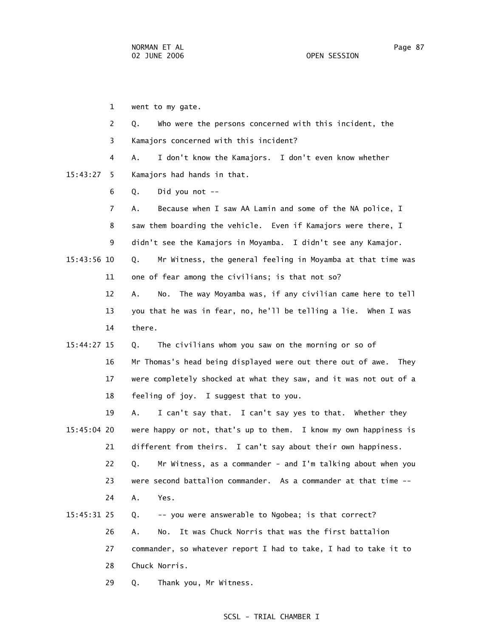1 went to my gate. 2 Q. Who were the persons concerned with this incident, the 3 Kamajors concerned with this incident? 4 A. I don't know the Kamajors. I don't even know whether 15:43:27 5 Kamajors had hands in that. 6 Q. Did you not -- 7 A. Because when I saw AA Lamin and some of the NA police, I 8 saw them boarding the vehicle. Even if Kamajors were there, I 9 didn't see the Kamajors in Moyamba. I didn't see any Kamajor. 15:43:56 10 Q. Mr Witness, the general feeling in Moyamba at that time was 11 one of fear among the civilians; is that not so? 12 A. No. The way Moyamba was, if any civilian came here to tell 13 you that he was in fear, no, he'll be telling a lie. When I was 14 there. 15:44:27 15 Q. The civilians whom you saw on the morning or so of 16 Mr Thomas's head being displayed were out there out of awe. They 17 were completely shocked at what they saw, and it was not out of a 18 feeling of joy. I suggest that to you. 19 A. I can't say that. I can't say yes to that. Whether they 15:45:04 20 were happy or not, that's up to them. I know my own happiness is 21 different from theirs. I can't say about their own happiness. 22 Q. Mr Witness, as a commander - and I'm talking about when you 23 were second battalion commander. As a commander at that time -- 24 A. Yes. 15:45:31 25 Q. -- you were answerable to Ngobea; is that correct?

 26 A. No. It was Chuck Norris that was the first battalion 27 commander, so whatever report I had to take, I had to take it to 28 Chuck Norris.

29 Q. Thank you, Mr Witness.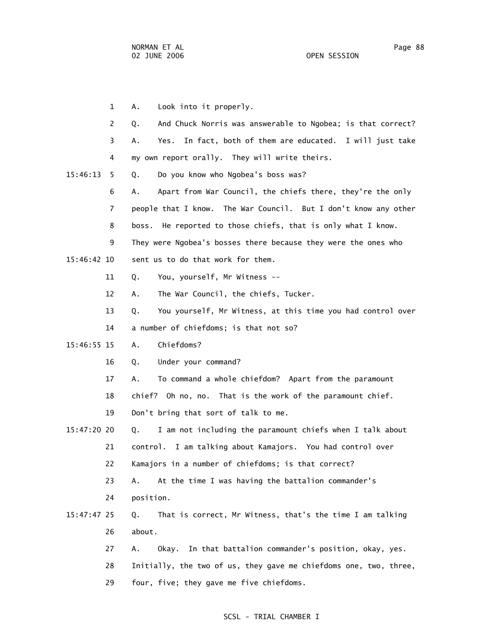1 A. Look into it properly. 2 Q. And Chuck Norris was answerable to Ngobea; is that correct? 3 A. Yes. In fact, both of them are educated. I will just take 4 my own report orally. They will write theirs. 15:46:13 5 Q. Do you know who Ngobea's boss was? 6 A. Apart from War Council, the chiefs there, they're the only 7 people that I know. The War Council. But I don't know any other 8 boss. He reported to those chiefs, that is only what I know. 9 They were Ngobea's bosses there because they were the ones who 15:46:42 10 sent us to do that work for them. 11 Q. You, yourself, Mr Witness -- 12 A. The War Council, the chiefs, Tucker. 13 Q. You yourself, Mr Witness, at this time you had control over 14 a number of chiefdoms; is that not so? 15:46:55 15 A. Chiefdoms? 16 Q. Under your command? 17 A. To command a whole chiefdom? Apart from the paramount 18 chief? Oh no, no. That is the work of the paramount chief. 19 Don't bring that sort of talk to me. 15:47:20 20 Q. I am not including the paramount chiefs when I talk about 21 control. I am talking about Kamajors. You had control over 22 Kamajors in a number of chiefdoms; is that correct? 23 A. At the time I was having the battalion commander's 24 position. 15:47:47 25 Q. That is correct, Mr Witness, that's the time I am talking 26 about. 27 A. Okay. In that battalion commander's position, okay, yes. 28 Initially, the two of us, they gave me chiefdoms one, two, three, 29 four, five; they gave me five chiefdoms.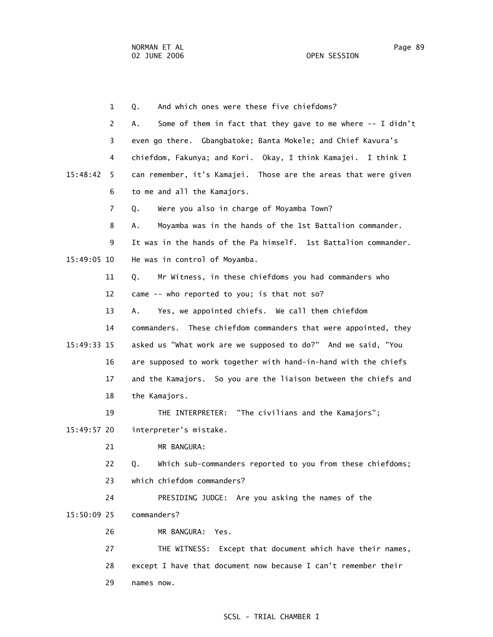1 Q. And which ones were these five chiefdoms? 2 A. Some of them in fact that they gave to me where -- I didn't 3 even go there. Gbangbatoke; Banta Mokele; and Chief Kavura's 4 chiefdom, Fakunya; and Kori. Okay, I think Kamajei. I think I 15:48:42 5 can remember, it's Kamajei. Those are the areas that were given 6 to me and all the Kamajors. 7 Q. Were you also in charge of Moyamba Town? 8 A. Moyamba was in the hands of the 1st Battalion commander. 9 It was in the hands of the Pa himself. 1st Battalion commander. 15:49:05 10 He was in control of Moyamba. 11 Q. Mr Witness, in these chiefdoms you had commanders who 12 came -- who reported to you; is that not so? 13 A. Yes, we appointed chiefs. We call them chiefdom 14 commanders. These chiefdom commanders that were appointed, they 15:49:33 15 asked us "What work are we supposed to do?" And we said, "You 16 are supposed to work together with hand-in-hand with the chiefs 17 and the Kamajors. So you are the liaison between the chiefs and 18 the Kamajors. 19 THE INTERPRETER: "The civilians and the Kamajors"; 15:49:57 20 interpreter's mistake. 21 MR BANGURA: 22 Q. Which sub-commanders reported to you from these chiefdoms; 23 which chiefdom commanders? 24 PRESIDING JUDGE: Are you asking the names of the 15:50:09 25 commanders? 26 MR BANGURA: Yes. 27 THE WITNESS: Except that document which have their names, 28 except I have that document now because I can't remember their 29 names now.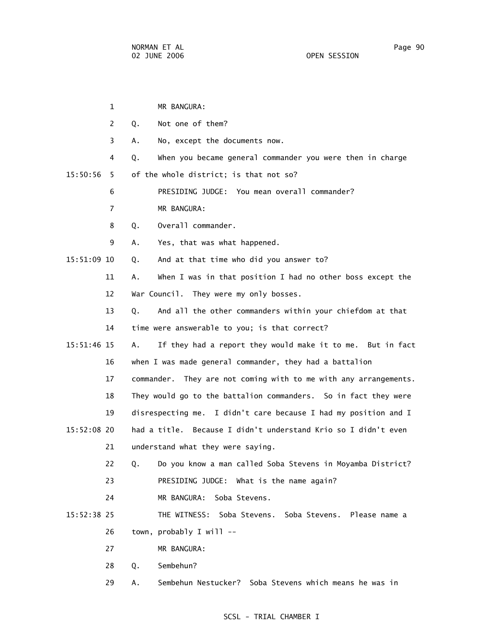|             | $\mathbf{1}$   |    | MR BANGURA:                                                      |
|-------------|----------------|----|------------------------------------------------------------------|
|             | 2              | Q. | Not one of them?                                                 |
|             | 3              | А. | No, except the documents now.                                    |
|             | 4              | Q. | When you became general commander you were then in charge        |
| 15:50:56    | 5.             |    | of the whole district; is that not so?                           |
|             | 6              |    | PRESIDING JUDGE: You mean overall commander?                     |
|             | $\overline{7}$ |    | MR BANGURA:                                                      |
|             | 8              | Q. | Overall commander.                                               |
|             | 9              | А. | Yes, that was what happened.                                     |
| 15:51:09 10 |                | Q. | And at that time who did you answer to?                          |
|             | 11             | Α. | When I was in that position I had no other boss except the       |
|             | 12             |    | War Council. They were my only bosses.                           |
|             | 13             | Q. | And all the other commanders within your chiefdom at that        |
|             | 14             |    | time were answerable to you; is that correct?                    |
| 15:51:46 15 |                | Α. | If they had a report they would make it to me. But in fact       |
|             | 16             |    | when I was made general commander, they had a battalion          |
|             | 17             |    | commander. They are not coming with to me with any arrangements. |
|             | 18             |    | They would go to the battalion commanders. So in fact they were  |
|             | 19             |    | disrespecting me. I didn't care because I had my position and I  |
| 15:52:08 20 |                |    | had a title. Because I didn't understand Krio so I didn't even   |
|             | 21             |    | understand what they were saying.                                |
|             | 22             |    | Q. Do you know a man called Soba Stevens in Moyamba District?    |
|             | 23             |    | PRESIDING JUDGE: What is the name again?                         |
|             | 24             |    | MR BANGURA:<br>Soba Stevens.                                     |
| 15:52:38 25 |                |    | THE WITNESS: Soba Stevens. Soba Stevens. Please name a           |
|             | 26             |    | town, probably I will --                                         |
|             | 27             |    | MR BANGURA:                                                      |
|             | 28             | Q. | Sembehun?                                                        |
|             | 29             | Α. | Sembehun Nestucker? Soba Stevens which means he was in           |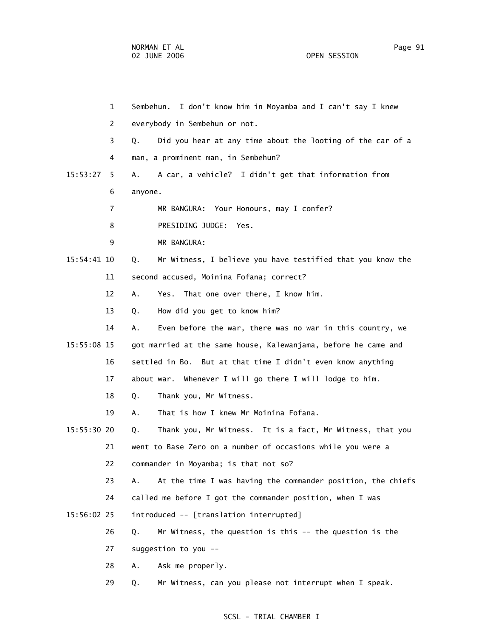|               | $\mathbf{1}$   | I don't know him in Moyamba and I can't say I knew<br>Sembehun.   |
|---------------|----------------|-------------------------------------------------------------------|
|               | 2              | everybody in Sembehun or not.                                     |
|               | 3              | Did you hear at any time about the looting of the car of a<br>Q.  |
|               | 4              | man, a prominent man, in Sembehun?                                |
| 15:53:27      | 5.             | A car, a vehicle? I didn't get that information from<br>А.        |
|               | 6              | anyone.                                                           |
|               | $\overline{7}$ | MR BANGURA: Your Honours, may I confer?                           |
|               | 8              | PRESIDING JUDGE: Yes.                                             |
|               | 9              | MR BANGURA:                                                       |
| 15:54:41 10   |                | Mr Witness, I believe you have testified that you know the<br>Q.  |
|               | 11             | second accused, Moinina Fofana; correct?                          |
|               | 12             | Yes. That one over there, I know him.<br>Α.                       |
|               | 13             | How did you get to know him?<br>Q.                                |
|               | 14             | Even before the war, there was no war in this country, we<br>Α.   |
| 15:55:08 15   |                | got married at the same house, Kalewanjama, before he came and    |
|               | 16             | settled in Bo. But at that time I didn't even know anything       |
|               | 17             | about war. Whenever I will go there I will lodge to him.          |
|               | 18             | Thank you, Mr Witness.<br>Q.                                      |
|               | 19             | That is how I knew Mr Moinina Fofana.<br>Α.                       |
| $15:55:30$ 20 |                | Thank you, Mr Witness. It is a fact, Mr Witness, that you<br>Q.   |
|               | 21             | went to Base Zero on a number of occasions while you were a       |
|               | 22             | commander in Moyamba; is that not so?                             |
|               | 23             | At the time I was having the commander position, the chiefs<br>Α. |
|               | 24             | called me before I got the commander position, when I was         |
| 15:56:02 25   |                | introduced -- [translation interrupted]                           |
|               | 26             | Mr Witness, the question is this -- the question is the<br>Q.     |
|               | 27             | suggestion to you --                                              |
|               | 28             | Ask me properly.<br>Α.                                            |
|               | 29             | Mr Witness, can you please not interrupt when I speak.<br>Q.      |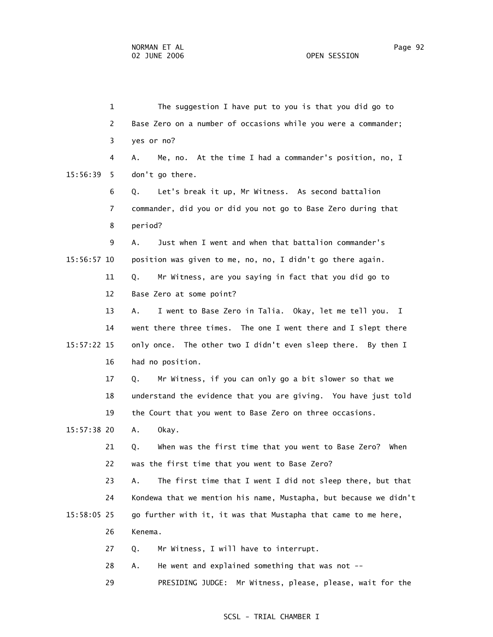1 The suggestion I have put to you is that you did go to 2 Base Zero on a number of occasions while you were a commander; 3 yes or no? 4 A. Me, no. At the time I had a commander's position, no, I 15:56:39 5 don't go there. 6 Q. Let's break it up, Mr Witness. As second battalion 7 commander, did you or did you not go to Base Zero during that 8 period? 9 A. Just when I went and when that battalion commander's 15:56:57 10 position was given to me, no, no, I didn't go there again. 11 Q. Mr Witness, are you saying in fact that you did go to 12 Base Zero at some point? 13 A. I went to Base Zero in Talia. Okay, let me tell you. I 14 went there three times. The one I went there and I slept there 15:57:22 15 only once. The other two I didn't even sleep there. By then I 16 had no position. 17 Q. Mr Witness, if you can only go a bit slower so that we 18 understand the evidence that you are giving. You have just told 19 the Court that you went to Base Zero on three occasions. 15:57:38 20 A. Okay. 21 Q. When was the first time that you went to Base Zero? When 22 was the first time that you went to Base Zero? 23 A. The first time that I went I did not sleep there, but that 24 Kondewa that we mention his name, Mustapha, but because we didn't 15:58:05 25 go further with it, it was that Mustapha that came to me here, 26 Kenema. 27 Q. Mr Witness, I will have to interrupt. 28 A. He went and explained something that was not -- 29 PRESIDING JUDGE: Mr Witness, please, please, wait for the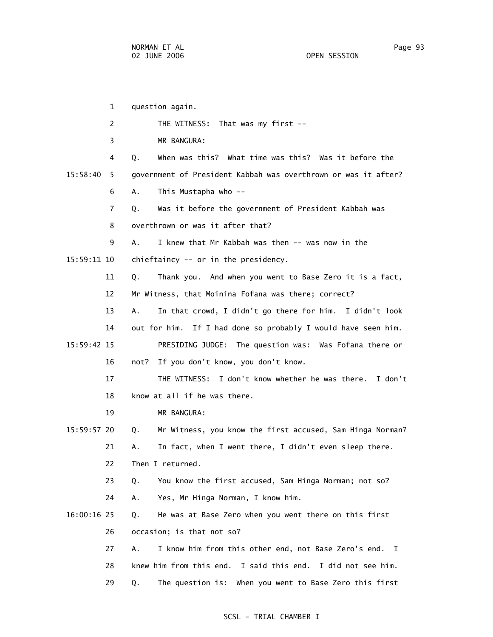1 question again. 2 THE WITNESS: That was my first -- 3 MR BANGURA: 4 Q. When was this? What time was this? Was it before the 15:58:40 5 government of President Kabbah was overthrown or was it after? 6 A. This Mustapha who -- 7 Q. Was it before the government of President Kabbah was 8 overthrown or was it after that? 9 A. I knew that Mr Kabbah was then -- was now in the 15:59:11 10 chieftaincy -- or in the presidency. 11 Q. Thank you. And when you went to Base Zero it is a fact, 12 Mr Witness, that Moinina Fofana was there; correct? 13 A. In that crowd, I didn't go there for him. I didn't look 14 out for him. If I had done so probably I would have seen him. 15:59:42 15 PRESIDING JUDGE: The question was: Was Fofana there or 16 not? If you don't know, you don't know. 17 THE WITNESS: I don't know whether he was there. I don't 18 know at all if he was there. 19 MR BANGURA: 15:59:57 20 Q. Mr Witness, you know the first accused, Sam Hinga Norman? 21 A. In fact, when I went there, I didn't even sleep there. 22 Then I returned. 23 Q. You know the first accused, Sam Hinga Norman; not so? 24 A. Yes, Mr Hinga Norman, I know him. 16:00:16 25 Q. He was at Base Zero when you went there on this first 26 occasion; is that not so? 27 A. I know him from this other end, not Base Zero's end. I 28 knew him from this end. I said this end. I did not see him. 29 Q. The question is: When you went to Base Zero this first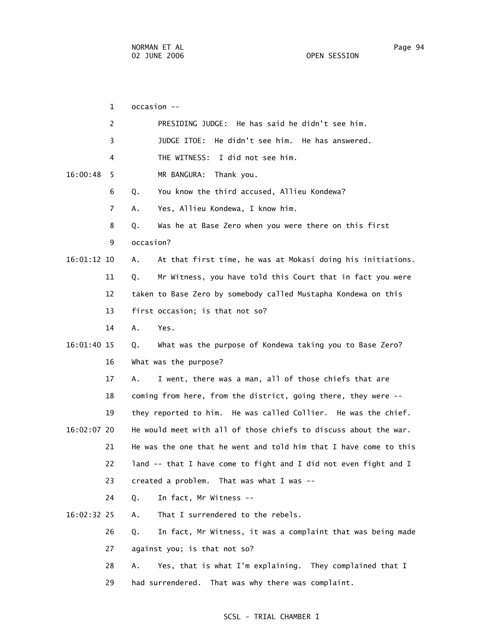1 occasion -- 2 PRESIDING JUDGE: He has said he didn't see him. 3 JUDGE ITOE: He didn't see him. He has answered. 4 THE WITNESS: I did not see him. 16:00:48 5 MR BANGURA: Thank you. 6 Q. You know the third accused, Allieu Kondewa? 7 A. Yes, Allieu Kondewa, I know him. 8 Q. Was he at Base Zero when you were there on this first 9 occasion? 16:01:12 10 A. At that first time, he was at Mokasi doing his initiations. 11 Q. Mr Witness, you have told this Court that in fact you were 12 taken to Base Zero by somebody called Mustapha Kondewa on this 13 first occasion; is that not so? 14 A. Yes. 16:01:40 15 Q. What was the purpose of Kondewa taking you to Base Zero? 16 What was the purpose? 17 A. I went, there was a man, all of those chiefs that are 18 coming from here, from the district, going there, they were -- 19 they reported to him. He was called Collier. He was the chief. 16:02:07 20 He would meet with all of those chiefs to discuss about the war. 21 He was the one that he went and told him that I have come to this 22 land -- that I have come to fight and I did not even fight and I 23 created a problem. That was what I was -- 24 Q. In fact, Mr Witness -- 16:02:32 25 A. That I surrendered to the rebels. 26 Q. In fact, Mr Witness, it was a complaint that was being made 27 against you; is that not so? 28 A. Yes, that is what I'm explaining. They complained that I 29 had surrendered. That was why there was complaint.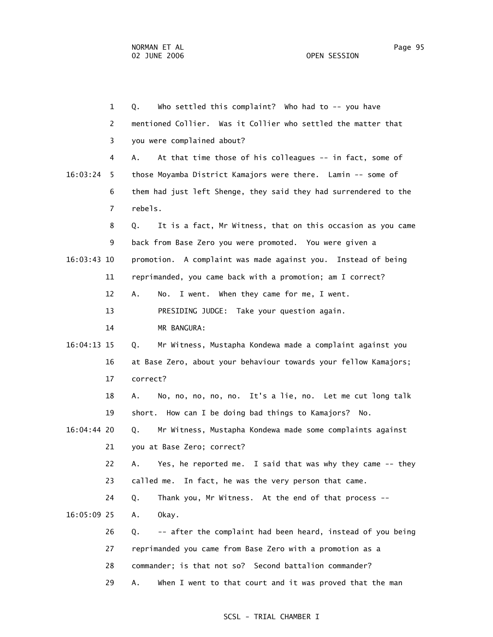1 Q. Who settled this complaint? Who had to -- you have 2 mentioned Collier. Was it Collier who settled the matter that 3 you were complained about? 4 A. At that time those of his colleagues -- in fact, some of 16:03:24 5 those Moyamba District Kamajors were there. Lamin -- some of 6 them had just left Shenge, they said they had surrendered to the 7 rebels. 8 Q. It is a fact, Mr Witness, that on this occasion as you came 9 back from Base Zero you were promoted. You were given a 16:03:43 10 promotion. A complaint was made against you. Instead of being 11 reprimanded, you came back with a promotion; am I correct? 12 A. No. I went. When they came for me, I went. 13 PRESIDING JUDGE: Take your question again. 14 MR BANGURA: 16:04:13 15 Q. Mr Witness, Mustapha Kondewa made a complaint against you 16 at Base Zero, about your behaviour towards your fellow Kamajors; 17 correct? 18 A. No, no, no, no, no. It's a lie, no. Let me cut long talk 19 short. How can I be doing bad things to Kamajors? No. 16:04:44 20 Q. Mr Witness, Mustapha Kondewa made some complaints against 21 you at Base Zero; correct? 22 A. Yes, he reported me. I said that was why they came -- they 23 called me. In fact, he was the very person that came. 24 Q. Thank you, Mr Witness. At the end of that process -- 16:05:09 25 A. Okay. 26 Q. -- after the complaint had been heard, instead of you being 27 reprimanded you came from Base Zero with a promotion as a 28 commander; is that not so? Second battalion commander? 29 A. When I went to that court and it was proved that the man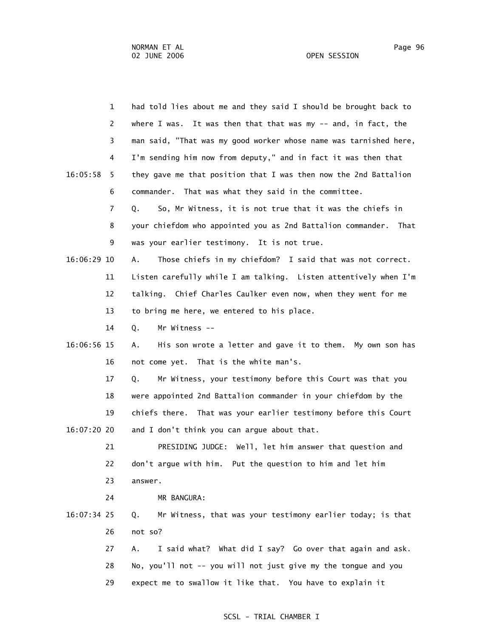|             | $\mathbf{1}$   | had told lies about me and they said I should be brought back to    |
|-------------|----------------|---------------------------------------------------------------------|
|             | $\overline{2}$ | where I was. It was then that that was my -- and, in fact, the      |
|             | 3              | man said, "That was my good worker whose name was tarnished here,   |
|             | 4              | I'm sending him now from deputy," and in fact it was then that      |
| 16:05:58    | 5.             | they gave me that position that I was then now the 2nd Battalion    |
|             | 6              | commander. That was what they said in the committee.                |
|             | 7              | So, Mr Witness, it is not true that it was the chiefs in<br>Q.      |
|             | 8              | your chiefdom who appointed you as 2nd Battalion commander.<br>That |
|             | 9              | was your earlier testimony. It is not true.                         |
| 16:06:29 10 |                | Those chiefs in my chiefdom? I said that was not correct.<br>Α.     |
|             | 11             | Listen carefully while I am talking. Listen attentively when I'm    |
|             | 12             | talking. Chief Charles Caulker even now, when they went for me      |
|             | 13             | to bring me here, we entered to his place.                          |
|             | 14             | Mr Witness --<br>Q.                                                 |
| 16:06:56 15 |                | His son wrote a letter and gave it to them. My own son has<br>А.    |
|             | 16             | not come yet. That is the white man's.                              |
|             | 17             | Mr Witness, your testimony before this Court was that you<br>Q.     |
|             | 18             | were appointed 2nd Battalion commander in your chiefdom by the      |
|             | 19             | chiefs there. That was your earlier testimony before this Court     |
| 16:07:20 20 |                | and I don't think you can argue about that.                         |
|             | 21             | PRESIDING JUDGE: Well, let him answer that question and             |
|             | 22             | don't argue with him. Put the question to him and let him           |
|             | 23             | answer.                                                             |
|             | 24             | MR BANGURA:                                                         |
| 16:07:34 25 |                | Mr Witness, that was your testimony earlier today; is that<br>Q.    |
|             | 26             | not so?                                                             |
|             | 27             | I said what? What did I say? Go over that again and ask.<br>А.      |

- 28 No, you'll not -- you will not just give my the tongue and you
- 29 expect me to swallow it like that. You have to explain it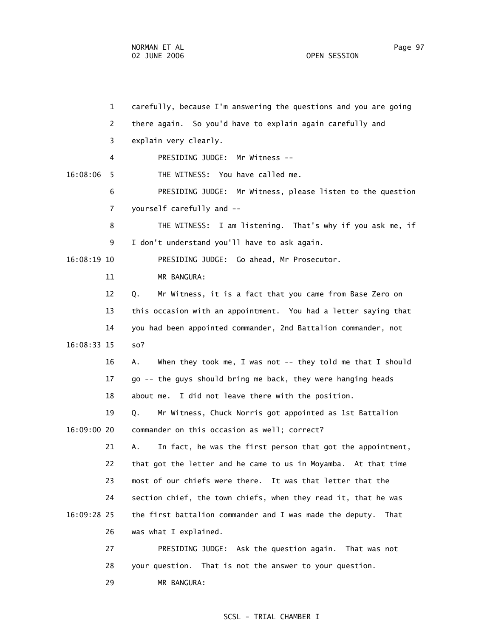29 MR BANGURA:

 1 carefully, because I'm answering the questions and you are going 2 there again. So you'd have to explain again carefully and 3 explain very clearly. 4 PRESIDING JUDGE: Mr Witness -- 16:08:06 5 THE WITNESS: You have called me. 6 PRESIDING JUDGE: Mr Witness, please listen to the question 7 yourself carefully and -- 8 THE WITNESS: I am listening. That's why if you ask me, if 9 I don't understand you'll have to ask again. 16:08:19 10 PRESIDING JUDGE: Go ahead, Mr Prosecutor. 11 MR BANGURA: 12 Q. Mr Witness, it is a fact that you came from Base Zero on 13 this occasion with an appointment. You had a letter saying that 14 you had been appointed commander, 2nd Battalion commander, not 16:08:33 15 so? 16 A. When they took me, I was not -- they told me that I should 17 go -- the guys should bring me back, they were hanging heads 18 about me. I did not leave there with the position. 19 Q. Mr Witness, Chuck Norris got appointed as 1st Battalion 16:09:00 20 commander on this occasion as well; correct? 21 A. In fact, he was the first person that got the appointment, 22 that got the letter and he came to us in Moyamba. At that time 23 most of our chiefs were there. It was that letter that the 24 section chief, the town chiefs, when they read it, that he was 16:09:28 25 the first battalion commander and I was made the deputy. That 26 was what I explained. 27 PRESIDING JUDGE: Ask the question again. That was not 28 your question. That is not the answer to your question.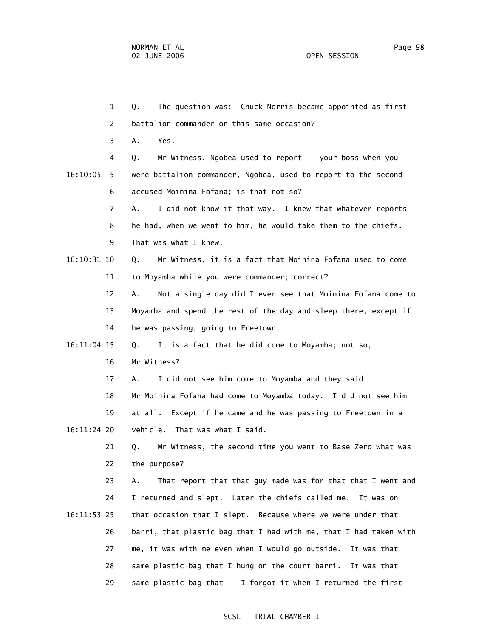1 Q. The question was: Chuck Norris became appointed as first 2 battalion commander on this same occasion? 3 A. Yes. 4 Q. Mr Witness, Ngobea used to report -- your boss when you 16:10:05 5 were battalion commander, Ngobea, used to report to the second 6 accused Moinina Fofana; is that not so? 7 A. I did not know it that way. I knew that whatever reports 8 he had, when we went to him, he would take them to the chiefs. 9 That was what I knew. 16:10:31 10 Q. Mr Witness, it is a fact that Moinina Fofana used to come 11 to Moyamba while you were commander; correct? 12 A. Not a single day did I ever see that Moinina Fofana come to 13 Moyamba and spend the rest of the day and sleep there, except if 14 he was passing, going to Freetown. 16:11:04 15 Q. It is a fact that he did come to Moyamba; not so, 16 Mr Witness? 17 A. I did not see him come to Moyamba and they said 18 Mr Moinina Fofana had come to Moyamba today. I did not see him 19 at all. Except if he came and he was passing to Freetown in a 16:11:24 20 vehicle. That was what I said. 21 Q. Mr Witness, the second time you went to Base Zero what was 22 the purpose? 23 A. That report that that guy made was for that that I went and 24 I returned and slept. Later the chiefs called me. It was on 16:11:53 25 that occasion that I slept. Because where we were under that 26 barri, that plastic bag that I had with me, that I had taken with 27 me, it was with me even when I would go outside. It was that 28 same plastic bag that I hung on the court barri. It was that 29 same plastic bag that -- I forgot it when I returned the first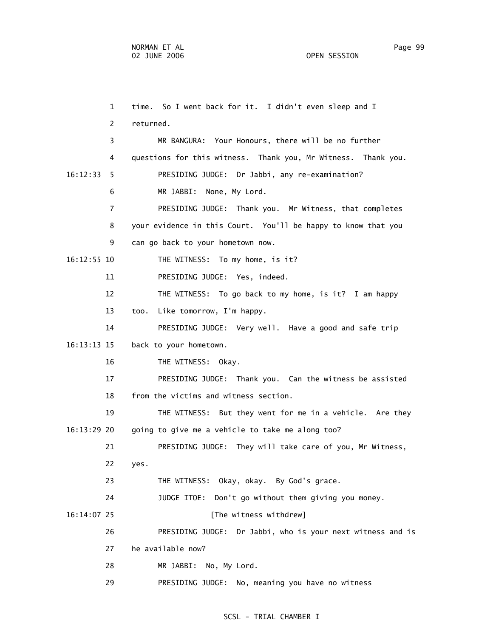1 time. So I went back for it. I didn't even sleep and I 2 returned. 3 MR BANGURA: Your Honours, there will be no further 4 questions for this witness. Thank you, Mr Witness. Thank you. 16:12:33 5 PRESIDING JUDGE: Dr Jabbi, any re-examination? 6 MR JABBI: None, My Lord. 7 PRESIDING JUDGE: Thank you. Mr Witness, that completes 8 your evidence in this Court. You'll be happy to know that you 9 can go back to your hometown now. 16:12:55 10 THE WITNESS: To my home, is it? 11 PRESIDING JUDGE: Yes, indeed. 12 THE WITNESS: To go back to my home, is it? I am happy 13 too. Like tomorrow, I'm happy. 14 PRESIDING JUDGE: Very well. Have a good and safe trip 16:13:13 15 back to your hometown. 16 THE WITNESS: Okay. 17 PRESIDING JUDGE: Thank you. Can the witness be assisted 18 from the victims and witness section. 19 THE WITNESS: But they went for me in a vehicle. Are they 16:13:29 20 going to give me a vehicle to take me along too? 21 PRESIDING JUDGE: They will take care of you, Mr Witness, 22 yes. 23 THE WITNESS: Okay, okay. By God's grace. 24 JUDGE ITOE: Don't go without them giving you money. 16:14:07 25 [The witness withdrew] 26 PRESIDING JUDGE: Dr Jabbi, who is your next witness and is 27 he available now? 28 MR JABBI: No, My Lord. 29 PRESIDING JUDGE: No, meaning you have no witness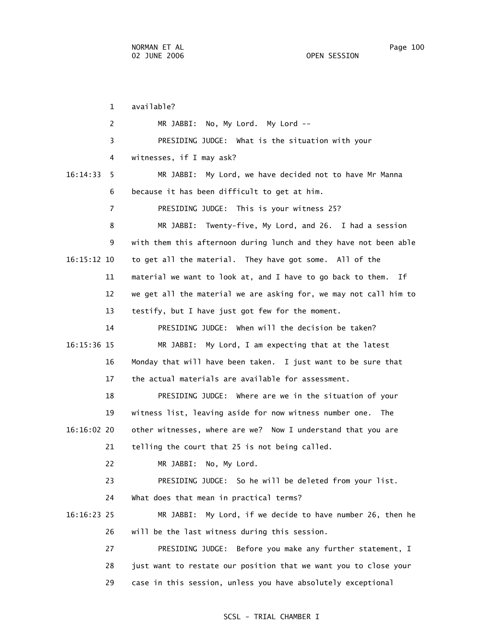1 available? 2 MR JABBI: No, My Lord. My Lord -- 3 PRESIDING JUDGE: What is the situation with your 4 witnesses, if I may ask? 16:14:33 5 MR JABBI: My Lord, we have decided not to have Mr Manna 6 because it has been difficult to get at him. 7 PRESIDING JUDGE: This is your witness 25? 8 MR JABBI: Twenty-five, My Lord, and 26. I had a session 9 with them this afternoon during lunch and they have not been able 16:15:12 10 to get all the material. They have got some. All of the 11 material we want to look at, and I have to go back to them. If 12 we get all the material we are asking for, we may not call him to 13 testify, but I have just got few for the moment. 14 PRESIDING JUDGE: When will the decision be taken? 16:15:36 15 MR JABBI: My Lord, I am expecting that at the latest 16 Monday that will have been taken. I just want to be sure that 17 the actual materials are available for assessment. 18 PRESIDING JUDGE: Where are we in the situation of your 19 witness list, leaving aside for now witness number one. The 16:16:02 20 other witnesses, where are we? Now I understand that you are 21 telling the court that 25 is not being called. 22 MR JABBI: No, My Lord. 23 PRESIDING JUDGE: So he will be deleted from your list. 24 What does that mean in practical terms? 16:16:23 25 MR JABBI: My Lord, if we decide to have number 26, then he 26 will be the last witness during this session. 27 PRESIDING JUDGE: Before you make any further statement, I 28 just want to restate our position that we want you to close your 29 case in this session, unless you have absolutely exceptional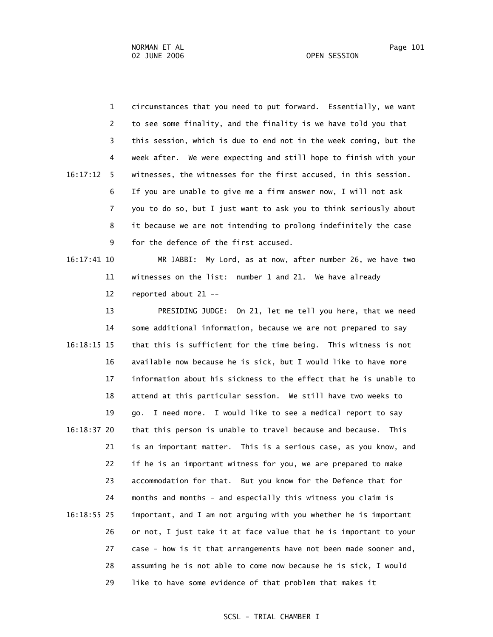1 circumstances that you need to put forward. Essentially, we want 2 to see some finality, and the finality is we have told you that 3 this session, which is due to end not in the week coming, but the 4 week after. We were expecting and still hope to finish with your 16:17:12 5 witnesses, the witnesses for the first accused, in this session. 6 If you are unable to give me a firm answer now, I will not ask 7 you to do so, but I just want to ask you to think seriously about 8 it because we are not intending to prolong indefinitely the case 9 for the defence of the first accused.

 16:17:41 10 MR JABBI: My Lord, as at now, after number 26, we have two 11 witnesses on the list: number 1 and 21. We have already 12 reported about 21 --

 13 PRESIDING JUDGE: On 21, let me tell you here, that we need 14 some additional information, because we are not prepared to say 16:18:15 15 that this is sufficient for the time being. This witness is not 16 available now because he is sick, but I would like to have more 17 information about his sickness to the effect that he is unable to 18 attend at this particular session. We still have two weeks to 19 go. I need more. I would like to see a medical report to say 16:18:37 20 that this person is unable to travel because and because. This 21 is an important matter. This is a serious case, as you know, and 22 if he is an important witness for you, we are prepared to make 23 accommodation for that. But you know for the Defence that for 24 months and months - and especially this witness you claim is 16:18:55 25 important, and I am not arguing with you whether he is important 26 or not, I just take it at face value that he is important to your 27 case - how is it that arrangements have not been made sooner and, 28 assuming he is not able to come now because he is sick, I would 29 like to have some evidence of that problem that makes it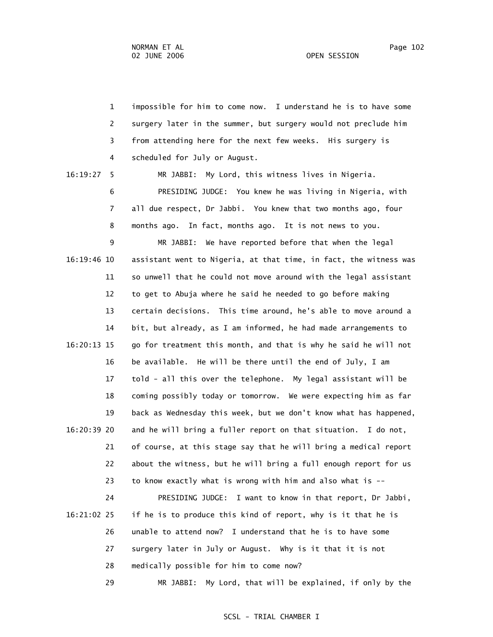1 impossible for him to come now. I understand he is to have some 2 surgery later in the summer, but surgery would not preclude him 3 from attending here for the next few weeks. His surgery is 4 scheduled for July or August. 16:19:27 5 MR JABBI: My Lord, this witness lives in Nigeria. 6 PRESIDING JUDGE: You knew he was living in Nigeria, with 7 all due respect, Dr Jabbi. You knew that two months ago, four 8 months ago. In fact, months ago. It is not news to you. 9 MR JABBI: We have reported before that when the legal 16:19:46 10 assistant went to Nigeria, at that time, in fact, the witness was 11 so unwell that he could not move around with the legal assistant 12 to get to Abuja where he said he needed to go before making 13 certain decisions. This time around, he's able to move around a 14 bit, but already, as I am informed, he had made arrangements to 16:20:13 15 go for treatment this month, and that is why he said he will not 16 be available. He will be there until the end of July, I am 17 told - all this over the telephone. My legal assistant will be 18 coming possibly today or tomorrow. We were expecting him as far 19 back as Wednesday this week, but we don't know what has happened, 16:20:39 20 and he will bring a fuller report on that situation. I do not, 21 of course, at this stage say that he will bring a medical report 22 about the witness, but he will bring a full enough report for us 23 to know exactly what is wrong with him and also what is --

 24 PRESIDING JUDGE: I want to know in that report, Dr Jabbi, 16:21:02 25 if he is to produce this kind of report, why is it that he is 26 unable to attend now? I understand that he is to have some 27 surgery later in July or August. Why is it that it is not 28 medically possible for him to come now? 29 MR JABBI: My Lord, that will be explained, if only by the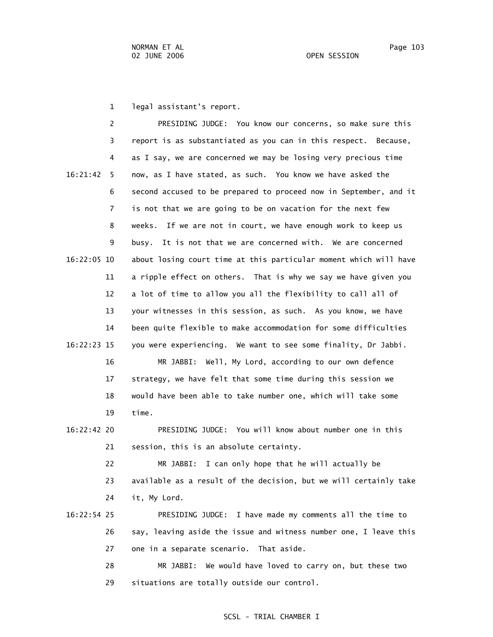1 legal assistant's report.

 2 PRESIDING JUDGE: You know our concerns, so make sure this 3 report is as substantiated as you can in this respect. Because, 4 as I say, we are concerned we may be losing very precious time 16:21:42 5 now, as I have stated, as such. You know we have asked the 6 second accused to be prepared to proceed now in September, and it 7 is not that we are going to be on vacation for the next few 8 weeks. If we are not in court, we have enough work to keep us 9 busy. It is not that we are concerned with. We are concerned 16:22:05 10 about losing court time at this particular moment which will have 11 a ripple effect on others. That is why we say we have given you 12 a lot of time to allow you all the flexibility to call all of 13 your witnesses in this session, as such. As you know, we have 14 been quite flexible to make accommodation for some difficulties 16:22:23 15 you were experiencing. We want to see some finality, Dr Jabbi. 16 MR JABBI: Well, My Lord, according to our own defence 17 strategy, we have felt that some time during this session we 18 would have been able to take number one, which will take some 19 time. 16:22:42 20 PRESIDING JUDGE: You will know about number one in this 21 session, this is an absolute certainty. 22 MR JABBI: I can only hope that he will actually be 23 available as a result of the decision, but we will certainly take 24 it, My Lord. 16:22:54 25 PRESIDING JUDGE: I have made my comments all the time to 26 say, leaving aside the issue and witness number one, I leave this 27 one in a separate scenario. That aside. 28 MR JABBI: We would have loved to carry on, but these two 29 situations are totally outside our control.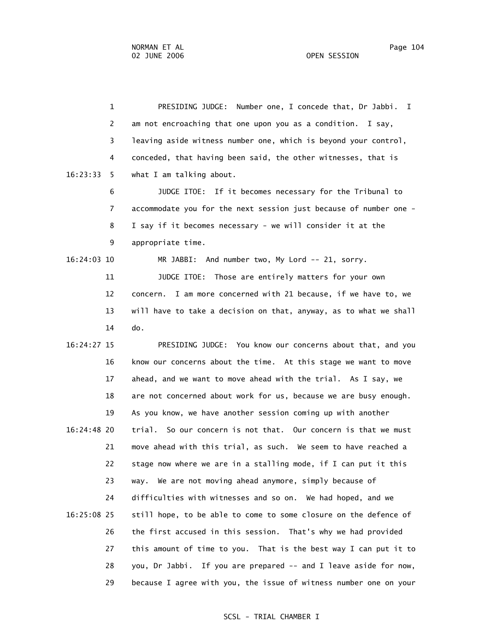1 PRESIDING JUDGE: Number one, I concede that, Dr Jabbi. I 2 am not encroaching that one upon you as a condition. I say, 3 leaving aside witness number one, which is beyond your control, 4 conceded, that having been said, the other witnesses, that is 16:23:33 5 what I am talking about. 6 JUDGE ITOE: If it becomes necessary for the Tribunal to 7 accommodate you for the next session just because of number one - 8 I say if it becomes necessary - we will consider it at the 9 appropriate time. 16:24:03 10 MR JABBI: And number two, My Lord -- 21, sorry. 11 **JUDGE ITOE:** Those are entirely matters for your own 12 concern. I am more concerned with 21 because, if we have to, we 13 will have to take a decision on that, anyway, as to what we shall 14 do. 16:24:27 15 PRESIDING JUDGE: You know our concerns about that, and you

 16 know our concerns about the time. At this stage we want to move 17 ahead, and we want to move ahead with the trial. As I say, we 18 are not concerned about work for us, because we are busy enough. 19 As you know, we have another session coming up with another 16:24:48 20 trial. So our concern is not that. Our concern is that we must 21 move ahead with this trial, as such. We seem to have reached a 22 stage now where we are in a stalling mode, if I can put it this 23 way. We are not moving ahead anymore, simply because of 24 difficulties with witnesses and so on. We had hoped, and we 16:25:08 25 still hope, to be able to come to some closure on the defence of 26 the first accused in this session. That's why we had provided 27 this amount of time to you. That is the best way I can put it to 28 you, Dr Jabbi. If you are prepared -- and I leave aside for now, 29 because I agree with you, the issue of witness number one on your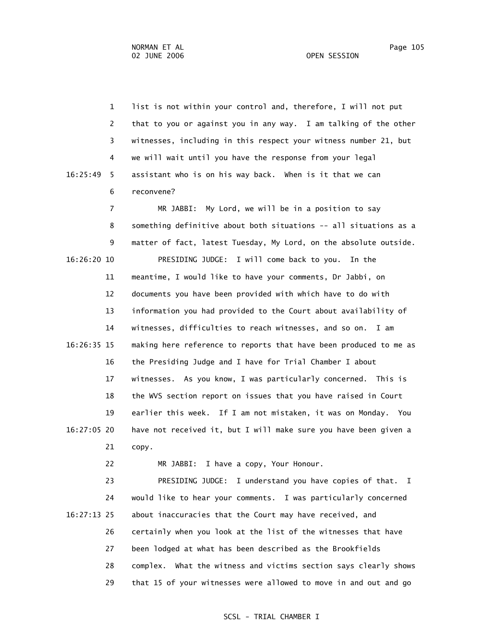1 list is not within your control and, therefore, I will not put 2 that to you or against you in any way. I am talking of the other 3 witnesses, including in this respect your witness number 21, but 4 we will wait until you have the response from your legal 16:25:49 5 assistant who is on his way back. When is it that we can 6 reconvene? 7 MR JABBI: My Lord, we will be in a position to say 8 something definitive about both situations -- all situations as a 9 matter of fact, latest Tuesday, My Lord, on the absolute outside. 16:26:20 10 PRESIDING JUDGE: I will come back to you. In the 11 meantime, I would like to have your comments, Dr Jabbi, on 12 documents you have been provided with which have to do with 13 information you had provided to the Court about availability of 14 witnesses, difficulties to reach witnesses, and so on. I am 16:26:35 15 making here reference to reports that have been produced to me as 16 the Presiding Judge and I have for Trial Chamber I about 17 witnesses. As you know, I was particularly concerned. This is 18 the WVS section report on issues that you have raised in Court

 19 earlier this week. If I am not mistaken, it was on Monday. You 16:27:05 20 have not received it, but I will make sure you have been given a 21 copy.

22 MR JABBI: I have a copy, Your Honour.

 23 PRESIDING JUDGE: I understand you have copies of that. I 24 would like to hear your comments. I was particularly concerned 16:27:13 25 about inaccuracies that the Court may have received, and 26 certainly when you look at the list of the witnesses that have 27 been lodged at what has been described as the Brookfields 28 complex. What the witness and victims section says clearly shows 29 that 15 of your witnesses were allowed to move in and out and go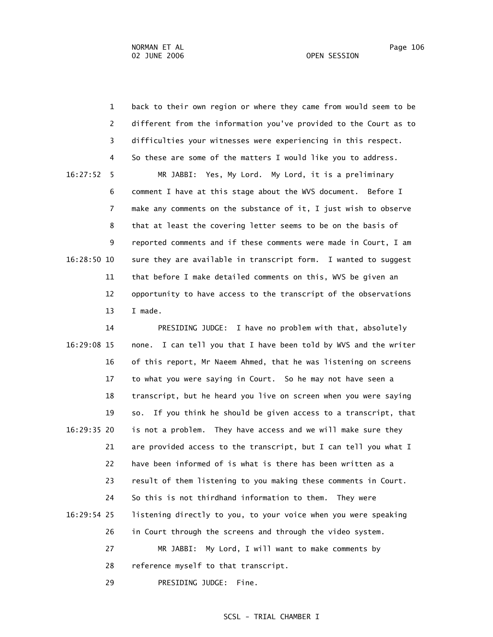1 back to their own region or where they came from would seem to be 2 different from the information you've provided to the Court as to 3 difficulties your witnesses were experiencing in this respect. 4 So these are some of the matters I would like you to address. 16:27:52 5 MR JABBI: Yes, My Lord. My Lord, it is a preliminary 6 comment I have at this stage about the WVS document. Before I 7 make any comments on the substance of it, I just wish to observe 8 that at least the covering letter seems to be on the basis of 9 reported comments and if these comments were made in Court, I am 16:28:50 10 sure they are available in transcript form. I wanted to suggest 11 that before I make detailed comments on this, WVS be given an 12 opportunity to have access to the transcript of the observations 13 I made.

 14 PRESIDING JUDGE: I have no problem with that, absolutely 16:29:08 15 none. I can tell you that I have been told by WVS and the writer 16 of this report, Mr Naeem Ahmed, that he was listening on screens 17 to what you were saying in Court. So he may not have seen a 18 transcript, but he heard you live on screen when you were saying 19 so. If you think he should be given access to a transcript, that 16:29:35 20 is not a problem. They have access and we will make sure they 21 are provided access to the transcript, but I can tell you what I 22 have been informed of is what is there has been written as a 23 result of them listening to you making these comments in Court. 24 So this is not thirdhand information to them. They were 16:29:54 25 listening directly to you, to your voice when you were speaking 26 in Court through the screens and through the video system. 27 MR JABBI: My Lord, I will want to make comments by 28 reference myself to that transcript.

29 PRESIDING JUDGE: Fine.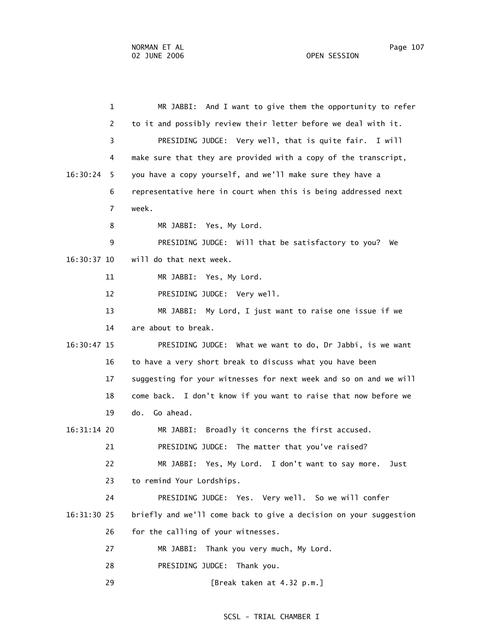1 MR JABBI: And I want to give them the opportunity to refer 2 to it and possibly review their letter before we deal with it. 3 PRESIDING JUDGE: Very well, that is quite fair. I will 4 make sure that they are provided with a copy of the transcript, 16:30:24 5 you have a copy yourself, and we'll make sure they have a 6 representative here in court when this is being addressed next 7 week. 8 MR JABBI: Yes, My Lord. 9 PRESIDING JUDGE: Will that be satisfactory to you? We 16:30:37 10 will do that next week. 11 MR JABBI: Yes, My Lord. 12 PRESIDING JUDGE: Very well. 13 MR JABBI: My Lord, I just want to raise one issue if we 14 are about to break. 16:30:47 15 PRESIDING JUDGE: What we want to do, Dr Jabbi, is we want 16 to have a very short break to discuss what you have been 17 suggesting for your witnesses for next week and so on and we will 18 come back. I don't know if you want to raise that now before we 19 do. Go ahead. 16:31:14 20 MR JABBI: Broadly it concerns the first accused. 21 PRESIDING JUDGE: The matter that you've raised? 22 MR JABBI: Yes, My Lord. I don't want to say more. Just 23 to remind Your Lordships. 24 PRESIDING JUDGE: Yes. Very well. So we will confer 16:31:30 25 briefly and we'll come back to give a decision on your suggestion 26 for the calling of your witnesses. 27 MR JABBI: Thank you very much, My Lord. 28 PRESIDING JUDGE: Thank you. 29 [Break taken at 4.32 p.m.]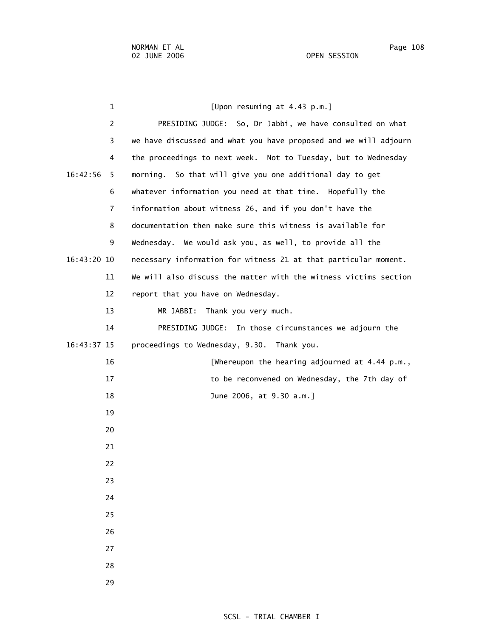| 1             | [Upon resuming at 4.43 p.m.]                                     |
|---------------|------------------------------------------------------------------|
| 2             | PRESIDING JUDGE: So, Dr Jabbi, we have consulted on what         |
| 3             | we have discussed and what you have proposed and we will adjourn |
| 4             | the proceedings to next week. Not to Tuesday, but to Wednesday   |
| 16:42:56<br>5 | morning. So that will give you one additional day to get         |
| 6             | whatever information you need at that time. Hopefully the        |
| 7             | information about witness 26, and if you don't have the          |
| 8             | documentation then make sure this witness is available for       |
| 9             | Wednesday. We would ask you, as well, to provide all the         |
| 16:43:20 10   | necessary information for witness 21 at that particular moment.  |
| 11            | We will also discuss the matter with the witness victims section |
| 12            | report that you have on Wednesday.                               |
| 13            | MR JABBI:<br>Thank you very much.                                |
| 14            | PRESIDING JUDGE: In those circumstances we adjourn the           |
| 16:43:37 15   | proceedings to Wednesday, 9.30. Thank you.                       |
| 16            | [Whereupon the hearing adjourned at 4.44 p.m.,                   |
| 17            | to be reconvened on Wednesday, the 7th day of                    |
| 18            | June 2006, at 9.30 a.m.]                                         |
| 19            |                                                                  |
| 20            |                                                                  |
| 21            |                                                                  |
| 22            |                                                                  |
| 23            |                                                                  |
| 24            |                                                                  |
| 25            |                                                                  |
| 26            |                                                                  |
| 27            |                                                                  |
| 28            |                                                                  |

29